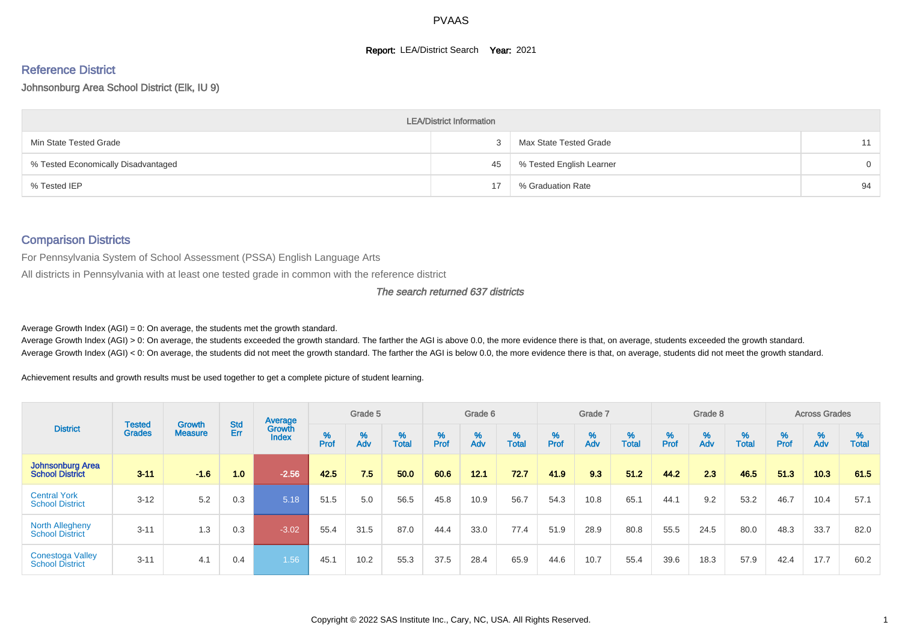#### **Report: LEA/District Search Year: 2021**

# Reference District

#### Johnsonburg Area School District (Elk, IU 9)

|                                     | <b>LEA/District Information</b> |                          |          |
|-------------------------------------|---------------------------------|--------------------------|----------|
| Min State Tested Grade              |                                 | Max State Tested Grade   | 11       |
| % Tested Economically Disadvantaged | 45                              | % Tested English Learner | $\Omega$ |
| % Tested IEP                        | 17                              | % Graduation Rate        | 94       |

#### Comparison Districts

For Pennsylvania System of School Assessment (PSSA) English Language Arts

All districts in Pennsylvania with at least one tested grade in common with the reference district

#### The search returned 637 districts

Average Growth Index  $(AGI) = 0$ : On average, the students met the growth standard.

Average Growth Index (AGI) > 0: On average, the students exceeded the growth standard. The farther the AGI is above 0.0, the more evidence there is that, on average, students exceeded the growth standard. Average Growth Index (AGI) < 0: On average, the students did not meet the growth standard. The farther the AGI is below 0.0, the more evidence there is that, on average, students did not meet the growth standard.

Achievement results and growth results must be used together to get a complete picture of student learning.

|                                                   |                         |                          |                   | Average                |           | Grade 5  |                   |        | Grade 6  |                   |          | Grade 7  |                   |           | Grade 8  |                   |           | <b>Across Grades</b> |                   |
|---------------------------------------------------|-------------------------|--------------------------|-------------------|------------------------|-----------|----------|-------------------|--------|----------|-------------------|----------|----------|-------------------|-----------|----------|-------------------|-----------|----------------------|-------------------|
| <b>District</b>                                   | Tested<br><b>Grades</b> | Growth<br><b>Measure</b> | <b>Std</b><br>Err | Growth<br><b>Index</b> | %<br>Prof | %<br>Adv | %<br><b>Total</b> | % Pref | %<br>Adv | %<br><b>Total</b> | $%$ Prof | %<br>Adv | %<br><b>Total</b> | %<br>Prof | %<br>Adv | %<br><b>Total</b> | %<br>Prof | %<br>Adv             | %<br><b>Total</b> |
| <b>Johnsonburg Area</b><br><b>School District</b> | $3 - 11$                | $-1.6$                   | 1.0               | $-2.56$                | 42.5      | 7.5      | 50.0              | 60.6   | 12.1     | 72.7              | 41.9     | 9.3      | 51.2              | 44.2      | 2.3      | 46.5              | 51.3      | 10.3                 | 61.5              |
| <b>Central York</b><br><b>School District</b>     | $3 - 12$                | 5.2                      | 0.3               | 5.18                   | 51.5      | 5.0      | 56.5              | 45.8   | 10.9     | 56.7              | 54.3     | 10.8     | 65.1              | 44.1      | 9.2      | 53.2              | 46.7      | 10.4                 | 57.1              |
| <b>North Allegheny</b><br><b>School District</b>  | $3 - 11$                | 1.3                      | 0.3               | $-3.02$                | 55.4      | 31.5     | 87.0              | 44.4   | 33.0     | 77.4              | 51.9     | 28.9     | 80.8              | 55.5      | 24.5     | 80.0              | 48.3      | 33.7                 | 82.0              |
| <b>Conestoga Valley</b><br><b>School District</b> | $3 - 11$                | 4.1                      | 0.4               | 1.56                   | 45.1      | 10.2     | 55.3              | 37.5   | 28.4     | 65.9              | 44.6     | 10.7     | 55.4              | 39.6      | 18.3     | 57.9              | 42.4      | 17.7                 | 60.2              |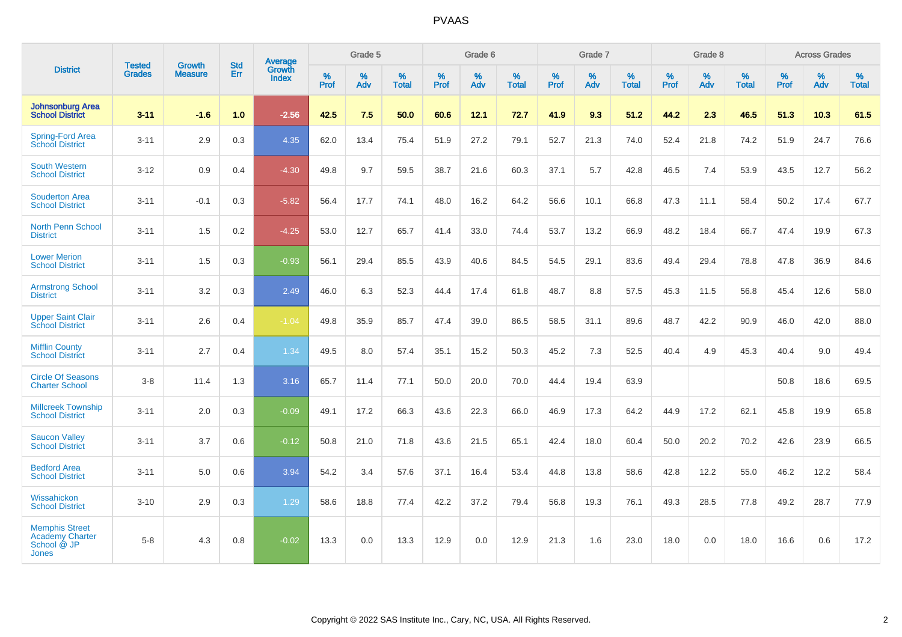|                                                                         |                                |                                 | <b>Std</b> | <b>Average</b>                |           | Grade 5  |                   |           | Grade 6  |                   |           | Grade 7  |                   |           | Grade 8  |                   |           | <b>Across Grades</b> |                   |
|-------------------------------------------------------------------------|--------------------------------|---------------------------------|------------|-------------------------------|-----------|----------|-------------------|-----------|----------|-------------------|-----------|----------|-------------------|-----------|----------|-------------------|-----------|----------------------|-------------------|
| <b>District</b>                                                         | <b>Tested</b><br><b>Grades</b> | <b>Growth</b><br><b>Measure</b> | Err        | <b>Growth</b><br><b>Index</b> | %<br>Prof | %<br>Adv | %<br><b>Total</b> | %<br>Prof | %<br>Adv | %<br><b>Total</b> | %<br>Prof | %<br>Adv | %<br><b>Total</b> | %<br>Prof | %<br>Adv | %<br><b>Total</b> | %<br>Prof | %<br>Adv             | %<br><b>Total</b> |
| <b>Johnsonburg Area</b><br><b>School District</b>                       | $3 - 11$                       | $-1.6$                          | 1.0        | $-2.56$                       | 42.5      | 7.5      | 50.0              | 60.6      | 12.1     | 72.7              | 41.9      | 9.3      | 51.2              | 44.2      | 2.3      | 46.5              | 51.3      | 10.3                 | 61.5              |
| <b>Spring-Ford Area</b><br>School District                              | $3 - 11$                       | 2.9                             | 0.3        | 4.35                          | 62.0      | 13.4     | 75.4              | 51.9      | 27.2     | 79.1              | 52.7      | 21.3     | 74.0              | 52.4      | 21.8     | 74.2              | 51.9      | 24.7                 | 76.6              |
| <b>South Western</b><br><b>School District</b>                          | $3 - 12$                       | 0.9                             | 0.4        | $-4.30$                       | 49.8      | 9.7      | 59.5              | 38.7      | 21.6     | 60.3              | 37.1      | 5.7      | 42.8              | 46.5      | 7.4      | 53.9              | 43.5      | 12.7                 | 56.2              |
| <b>Souderton Area</b><br><b>School District</b>                         | $3 - 11$                       | $-0.1$                          | 0.3        | $-5.82$                       | 56.4      | 17.7     | 74.1              | 48.0      | 16.2     | 64.2              | 56.6      | 10.1     | 66.8              | 47.3      | 11.1     | 58.4              | 50.2      | 17.4                 | 67.7              |
| North Penn School<br><b>District</b>                                    | $3 - 11$                       | 1.5                             | 0.2        | $-4.25$                       | 53.0      | 12.7     | 65.7              | 41.4      | 33.0     | 74.4              | 53.7      | 13.2     | 66.9              | 48.2      | 18.4     | 66.7              | 47.4      | 19.9                 | 67.3              |
| <b>Lower Merion</b><br><b>School District</b>                           | $3 - 11$                       | 1.5                             | 0.3        | $-0.93$                       | 56.1      | 29.4     | 85.5              | 43.9      | 40.6     | 84.5              | 54.5      | 29.1     | 83.6              | 49.4      | 29.4     | 78.8              | 47.8      | 36.9                 | 84.6              |
| <b>Armstrong School</b><br><b>District</b>                              | $3 - 11$                       | 3.2                             | 0.3        | 2.49                          | 46.0      | 6.3      | 52.3              | 44.4      | 17.4     | 61.8              | 48.7      | 8.8      | 57.5              | 45.3      | 11.5     | 56.8              | 45.4      | 12.6                 | 58.0              |
| <b>Upper Saint Clair</b><br><b>School District</b>                      | $3 - 11$                       | 2.6                             | 0.4        | $-1.04$                       | 49.8      | 35.9     | 85.7              | 47.4      | 39.0     | 86.5              | 58.5      | 31.1     | 89.6              | 48.7      | 42.2     | 90.9              | 46.0      | 42.0                 | 88.0              |
| <b>Mifflin County</b><br><b>School District</b>                         | $3 - 11$                       | 2.7                             | 0.4        | 1.34                          | 49.5      | 8.0      | 57.4              | 35.1      | 15.2     | 50.3              | 45.2      | 7.3      | 52.5              | 40.4      | 4.9      | 45.3              | 40.4      | 9.0                  | 49.4              |
| <b>Circle Of Seasons</b><br><b>Charter School</b>                       | $3 - 8$                        | 11.4                            | 1.3        | 3.16                          | 65.7      | 11.4     | 77.1              | 50.0      | 20.0     | 70.0              | 44.4      | 19.4     | 63.9              |           |          |                   | 50.8      | 18.6                 | 69.5              |
| <b>Millcreek Township</b><br><b>School District</b>                     | $3 - 11$                       | 2.0                             | 0.3        | $-0.09$                       | 49.1      | 17.2     | 66.3              | 43.6      | 22.3     | 66.0              | 46.9      | 17.3     | 64.2              | 44.9      | 17.2     | 62.1              | 45.8      | 19.9                 | 65.8              |
| <b>Saucon Valley</b><br><b>School District</b>                          | $3 - 11$                       | 3.7                             | 0.6        | $-0.12$                       | 50.8      | 21.0     | 71.8              | 43.6      | 21.5     | 65.1              | 42.4      | 18.0     | 60.4              | 50.0      | 20.2     | 70.2              | 42.6      | 23.9                 | 66.5              |
| <b>Bedford Area</b><br><b>School District</b>                           | $3 - 11$                       | 5.0                             | 0.6        | 3.94                          | 54.2      | 3.4      | 57.6              | 37.1      | 16.4     | 53.4              | 44.8      | 13.8     | 58.6              | 42.8      | 12.2     | 55.0              | 46.2      | 12.2                 | 58.4              |
| Wissahickon<br><b>School District</b>                                   | $3 - 10$                       | 2.9                             | 0.3        | 1.29                          | 58.6      | 18.8     | 77.4              | 42.2      | 37.2     | 79.4              | 56.8      | 19.3     | 76.1              | 49.3      | 28.5     | 77.8              | 49.2      | 28.7                 | 77.9              |
| <b>Memphis Street</b><br><b>Academy Charter</b><br>School @ JP<br>Jones | $5 - 8$                        | 4.3                             | 0.8        | $-0.02$                       | 13.3      | 0.0      | 13.3              | 12.9      | 0.0      | 12.9              | 21.3      | 1.6      | 23.0              | 18.0      | 0.0      | 18.0              | 16.6      | 0.6                  | 17.2              |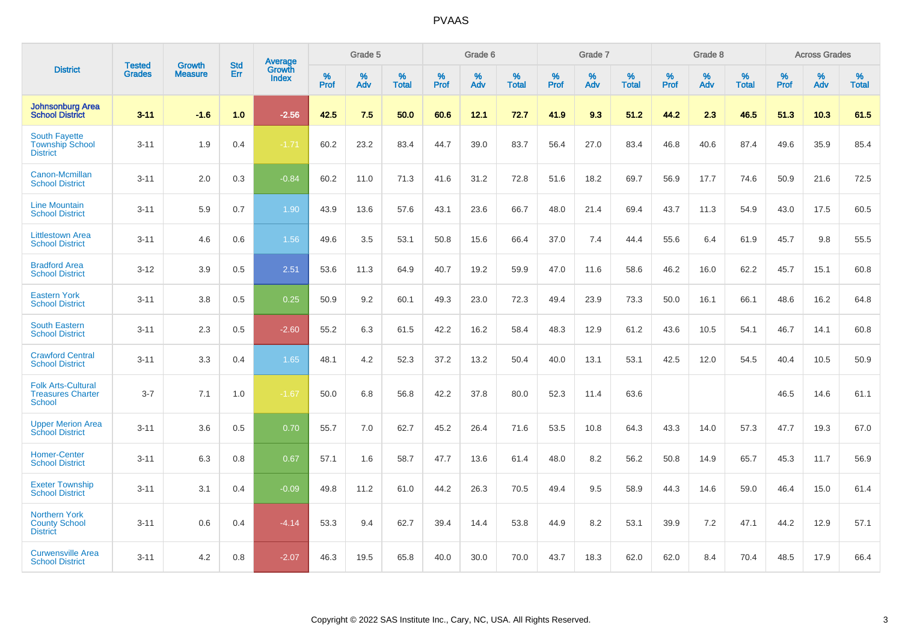|                                                                        | <b>Tested</b> | <b>Growth</b>  | <b>Std</b> | Average                       |           | Grade 5  |                   |           | Grade 6  |                   |           | Grade 7  |                   |           | Grade 8  |                   |           | <b>Across Grades</b> |                   |
|------------------------------------------------------------------------|---------------|----------------|------------|-------------------------------|-----------|----------|-------------------|-----------|----------|-------------------|-----------|----------|-------------------|-----------|----------|-------------------|-----------|----------------------|-------------------|
| <b>District</b>                                                        | <b>Grades</b> | <b>Measure</b> | Err        | <b>Growth</b><br><b>Index</b> | %<br>Prof | %<br>Adv | %<br><b>Total</b> | %<br>Prof | %<br>Adv | %<br><b>Total</b> | %<br>Prof | %<br>Adv | %<br><b>Total</b> | %<br>Prof | %<br>Adv | %<br><b>Total</b> | %<br>Prof | %<br>Adv             | %<br><b>Total</b> |
| <b>Johnsonburg Area</b><br><b>School District</b>                      | $3 - 11$      | $-1.6$         | 1.0        | $-2.56$                       | 42.5      | 7.5      | 50.0              | 60.6      | 12.1     | 72.7              | 41.9      | 9.3      | 51.2              | 44.2      | 2.3      | 46.5              | 51.3      | 10.3                 | 61.5              |
| <b>South Fayette</b><br><b>Township School</b><br><b>District</b>      | $3 - 11$      | 1.9            | 0.4        | $-1.71$                       | 60.2      | 23.2     | 83.4              | 44.7      | 39.0     | 83.7              | 56.4      | 27.0     | 83.4              | 46.8      | 40.6     | 87.4              | 49.6      | 35.9                 | 85.4              |
| Canon-Mcmillan<br><b>School District</b>                               | $3 - 11$      | 2.0            | 0.3        | $-0.84$                       | 60.2      | 11.0     | 71.3              | 41.6      | 31.2     | 72.8              | 51.6      | 18.2     | 69.7              | 56.9      | 17.7     | 74.6              | 50.9      | 21.6                 | 72.5              |
| <b>Line Mountain</b><br><b>School District</b>                         | $3 - 11$      | 5.9            | 0.7        | 1.90                          | 43.9      | 13.6     | 57.6              | 43.1      | 23.6     | 66.7              | 48.0      | 21.4     | 69.4              | 43.7      | 11.3     | 54.9              | 43.0      | 17.5                 | 60.5              |
| <b>Littlestown Area</b><br><b>School District</b>                      | $3 - 11$      | 4.6            | 0.6        | 1.56                          | 49.6      | 3.5      | 53.1              | 50.8      | 15.6     | 66.4              | 37.0      | 7.4      | 44.4              | 55.6      | 6.4      | 61.9              | 45.7      | 9.8                  | 55.5              |
| <b>Bradford Area</b><br><b>School District</b>                         | $3 - 12$      | 3.9            | 0.5        | 2.51                          | 53.6      | 11.3     | 64.9              | 40.7      | 19.2     | 59.9              | 47.0      | 11.6     | 58.6              | 46.2      | 16.0     | 62.2              | 45.7      | 15.1                 | 60.8              |
| <b>Eastern York</b><br><b>School District</b>                          | $3 - 11$      | 3.8            | 0.5        | 0.25                          | 50.9      | 9.2      | 60.1              | 49.3      | 23.0     | 72.3              | 49.4      | 23.9     | 73.3              | 50.0      | 16.1     | 66.1              | 48.6      | 16.2                 | 64.8              |
| <b>South Eastern</b><br><b>School District</b>                         | $3 - 11$      | 2.3            | 0.5        | $-2.60$                       | 55.2      | 6.3      | 61.5              | 42.2      | 16.2     | 58.4              | 48.3      | 12.9     | 61.2              | 43.6      | 10.5     | 54.1              | 46.7      | 14.1                 | 60.8              |
| <b>Crawford Central</b><br><b>School District</b>                      | $3 - 11$      | 3.3            | 0.4        | 1.65                          | 48.1      | 4.2      | 52.3              | 37.2      | 13.2     | 50.4              | 40.0      | 13.1     | 53.1              | 42.5      | 12.0     | 54.5              | 40.4      | 10.5                 | 50.9              |
| <b>Folk Arts-Cultural</b><br><b>Treasures Charter</b><br><b>School</b> | $3 - 7$       | 7.1            | 1.0        | $-1.67$                       | 50.0      | 6.8      | 56.8              | 42.2      | 37.8     | 80.0              | 52.3      | 11.4     | 63.6              |           |          |                   | 46.5      | 14.6                 | 61.1              |
| <b>Upper Merion Area</b><br><b>School District</b>                     | $3 - 11$      | 3.6            | 0.5        | 0.70                          | 55.7      | 7.0      | 62.7              | 45.2      | 26.4     | 71.6              | 53.5      | 10.8     | 64.3              | 43.3      | 14.0     | 57.3              | 47.7      | 19.3                 | 67.0              |
| <b>Homer-Center</b><br><b>School District</b>                          | $3 - 11$      | 6.3            | 0.8        | 0.67                          | 57.1      | 1.6      | 58.7              | 47.7      | 13.6     | 61.4              | 48.0      | 8.2      | 56.2              | 50.8      | 14.9     | 65.7              | 45.3      | 11.7                 | 56.9              |
| <b>Exeter Township</b><br><b>School District</b>                       | $3 - 11$      | 3.1            | 0.4        | $-0.09$                       | 49.8      | 11.2     | 61.0              | 44.2      | 26.3     | 70.5              | 49.4      | 9.5      | 58.9              | 44.3      | 14.6     | 59.0              | 46.4      | 15.0                 | 61.4              |
| <b>Northern York</b><br><b>County School</b><br><b>District</b>        | $3 - 11$      | 0.6            | 0.4        | $-4.14$                       | 53.3      | 9.4      | 62.7              | 39.4      | 14.4     | 53.8              | 44.9      | 8.2      | 53.1              | 39.9      | 7.2      | 47.1              | 44.2      | 12.9                 | 57.1              |
| <b>Curwensville Area</b><br><b>School District</b>                     | $3 - 11$      | 4.2            | 0.8        | $-2.07$                       | 46.3      | 19.5     | 65.8              | 40.0      | 30.0     | 70.0              | 43.7      | 18.3     | 62.0              | 62.0      | 8.4      | 70.4              | 48.5      | 17.9                 | 66.4              |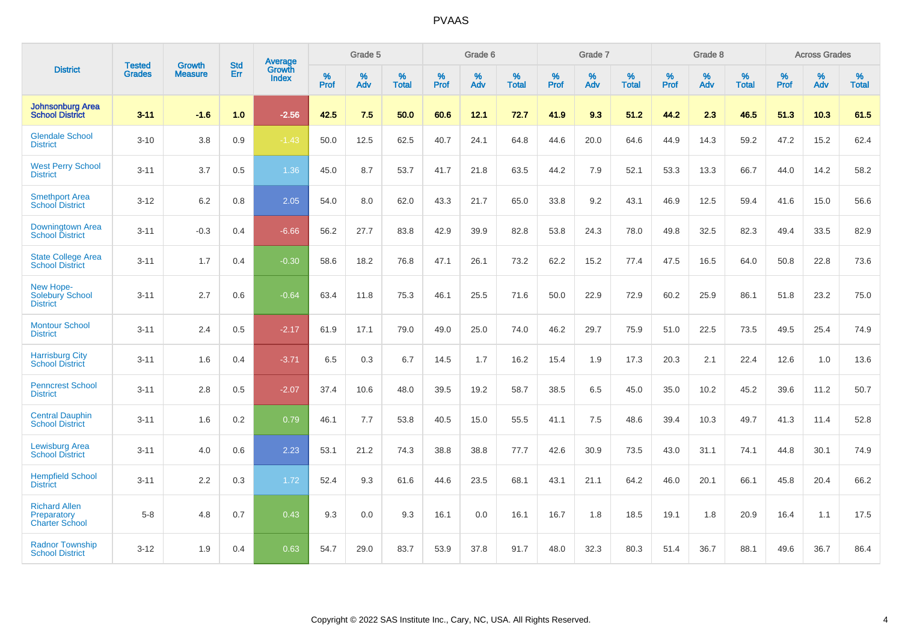|                                                              |                         |                                 | <b>Std</b> | Average                       |           | Grade 5  |                   |           | Grade 6  |                   |           | Grade 7  |                   |           | Grade 8  |                   |           | <b>Across Grades</b> |                   |
|--------------------------------------------------------------|-------------------------|---------------------------------|------------|-------------------------------|-----------|----------|-------------------|-----------|----------|-------------------|-----------|----------|-------------------|-----------|----------|-------------------|-----------|----------------------|-------------------|
| <b>District</b>                                              | <b>Tested</b><br>Grades | <b>Growth</b><br><b>Measure</b> | Err        | <b>Growth</b><br><b>Index</b> | %<br>Prof | %<br>Adv | %<br><b>Total</b> | %<br>Prof | %<br>Adv | %<br><b>Total</b> | %<br>Prof | %<br>Adv | %<br><b>Total</b> | %<br>Prof | %<br>Adv | %<br><b>Total</b> | %<br>Prof | %<br>Adv             | %<br><b>Total</b> |
| <b>Johnsonburg Area</b><br><b>School District</b>            | $3 - 11$                | $-1.6$                          | 1.0        | $-2.56$                       | 42.5      | 7.5      | 50.0              | 60.6      | 12.1     | 72.7              | 41.9      | 9.3      | 51.2              | 44.2      | 2.3      | 46.5              | 51.3      | 10.3                 | 61.5              |
| <b>Glendale School</b><br><b>District</b>                    | $3 - 10$                | 3.8                             | 0.9        | $-1.43$                       | 50.0      | 12.5     | 62.5              | 40.7      | 24.1     | 64.8              | 44.6      | 20.0     | 64.6              | 44.9      | 14.3     | 59.2              | 47.2      | 15.2                 | 62.4              |
| <b>West Perry School</b><br><b>District</b>                  | $3 - 11$                | 3.7                             | 0.5        | 1.36                          | 45.0      | 8.7      | 53.7              | 41.7      | 21.8     | 63.5              | 44.2      | 7.9      | 52.1              | 53.3      | 13.3     | 66.7              | 44.0      | 14.2                 | 58.2              |
| <b>Smethport Area</b><br><b>School District</b>              | $3 - 12$                | 6.2                             | 0.8        | 2.05                          | 54.0      | 8.0      | 62.0              | 43.3      | 21.7     | 65.0              | 33.8      | 9.2      | 43.1              | 46.9      | 12.5     | 59.4              | 41.6      | 15.0                 | 56.6              |
| Downingtown Area<br><b>School District</b>                   | $3 - 11$                | $-0.3$                          | 0.4        | $-6.66$                       | 56.2      | 27.7     | 83.8              | 42.9      | 39.9     | 82.8              | 53.8      | 24.3     | 78.0              | 49.8      | 32.5     | 82.3              | 49.4      | 33.5                 | 82.9              |
| <b>State College Area</b><br><b>School District</b>          | $3 - 11$                | 1.7                             | 0.4        | $-0.30$                       | 58.6      | 18.2     | 76.8              | 47.1      | 26.1     | 73.2              | 62.2      | 15.2     | 77.4              | 47.5      | 16.5     | 64.0              | 50.8      | 22.8                 | 73.6              |
| New Hope-<br><b>Solebury School</b><br><b>District</b>       | $3 - 11$                | 2.7                             | 0.6        | $-0.64$                       | 63.4      | 11.8     | 75.3              | 46.1      | 25.5     | 71.6              | 50.0      | 22.9     | 72.9              | 60.2      | 25.9     | 86.1              | 51.8      | 23.2                 | 75.0              |
| <b>Montour School</b><br><b>District</b>                     | $3 - 11$                | 2.4                             | 0.5        | $-2.17$                       | 61.9      | 17.1     | 79.0              | 49.0      | 25.0     | 74.0              | 46.2      | 29.7     | 75.9              | 51.0      | 22.5     | 73.5              | 49.5      | 25.4                 | 74.9              |
| <b>Harrisburg City</b><br><b>School District</b>             | $3 - 11$                | 1.6                             | 0.4        | $-3.71$                       | 6.5       | 0.3      | 6.7               | 14.5      | 1.7      | 16.2              | 15.4      | 1.9      | 17.3              | 20.3      | 2.1      | 22.4              | 12.6      | 1.0                  | 13.6              |
| <b>Penncrest School</b><br><b>District</b>                   | $3 - 11$                | 2.8                             | 0.5        | $-2.07$                       | 37.4      | 10.6     | 48.0              | 39.5      | 19.2     | 58.7              | 38.5      | 6.5      | 45.0              | 35.0      | 10.2     | 45.2              | 39.6      | 11.2                 | 50.7              |
| <b>Central Dauphin</b><br><b>School District</b>             | $3 - 11$                | 1.6                             | 0.2        | 0.79                          | 46.1      | 7.7      | 53.8              | 40.5      | 15.0     | 55.5              | 41.1      | 7.5      | 48.6              | 39.4      | 10.3     | 49.7              | 41.3      | 11.4                 | 52.8              |
| <b>Lewisburg Area</b><br><b>School District</b>              | $3 - 11$                | 4.0                             | 0.6        | 2.23                          | 53.1      | 21.2     | 74.3              | 38.8      | 38.8     | 77.7              | 42.6      | 30.9     | 73.5              | 43.0      | 31.1     | 74.1              | 44.8      | 30.1                 | 74.9              |
| <b>Hempfield School</b><br><b>District</b>                   | $3 - 11$                | 2.2                             | 0.3        | 1.72                          | 52.4      | 9.3      | 61.6              | 44.6      | 23.5     | 68.1              | 43.1      | 21.1     | 64.2              | 46.0      | 20.1     | 66.1              | 45.8      | 20.4                 | 66.2              |
| <b>Richard Allen</b><br>Preparatory<br><b>Charter School</b> | $5-8$                   | 4.8                             | 0.7        | 0.43                          | 9.3       | 0.0      | 9.3               | 16.1      | 0.0      | 16.1              | 16.7      | 1.8      | 18.5              | 19.1      | 1.8      | 20.9              | 16.4      | 1.1                  | 17.5              |
| <b>Radnor Township</b><br><b>School District</b>             | $3 - 12$                | 1.9                             | 0.4        | 0.63                          | 54.7      | 29.0     | 83.7              | 53.9      | 37.8     | 91.7              | 48.0      | 32.3     | 80.3              | 51.4      | 36.7     | 88.1              | 49.6      | 36.7                 | 86.4              |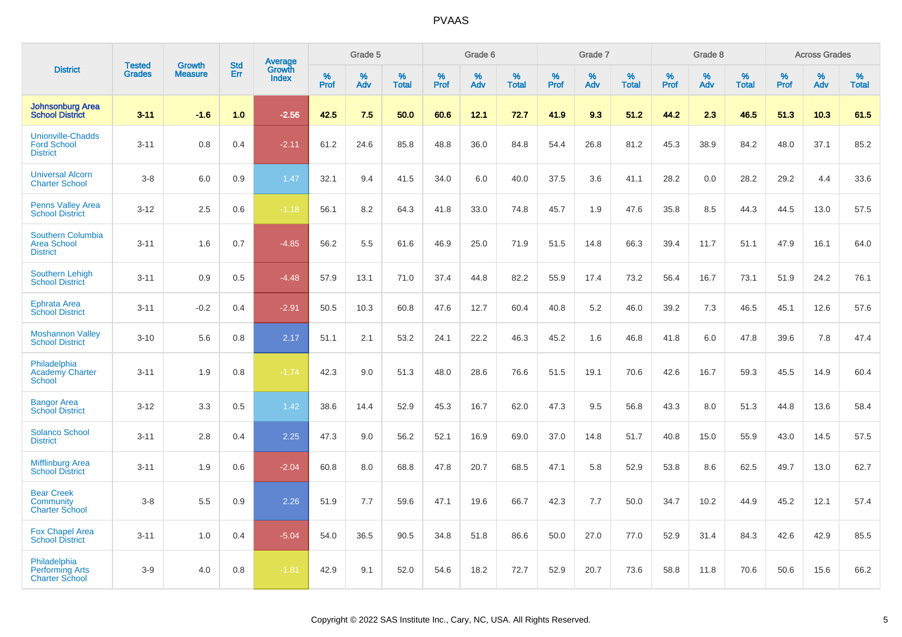|                                                                   |                                |                                 |                   | Average                |                  | Grade 5  |                   |                  | Grade 6  |                   |                  | Grade 7  |                   |           | Grade 8  |                   |                  | <b>Across Grades</b> |                   |
|-------------------------------------------------------------------|--------------------------------|---------------------------------|-------------------|------------------------|------------------|----------|-------------------|------------------|----------|-------------------|------------------|----------|-------------------|-----------|----------|-------------------|------------------|----------------------|-------------------|
| <b>District</b>                                                   | <b>Tested</b><br><b>Grades</b> | <b>Growth</b><br><b>Measure</b> | <b>Std</b><br>Err | Growth<br><b>Index</b> | %<br><b>Prof</b> | %<br>Adv | %<br><b>Total</b> | %<br><b>Prof</b> | %<br>Adv | %<br><b>Total</b> | %<br><b>Prof</b> | %<br>Adv | %<br><b>Total</b> | %<br>Prof | %<br>Adv | %<br><b>Total</b> | %<br><b>Prof</b> | %<br>Adv             | %<br><b>Total</b> |
| <b>Johnsonburg Area</b><br><b>School District</b>                 | $3 - 11$                       | $-1.6$                          | 1.0               | $-2.56$                | 42.5             | 7.5      | 50.0              | 60.6             | 12.1     | 72.7              | 41.9             | 9.3      | 51.2              | 44.2      | 2.3      | 46.5              | 51.3             | 10.3                 | 61.5              |
| <b>Unionville-Chadds</b><br><b>Ford School</b><br><b>District</b> | $3 - 11$                       | 0.8                             | 0.4               | $-2.11$                | 61.2             | 24.6     | 85.8              | 48.8             | 36.0     | 84.8              | 54.4             | 26.8     | 81.2              | 45.3      | 38.9     | 84.2              | 48.0             | 37.1                 | 85.2              |
| <b>Universal Alcorn</b><br><b>Charter School</b>                  | $3-8$                          | 6.0                             | 0.9               | 1.47                   | 32.1             | 9.4      | 41.5              | 34.0             | 6.0      | 40.0              | 37.5             | 3.6      | 41.1              | 28.2      | 0.0      | 28.2              | 29.2             | 4.4                  | 33.6              |
| <b>Penns Valley Area</b><br><b>School District</b>                | $3 - 12$                       | 2.5                             | 0.6               | $-1.18$                | 56.1             | 8.2      | 64.3              | 41.8             | 33.0     | 74.8              | 45.7             | 1.9      | 47.6              | 35.8      | 8.5      | 44.3              | 44.5             | 13.0                 | 57.5              |
| Southern Columbia<br><b>Area School</b><br><b>District</b>        | $3 - 11$                       | 1.6                             | 0.7               | $-4.85$                | 56.2             | 5.5      | 61.6              | 46.9             | 25.0     | 71.9              | 51.5             | 14.8     | 66.3              | 39.4      | 11.7     | 51.1              | 47.9             | 16.1                 | 64.0              |
| <b>Southern Lehigh</b><br><b>School District</b>                  | $3 - 11$                       | 0.9                             | 0.5               | $-4.48$                | 57.9             | 13.1     | 71.0              | 37.4             | 44.8     | 82.2              | 55.9             | 17.4     | 73.2              | 56.4      | 16.7     | 73.1              | 51.9             | 24.2                 | 76.1              |
| <b>Ephrata Area</b><br><b>School District</b>                     | $3 - 11$                       | $-0.2$                          | 0.4               | $-2.91$                | 50.5             | 10.3     | 60.8              | 47.6             | 12.7     | 60.4              | 40.8             | 5.2      | 46.0              | 39.2      | 7.3      | 46.5              | 45.1             | 12.6                 | 57.6              |
| <b>Moshannon Valley</b><br><b>School District</b>                 | $3 - 10$                       | 5.6                             | 0.8               | 2.17                   | 51.1             | 2.1      | 53.2              | 24.1             | 22.2     | 46.3              | 45.2             | 1.6      | 46.8              | 41.8      | 6.0      | 47.8              | 39.6             | 7.8                  | 47.4              |
| Philadelphia<br><b>Academy Charter</b><br><b>School</b>           | $3 - 11$                       | 1.9                             | 0.8               | $-1.74$                | 42.3             | 9.0      | 51.3              | 48.0             | 28.6     | 76.6              | 51.5             | 19.1     | 70.6              | 42.6      | 16.7     | 59.3              | 45.5             | 14.9                 | 60.4              |
| <b>Bangor Area</b><br><b>School District</b>                      | $3 - 12$                       | 3.3                             | 0.5               | 1.42                   | 38.6             | 14.4     | 52.9              | 45.3             | 16.7     | 62.0              | 47.3             | 9.5      | 56.8              | 43.3      | 8.0      | 51.3              | 44.8             | 13.6                 | 58.4              |
| <b>Solanco School</b><br><b>District</b>                          | $3 - 11$                       | 2.8                             | 0.4               | 2.25                   | 47.3             | 9.0      | 56.2              | 52.1             | 16.9     | 69.0              | 37.0             | 14.8     | 51.7              | 40.8      | 15.0     | 55.9              | 43.0             | 14.5                 | 57.5              |
| <b>Mifflinburg Area</b><br><b>School District</b>                 | $3 - 11$                       | 1.9                             | 0.6               | $-2.04$                | 60.8             | 8.0      | 68.8              | 47.8             | 20.7     | 68.5              | 47.1             | 5.8      | 52.9              | 53.8      | 8.6      | 62.5              | 49.7             | 13.0                 | 62.7              |
| <b>Bear Creek</b><br>Community<br><b>Charter School</b>           | $3-8$                          | 5.5                             | 0.9               | 2.26                   | 51.9             | 7.7      | 59.6              | 47.1             | 19.6     | 66.7              | 42.3             | 7.7      | 50.0              | 34.7      | 10.2     | 44.9              | 45.2             | 12.1                 | 57.4              |
| <b>Fox Chapel Area</b><br><b>School District</b>                  | $3 - 11$                       | 1.0                             | 0.4               | $-5.04$                | 54.0             | 36.5     | 90.5              | 34.8             | 51.8     | 86.6              | 50.0             | 27.0     | 77.0              | 52.9      | 31.4     | 84.3              | 42.6             | 42.9                 | 85.5              |
| Philadelphia<br><b>Performing Arts</b><br><b>Charter School</b>   | $3-9$                          | 4.0                             | 0.8               | $-1.81$                | 42.9             | 9.1      | 52.0              | 54.6             | 18.2     | 72.7              | 52.9             | 20.7     | 73.6              | 58.8      | 11.8     | 70.6              | 50.6             | 15.6                 | 66.2              |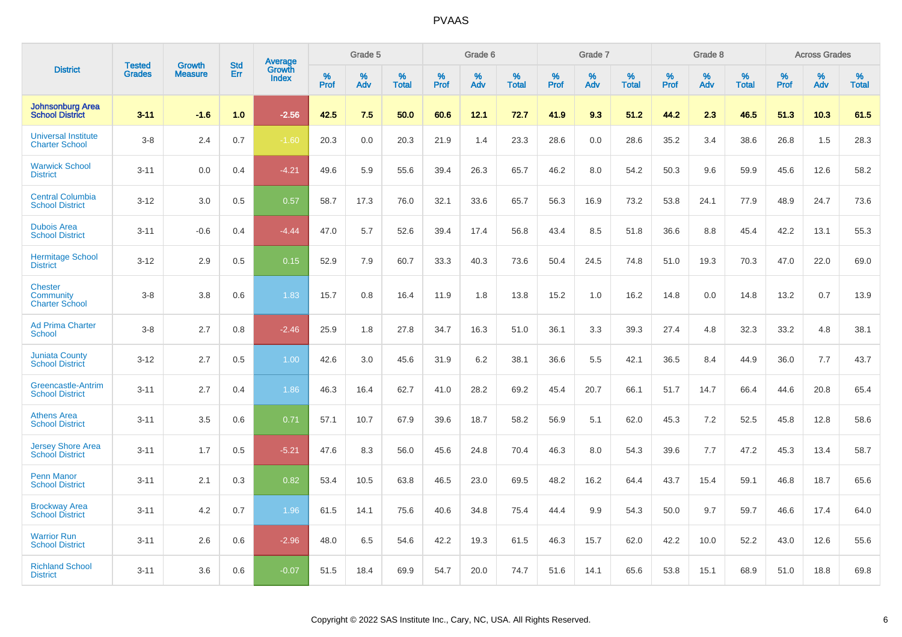|                                                      | <b>Tested</b> | <b>Growth</b>  | <b>Std</b> | Average                |              | Grade 5  |                   |              | Grade 6  |                   |              | Grade 7     |                   |              | Grade 8     |                   |              | <b>Across Grades</b> |                   |
|------------------------------------------------------|---------------|----------------|------------|------------------------|--------------|----------|-------------------|--------------|----------|-------------------|--------------|-------------|-------------------|--------------|-------------|-------------------|--------------|----------------------|-------------------|
| <b>District</b>                                      | <b>Grades</b> | <b>Measure</b> | Err        | Growth<br><b>Index</b> | $\%$<br>Prof | %<br>Adv | %<br><b>Total</b> | $\%$<br>Prof | %<br>Adv | %<br><b>Total</b> | $\%$<br>Prof | $\%$<br>Adv | %<br><b>Total</b> | $\%$<br>Prof | $\%$<br>Adv | %<br><b>Total</b> | $\%$<br>Prof | $\%$<br>Adv          | %<br><b>Total</b> |
| <b>Johnsonburg Area</b><br><b>School District</b>    | $3 - 11$      | $-1.6$         | 1.0        | $-2.56$                | 42.5         | 7.5      | 50.0              | 60.6         | 12.1     | 72.7              | 41.9         | 9.3         | 51.2              | 44.2         | 2.3         | 46.5              | 51.3         | 10.3                 | 61.5              |
| <b>Universal Institute</b><br><b>Charter School</b>  | $3 - 8$       | 2.4            | 0.7        | $-1.60$                | 20.3         | 0.0      | 20.3              | 21.9         | 1.4      | 23.3              | 28.6         | 0.0         | 28.6              | 35.2         | 3.4         | 38.6              | 26.8         | 1.5                  | 28.3              |
| <b>Warwick School</b><br><b>District</b>             | $3 - 11$      | 0.0            | 0.4        | $-4.21$                | 49.6         | 5.9      | 55.6              | 39.4         | 26.3     | 65.7              | 46.2         | 8.0         | 54.2              | 50.3         | 9.6         | 59.9              | 45.6         | 12.6                 | 58.2              |
| <b>Central Columbia</b><br><b>School District</b>    | $3 - 12$      | 3.0            | 0.5        | 0.57                   | 58.7         | 17.3     | 76.0              | 32.1         | 33.6     | 65.7              | 56.3         | 16.9        | 73.2              | 53.8         | 24.1        | 77.9              | 48.9         | 24.7                 | 73.6              |
| <b>Dubois Area</b><br><b>School District</b>         | $3 - 11$      | $-0.6$         | 0.4        | $-4.44$                | 47.0         | 5.7      | 52.6              | 39.4         | 17.4     | 56.8              | 43.4         | 8.5         | 51.8              | 36.6         | 8.8         | 45.4              | 42.2         | 13.1                 | 55.3              |
| <b>Hermitage School</b><br><b>District</b>           | $3 - 12$      | 2.9            | 0.5        | 0.15                   | 52.9         | 7.9      | 60.7              | 33.3         | 40.3     | 73.6              | 50.4         | 24.5        | 74.8              | 51.0         | 19.3        | 70.3              | 47.0         | 22.0                 | 69.0              |
| <b>Chester</b><br>Community<br><b>Charter School</b> | $3 - 8$       | 3.8            | 0.6        | 1.83                   | 15.7         | 0.8      | 16.4              | 11.9         | 1.8      | 13.8              | 15.2         | 1.0         | 16.2              | 14.8         | 0.0         | 14.8              | 13.2         | 0.7                  | 13.9              |
| <b>Ad Prima Charter</b><br>School                    | $3 - 8$       | 2.7            | 0.8        | $-2.46$                | 25.9         | 1.8      | 27.8              | 34.7         | 16.3     | 51.0              | 36.1         | 3.3         | 39.3              | 27.4         | 4.8         | 32.3              | 33.2         | 4.8                  | 38.1              |
| <b>Juniata County</b><br><b>School District</b>      | $3 - 12$      | 2.7            | 0.5        | 1.00                   | 42.6         | 3.0      | 45.6              | 31.9         | 6.2      | 38.1              | 36.6         | 5.5         | 42.1              | 36.5         | 8.4         | 44.9              | 36.0         | 7.7                  | 43.7              |
| Greencastle-Antrim<br><b>School District</b>         | $3 - 11$      | 2.7            | 0.4        | 1.86                   | 46.3         | 16.4     | 62.7              | 41.0         | 28.2     | 69.2              | 45.4         | 20.7        | 66.1              | 51.7         | 14.7        | 66.4              | 44.6         | 20.8                 | 65.4              |
| <b>Athens Area</b><br><b>School District</b>         | $3 - 11$      | 3.5            | 0.6        | 0.71                   | 57.1         | 10.7     | 67.9              | 39.6         | 18.7     | 58.2              | 56.9         | 5.1         | 62.0              | 45.3         | 7.2         | 52.5              | 45.8         | 12.8                 | 58.6              |
| <b>Jersey Shore Area</b><br><b>School District</b>   | $3 - 11$      | 1.7            | 0.5        | $-5.21$                | 47.6         | 8.3      | 56.0              | 45.6         | 24.8     | 70.4              | 46.3         | 8.0         | 54.3              | 39.6         | 7.7         | 47.2              | 45.3         | 13.4                 | 58.7              |
| <b>Penn Manor</b><br><b>School District</b>          | $3 - 11$      | 2.1            | 0.3        | 0.82                   | 53.4         | 10.5     | 63.8              | 46.5         | 23.0     | 69.5              | 48.2         | 16.2        | 64.4              | 43.7         | 15.4        | 59.1              | 46.8         | 18.7                 | 65.6              |
| <b>Brockway Area</b><br><b>School District</b>       | $3 - 11$      | 4.2            | 0.7        | 1.96                   | 61.5         | 14.1     | 75.6              | 40.6         | 34.8     | 75.4              | 44.4         | 9.9         | 54.3              | 50.0         | 9.7         | 59.7              | 46.6         | 17.4                 | 64.0              |
| <b>Warrior Run</b><br><b>School District</b>         | $3 - 11$      | 2.6            | 0.6        | $-2.96$                | 48.0         | 6.5      | 54.6              | 42.2         | 19.3     | 61.5              | 46.3         | 15.7        | 62.0              | 42.2         | 10.0        | 52.2              | 43.0         | 12.6                 | 55.6              |
| <b>Richland School</b><br><b>District</b>            | $3 - 11$      | 3.6            | 0.6        | $-0.07$                | 51.5         | 18.4     | 69.9              | 54.7         | 20.0     | 74.7              | 51.6         | 14.1        | 65.6              | 53.8         | 15.1        | 68.9              | 51.0         | 18.8                 | 69.8              |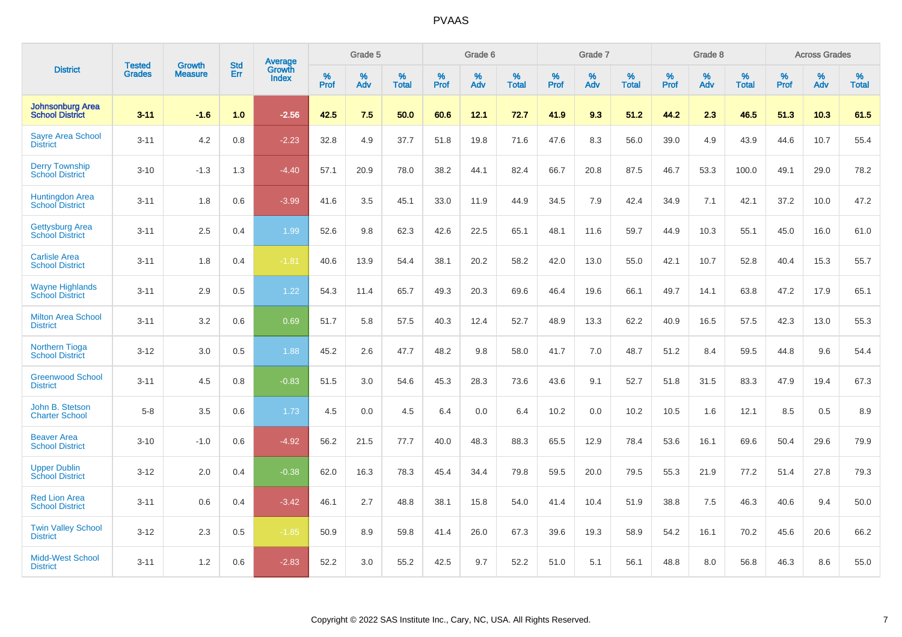|                                                   |                                |                                 | <b>Std</b> | Average                |           | Grade 5  |                   |           | Grade 6  |                   |              | Grade 7  |                   |           | Grade 8  |                   |           | <b>Across Grades</b> |                   |
|---------------------------------------------------|--------------------------------|---------------------------------|------------|------------------------|-----------|----------|-------------------|-----------|----------|-------------------|--------------|----------|-------------------|-----------|----------|-------------------|-----------|----------------------|-------------------|
| <b>District</b>                                   | <b>Tested</b><br><b>Grades</b> | <b>Growth</b><br><b>Measure</b> | Err        | Growth<br><b>Index</b> | %<br>Prof | %<br>Adv | %<br><b>Total</b> | %<br>Prof | %<br>Adv | %<br><b>Total</b> | $\%$<br>Prof | %<br>Adv | %<br><b>Total</b> | %<br>Prof | %<br>Adv | %<br><b>Total</b> | %<br>Prof | %<br>Adv             | %<br><b>Total</b> |
| <b>Johnsonburg Area</b><br><b>School District</b> | $3 - 11$                       | $-1.6$                          | 1.0        | $-2.56$                | 42.5      | 7.5      | 50.0              | 60.6      | 12.1     | 72.7              | 41.9         | 9.3      | 51.2              | 44.2      | 2.3      | 46.5              | 51.3      | 10.3                 | 61.5              |
| <b>Sayre Area School</b><br><b>District</b>       | $3 - 11$                       | 4.2                             | 0.8        | $-2.23$                | 32.8      | 4.9      | 37.7              | 51.8      | 19.8     | 71.6              | 47.6         | 8.3      | 56.0              | 39.0      | 4.9      | 43.9              | 44.6      | 10.7                 | 55.4              |
| <b>Derry Township</b><br><b>School District</b>   | $3 - 10$                       | $-1.3$                          | 1.3        | $-4.40$                | 57.1      | 20.9     | 78.0              | 38.2      | 44.1     | 82.4              | 66.7         | 20.8     | 87.5              | 46.7      | 53.3     | 100.0             | 49.1      | 29.0                 | 78.2              |
| Huntingdon Area<br>School District                | $3 - 11$                       | 1.8                             | 0.6        | $-3.99$                | 41.6      | 3.5      | 45.1              | 33.0      | 11.9     | 44.9              | 34.5         | 7.9      | 42.4              | 34.9      | 7.1      | 42.1              | 37.2      | 10.0                 | 47.2              |
| <b>Gettysburg Area</b><br><b>School District</b>  | $3 - 11$                       | 2.5                             | 0.4        | 1.99                   | 52.6      | 9.8      | 62.3              | 42.6      | 22.5     | 65.1              | 48.1         | 11.6     | 59.7              | 44.9      | 10.3     | 55.1              | 45.0      | 16.0                 | 61.0              |
| <b>Carlisle Area</b><br><b>School District</b>    | $3 - 11$                       | 1.8                             | 0.4        | $-1.81$                | 40.6      | 13.9     | 54.4              | 38.1      | 20.2     | 58.2              | 42.0         | 13.0     | 55.0              | 42.1      | 10.7     | 52.8              | 40.4      | 15.3                 | 55.7              |
| <b>Wayne Highlands</b><br><b>School District</b>  | $3 - 11$                       | 2.9                             | 0.5        | 1.22                   | 54.3      | 11.4     | 65.7              | 49.3      | 20.3     | 69.6              | 46.4         | 19.6     | 66.1              | 49.7      | 14.1     | 63.8              | 47.2      | 17.9                 | 65.1              |
| <b>Milton Area School</b><br><b>District</b>      | $3 - 11$                       | 3.2                             | 0.6        | 0.69                   | 51.7      | 5.8      | 57.5              | 40.3      | 12.4     | 52.7              | 48.9         | 13.3     | 62.2              | 40.9      | 16.5     | 57.5              | 42.3      | 13.0                 | 55.3              |
| <b>Northern Tioga</b><br><b>School District</b>   | $3 - 12$                       | 3.0                             | 0.5        | 1.88                   | 45.2      | 2.6      | 47.7              | 48.2      | 9.8      | 58.0              | 41.7         | 7.0      | 48.7              | 51.2      | 8.4      | 59.5              | 44.8      | 9.6                  | 54.4              |
| <b>Greenwood School</b><br><b>District</b>        | $3 - 11$                       | 4.5                             | 0.8        | $-0.83$                | 51.5      | 3.0      | 54.6              | 45.3      | 28.3     | 73.6              | 43.6         | 9.1      | 52.7              | 51.8      | 31.5     | 83.3              | 47.9      | 19.4                 | 67.3              |
| John B. Stetson<br><b>Charter School</b>          | $5 - 8$                        | 3.5                             | 0.6        | 1.73                   | 4.5       | 0.0      | 4.5               | 6.4       | 0.0      | 6.4               | 10.2         | 0.0      | 10.2              | 10.5      | 1.6      | 12.1              | 8.5       | 0.5                  | 8.9               |
| <b>Beaver Area</b><br><b>School District</b>      | $3 - 10$                       | $-1.0$                          | 0.6        | $-4.92$                | 56.2      | 21.5     | 77.7              | 40.0      | 48.3     | 88.3              | 65.5         | 12.9     | 78.4              | 53.6      | 16.1     | 69.6              | 50.4      | 29.6                 | 79.9              |
| <b>Upper Dublin</b><br><b>School District</b>     | $3 - 12$                       | 2.0                             | 0.4        | $-0.38$                | 62.0      | 16.3     | 78.3              | 45.4      | 34.4     | 79.8              | 59.5         | 20.0     | 79.5              | 55.3      | 21.9     | 77.2              | 51.4      | 27.8                 | 79.3              |
| <b>Red Lion Area</b><br><b>School District</b>    | $3 - 11$                       | 0.6                             | 0.4        | $-3.42$                | 46.1      | 2.7      | 48.8              | 38.1      | 15.8     | 54.0              | 41.4         | 10.4     | 51.9              | 38.8      | 7.5      | 46.3              | 40.6      | 9.4                  | 50.0              |
| <b>Twin Valley School</b><br><b>District</b>      | $3 - 12$                       | 2.3                             | 0.5        | $-1.85$                | 50.9      | 8.9      | 59.8              | 41.4      | 26.0     | 67.3              | 39.6         | 19.3     | 58.9              | 54.2      | 16.1     | 70.2              | 45.6      | 20.6                 | 66.2              |
| <b>Midd-West School</b><br><b>District</b>        | $3 - 11$                       | 1.2                             | 0.6        | $-2.83$                | 52.2      | 3.0      | 55.2              | 42.5      | 9.7      | 52.2              | 51.0         | 5.1      | 56.1              | 48.8      | 8.0      | 56.8              | 46.3      | 8.6                  | 55.0              |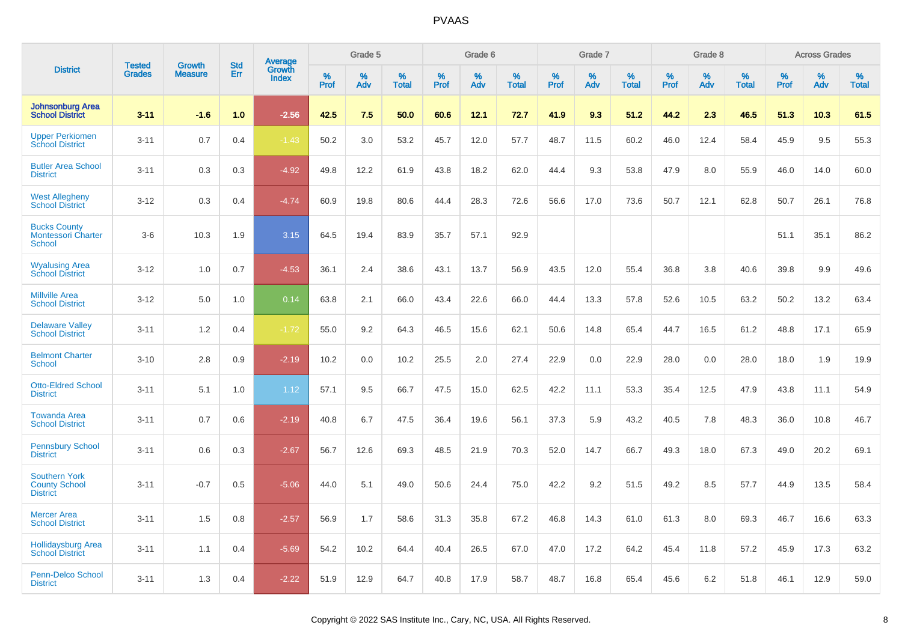|                                                                 | <b>Tested</b> | <b>Growth</b>  | <b>Std</b> | <b>Average</b>         |              | Grade 5  |                   |              | Grade 6  |                   |              | Grade 7  |                   |              | Grade 8  |                   |              | <b>Across Grades</b> |                   |
|-----------------------------------------------------------------|---------------|----------------|------------|------------------------|--------------|----------|-------------------|--------------|----------|-------------------|--------------|----------|-------------------|--------------|----------|-------------------|--------------|----------------------|-------------------|
| <b>District</b>                                                 | <b>Grades</b> | <b>Measure</b> | Err        | Growth<br><b>Index</b> | $\%$<br>Prof | %<br>Adv | %<br><b>Total</b> | $\%$<br>Prof | %<br>Adv | %<br><b>Total</b> | $\%$<br>Prof | %<br>Adv | %<br><b>Total</b> | $\%$<br>Prof | %<br>Adv | %<br><b>Total</b> | $\%$<br>Prof | %<br>Adv             | %<br><b>Total</b> |
| <b>Johnsonburg Area</b><br><b>School District</b>               | $3 - 11$      | $-1.6$         | 1.0        | $-2.56$                | 42.5         | 7.5      | 50.0              | 60.6         | 12.1     | 72.7              | 41.9         | 9.3      | 51.2              | 44.2         | 2.3      | 46.5              | 51.3         | 10.3                 | 61.5              |
| <b>Upper Perkiomen</b><br><b>School District</b>                | $3 - 11$      | 0.7            | 0.4        | $-1.43$                | 50.2         | 3.0      | 53.2              | 45.7         | 12.0     | 57.7              | 48.7         | 11.5     | 60.2              | 46.0         | 12.4     | 58.4              | 45.9         | 9.5                  | 55.3              |
| <b>Butler Area School</b><br><b>District</b>                    | $3 - 11$      | 0.3            | 0.3        | $-4.92$                | 49.8         | 12.2     | 61.9              | 43.8         | 18.2     | 62.0              | 44.4         | 9.3      | 53.8              | 47.9         | 8.0      | 55.9              | 46.0         | 14.0                 | 60.0              |
| <b>West Allegheny</b><br><b>School District</b>                 | $3 - 12$      | 0.3            | 0.4        | $-4.74$                | 60.9         | 19.8     | 80.6              | 44.4         | 28.3     | 72.6              | 56.6         | 17.0     | 73.6              | 50.7         | 12.1     | 62.8              | 50.7         | 26.1                 | 76.8              |
| <b>Bucks County</b><br><b>Montessori Charter</b><br>School      | $3-6$         | 10.3           | 1.9        | 3.15                   | 64.5         | 19.4     | 83.9              | 35.7         | 57.1     | 92.9              |              |          |                   |              |          |                   | 51.1         | 35.1                 | 86.2              |
| <b>Wyalusing Area</b><br><b>School District</b>                 | $3 - 12$      | 1.0            | 0.7        | $-4.53$                | 36.1         | 2.4      | 38.6              | 43.1         | 13.7     | 56.9              | 43.5         | 12.0     | 55.4              | 36.8         | 3.8      | 40.6              | 39.8         | 9.9                  | 49.6              |
| <b>Millville Area</b><br><b>School District</b>                 | $3 - 12$      | 5.0            | 1.0        | 0.14                   | 63.8         | 2.1      | 66.0              | 43.4         | 22.6     | 66.0              | 44.4         | 13.3     | 57.8              | 52.6         | 10.5     | 63.2              | 50.2         | 13.2                 | 63.4              |
| <b>Delaware Valley</b><br><b>School District</b>                | $3 - 11$      | 1.2            | 0.4        | $-1.72$                | 55.0         | 9.2      | 64.3              | 46.5         | 15.6     | 62.1              | 50.6         | 14.8     | 65.4              | 44.7         | 16.5     | 61.2              | 48.8         | 17.1                 | 65.9              |
| <b>Belmont Charter</b><br><b>School</b>                         | $3 - 10$      | 2.8            | 0.9        | $-2.19$                | 10.2         | 0.0      | 10.2              | 25.5         | 2.0      | 27.4              | 22.9         | 0.0      | 22.9              | 28.0         | 0.0      | 28.0              | 18.0         | 1.9                  | 19.9              |
| <b>Otto-Eldred School</b><br><b>District</b>                    | $3 - 11$      | 5.1            | 1.0        | 1.12                   | 57.1         | 9.5      | 66.7              | 47.5         | 15.0     | 62.5              | 42.2         | 11.1     | 53.3              | 35.4         | 12.5     | 47.9              | 43.8         | 11.1                 | 54.9              |
| <b>Towanda Area</b><br><b>School District</b>                   | $3 - 11$      | 0.7            | 0.6        | $-2.19$                | 40.8         | 6.7      | 47.5              | 36.4         | 19.6     | 56.1              | 37.3         | 5.9      | 43.2              | 40.5         | 7.8      | 48.3              | 36.0         | 10.8                 | 46.7              |
| <b>Pennsbury School</b><br><b>District</b>                      | $3 - 11$      | 0.6            | 0.3        | $-2.67$                | 56.7         | 12.6     | 69.3              | 48.5         | 21.9     | 70.3              | 52.0         | 14.7     | 66.7              | 49.3         | 18.0     | 67.3              | 49.0         | 20.2                 | 69.1              |
| <b>Southern York</b><br><b>County School</b><br><b>District</b> | $3 - 11$      | $-0.7$         | 0.5        | $-5.06$                | 44.0         | 5.1      | 49.0              | 50.6         | 24.4     | 75.0              | 42.2         | 9.2      | 51.5              | 49.2         | 8.5      | 57.7              | 44.9         | 13.5                 | 58.4              |
| <b>Mercer Area</b><br><b>School District</b>                    | $3 - 11$      | 1.5            | 0.8        | $-2.57$                | 56.9         | 1.7      | 58.6              | 31.3         | 35.8     | 67.2              | 46.8         | 14.3     | 61.0              | 61.3         | 8.0      | 69.3              | 46.7         | 16.6                 | 63.3              |
| <b>Hollidaysburg Area</b><br><b>School District</b>             | $3 - 11$      | 1.1            | 0.4        | $-5.69$                | 54.2         | 10.2     | 64.4              | 40.4         | 26.5     | 67.0              | 47.0         | 17.2     | 64.2              | 45.4         | 11.8     | 57.2              | 45.9         | 17.3                 | 63.2              |
| <b>Penn-Delco School</b><br><b>District</b>                     | $3 - 11$      | 1.3            | 0.4        | $-2.22$                | 51.9         | 12.9     | 64.7              | 40.8         | 17.9     | 58.7              | 48.7         | 16.8     | 65.4              | 45.6         | 6.2      | 51.8              | 46.1         | 12.9                 | 59.0              |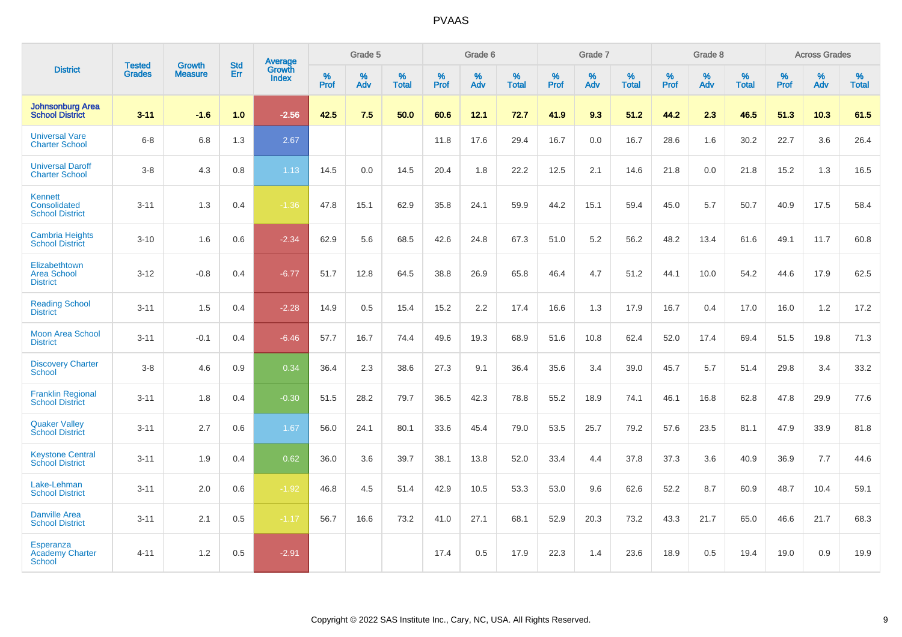|                                                             |                                |                                 | <b>Std</b> | Average                       |           | Grade 5  |                   |           | Grade 6  |                   |           | Grade 7  |                   |           | Grade 8  |                   |           | <b>Across Grades</b> |                   |
|-------------------------------------------------------------|--------------------------------|---------------------------------|------------|-------------------------------|-----------|----------|-------------------|-----------|----------|-------------------|-----------|----------|-------------------|-----------|----------|-------------------|-----------|----------------------|-------------------|
| <b>District</b>                                             | <b>Tested</b><br><b>Grades</b> | <b>Growth</b><br><b>Measure</b> | Err        | <b>Growth</b><br><b>Index</b> | %<br>Prof | %<br>Adv | %<br><b>Total</b> | %<br>Prof | %<br>Adv | %<br><b>Total</b> | %<br>Prof | %<br>Adv | %<br><b>Total</b> | %<br>Prof | %<br>Adv | %<br><b>Total</b> | %<br>Prof | %<br>Adv             | %<br><b>Total</b> |
| <b>Johnsonburg Area</b><br><b>School District</b>           | $3 - 11$                       | $-1.6$                          | 1.0        | $-2.56$                       | 42.5      | 7.5      | 50.0              | 60.6      | 12.1     | 72.7              | 41.9      | 9.3      | 51.2              | 44.2      | 2.3      | 46.5              | 51.3      | 10.3                 | 61.5              |
| <b>Universal Vare</b><br><b>Charter School</b>              | $6 - 8$                        | 6.8                             | 1.3        | 2.67                          |           |          |                   | 11.8      | 17.6     | 29.4              | 16.7      | 0.0      | 16.7              | 28.6      | 1.6      | 30.2              | 22.7      | 3.6                  | 26.4              |
| <b>Universal Daroff</b><br><b>Charter School</b>            | $3 - 8$                        | 4.3                             | 0.8        | 1.13                          | 14.5      | 0.0      | 14.5              | 20.4      | 1.8      | 22.2              | 12.5      | 2.1      | 14.6              | 21.8      | 0.0      | 21.8              | 15.2      | 1.3                  | 16.5              |
| <b>Kennett</b><br>Consolidated<br><b>School District</b>    | $3 - 11$                       | 1.3                             | 0.4        | $-1.36$                       | 47.8      | 15.1     | 62.9              | 35.8      | 24.1     | 59.9              | 44.2      | 15.1     | 59.4              | 45.0      | 5.7      | 50.7              | 40.9      | 17.5                 | 58.4              |
| <b>Cambria Heights</b><br><b>School District</b>            | $3 - 10$                       | 1.6                             | 0.6        | $-2.34$                       | 62.9      | 5.6      | 68.5              | 42.6      | 24.8     | 67.3              | 51.0      | 5.2      | 56.2              | 48.2      | 13.4     | 61.6              | 49.1      | 11.7                 | 60.8              |
| Elizabethtown<br><b>Area School</b><br><b>District</b>      | $3 - 12$                       | $-0.8$                          | 0.4        | $-6.77$                       | 51.7      | 12.8     | 64.5              | 38.8      | 26.9     | 65.8              | 46.4      | 4.7      | 51.2              | 44.1      | 10.0     | 54.2              | 44.6      | 17.9                 | 62.5              |
| <b>Reading School</b><br><b>District</b>                    | $3 - 11$                       | 1.5                             | 0.4        | $-2.28$                       | 14.9      | 0.5      | 15.4              | 15.2      | 2.2      | 17.4              | 16.6      | 1.3      | 17.9              | 16.7      | 0.4      | 17.0              | 16.0      | 1.2                  | 17.2              |
| <b>Moon Area School</b><br><b>District</b>                  | $3 - 11$                       | $-0.1$                          | 0.4        | $-6.46$                       | 57.7      | 16.7     | 74.4              | 49.6      | 19.3     | 68.9              | 51.6      | 10.8     | 62.4              | 52.0      | 17.4     | 69.4              | 51.5      | 19.8                 | 71.3              |
| <b>Discovery Charter</b><br>School                          | $3 - 8$                        | 4.6                             | 0.9        | 0.34                          | 36.4      | 2.3      | 38.6              | 27.3      | 9.1      | 36.4              | 35.6      | 3.4      | 39.0              | 45.7      | 5.7      | 51.4              | 29.8      | 3.4                  | 33.2              |
| <b>Franklin Regional</b><br><b>School District</b>          | $3 - 11$                       | 1.8                             | 0.4        | $-0.30$                       | 51.5      | 28.2     | 79.7              | 36.5      | 42.3     | 78.8              | 55.2      | 18.9     | 74.1              | 46.1      | 16.8     | 62.8              | 47.8      | 29.9                 | 77.6              |
| <b>Quaker Valley</b><br><b>School District</b>              | $3 - 11$                       | 2.7                             | 0.6        | 1.67                          | 56.0      | 24.1     | 80.1              | 33.6      | 45.4     | 79.0              | 53.5      | 25.7     | 79.2              | 57.6      | 23.5     | 81.1              | 47.9      | 33.9                 | 81.8              |
| <b>Keystone Central</b><br><b>School District</b>           | $3 - 11$                       | 1.9                             | 0.4        | 0.62                          | 36.0      | 3.6      | 39.7              | 38.1      | 13.8     | 52.0              | 33.4      | 4.4      | 37.8              | 37.3      | 3.6      | 40.9              | 36.9      | 7.7                  | 44.6              |
| Lake-Lehman<br><b>School District</b>                       | $3 - 11$                       | 2.0                             | 0.6        | $-1.92$                       | 46.8      | 4.5      | 51.4              | 42.9      | 10.5     | 53.3              | 53.0      | 9.6      | 62.6              | 52.2      | 8.7      | 60.9              | 48.7      | 10.4                 | 59.1              |
| <b>Danville Area</b><br><b>School District</b>              | $3 - 11$                       | 2.1                             | 0.5        | $-1.17$                       | 56.7      | 16.6     | 73.2              | 41.0      | 27.1     | 68.1              | 52.9      | 20.3     | 73.2              | 43.3      | 21.7     | 65.0              | 46.6      | 21.7                 | 68.3              |
| <b>Esperanza</b><br><b>Academy Charter</b><br><b>School</b> | $4 - 11$                       | 1.2                             | 0.5        | $-2.91$                       |           |          |                   | 17.4      | 0.5      | 17.9              | 22.3      | 1.4      | 23.6              | 18.9      | 0.5      | 19.4              | 19.0      | 0.9                  | 19.9              |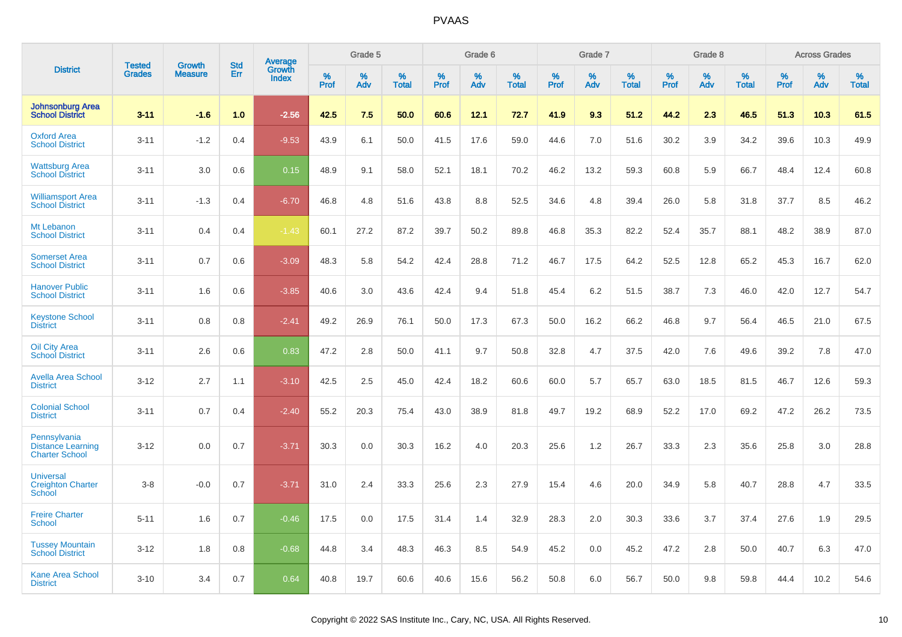|                                                                   | <b>Tested</b> | <b>Growth</b>  | <b>Std</b> |                                          |                     | Grade 5  |                   |              | Grade 6  |                   |              | Grade 7  |                   |              | Grade 8  |                   |           | <b>Across Grades</b> |                   |
|-------------------------------------------------------------------|---------------|----------------|------------|------------------------------------------|---------------------|----------|-------------------|--------------|----------|-------------------|--------------|----------|-------------------|--------------|----------|-------------------|-----------|----------------------|-------------------|
| <b>District</b>                                                   | <b>Grades</b> | <b>Measure</b> | Err        | <b>Average</b><br>Growth<br><b>Index</b> | $\%$<br><b>Prof</b> | %<br>Adv | %<br><b>Total</b> | $\%$<br>Prof | %<br>Adv | %<br><b>Total</b> | $\%$<br>Prof | %<br>Adv | %<br><b>Total</b> | $\%$<br>Prof | %<br>Adv | %<br><b>Total</b> | %<br>Prof | %<br>Adv             | %<br><b>Total</b> |
| <b>Johnsonburg Area</b><br><b>School District</b>                 | $3 - 11$      | $-1.6$         | 1.0        | $-2.56$                                  | 42.5                | 7.5      | 50.0              | 60.6         | 12.1     | 72.7              | 41.9         | 9.3      | 51.2              | 44.2         | 2.3      | 46.5              | 51.3      | 10.3                 | 61.5              |
| <b>Oxford Area</b><br><b>School District</b>                      | $3 - 11$      | $-1.2$         | 0.4        | $-9.53$                                  | 43.9                | 6.1      | 50.0              | 41.5         | 17.6     | 59.0              | 44.6         | 7.0      | 51.6              | 30.2         | 3.9      | 34.2              | 39.6      | 10.3                 | 49.9              |
| <b>Wattsburg Area</b><br><b>School District</b>                   | $3 - 11$      | 3.0            | 0.6        | 0.15                                     | 48.9                | 9.1      | 58.0              | 52.1         | 18.1     | 70.2              | 46.2         | 13.2     | 59.3              | 60.8         | 5.9      | 66.7              | 48.4      | 12.4                 | 60.8              |
| <b>Williamsport Area</b><br><b>School District</b>                | $3 - 11$      | $-1.3$         | 0.4        | $-6.70$                                  | 46.8                | 4.8      | 51.6              | 43.8         | 8.8      | 52.5              | 34.6         | 4.8      | 39.4              | 26.0         | 5.8      | 31.8              | 37.7      | 8.5                  | 46.2              |
| Mt Lebanon<br><b>School District</b>                              | $3 - 11$      | 0.4            | 0.4        | $-1.43$                                  | 60.1                | 27.2     | 87.2              | 39.7         | 50.2     | 89.8              | 46.8         | 35.3     | 82.2              | 52.4         | 35.7     | 88.1              | 48.2      | 38.9                 | 87.0              |
| <b>Somerset Area</b><br><b>School District</b>                    | $3 - 11$      | 0.7            | 0.6        | $-3.09$                                  | 48.3                | 5.8      | 54.2              | 42.4         | 28.8     | 71.2              | 46.7         | 17.5     | 64.2              | 52.5         | 12.8     | 65.2              | 45.3      | 16.7                 | 62.0              |
| <b>Hanover Public</b><br><b>School District</b>                   | $3 - 11$      | 1.6            | 0.6        | $-3.85$                                  | 40.6                | 3.0      | 43.6              | 42.4         | 9.4      | 51.8              | 45.4         | 6.2      | 51.5              | 38.7         | 7.3      | 46.0              | 42.0      | 12.7                 | 54.7              |
| <b>Keystone School</b><br><b>District</b>                         | $3 - 11$      | 0.8            | 0.8        | $-2.41$                                  | 49.2                | 26.9     | 76.1              | 50.0         | 17.3     | 67.3              | 50.0         | 16.2     | 66.2              | 46.8         | 9.7      | 56.4              | 46.5      | 21.0                 | 67.5              |
| Oil City Area<br><b>School District</b>                           | $3 - 11$      | 2.6            | 0.6        | 0.83                                     | 47.2                | 2.8      | 50.0              | 41.1         | 9.7      | 50.8              | 32.8         | 4.7      | 37.5              | 42.0         | 7.6      | 49.6              | 39.2      | 7.8                  | 47.0              |
| <b>Avella Area School</b><br><b>District</b>                      | $3 - 12$      | 2.7            | 1.1        | $-3.10$                                  | 42.5                | 2.5      | 45.0              | 42.4         | 18.2     | 60.6              | 60.0         | 5.7      | 65.7              | 63.0         | 18.5     | 81.5              | 46.7      | 12.6                 | 59.3              |
| <b>Colonial School</b><br><b>District</b>                         | $3 - 11$      | 0.7            | 0.4        | $-2.40$                                  | 55.2                | 20.3     | 75.4              | 43.0         | 38.9     | 81.8              | 49.7         | 19.2     | 68.9              | 52.2         | 17.0     | 69.2              | 47.2      | 26.2                 | 73.5              |
| Pennsylvania<br><b>Distance Learning</b><br><b>Charter School</b> | $3 - 12$      | 0.0            | 0.7        | $-3.71$                                  | 30.3                | 0.0      | 30.3              | 16.2         | 4.0      | 20.3              | 25.6         | 1.2      | 26.7              | 33.3         | 2.3      | 35.6              | 25.8      | 3.0                  | 28.8              |
| <b>Universal</b><br><b>Creighton Charter</b><br><b>School</b>     | $3-8$         | $-0.0$         | 0.7        | $-3.71$                                  | 31.0                | 2.4      | 33.3              | 25.6         | 2.3      | 27.9              | 15.4         | 4.6      | 20.0              | 34.9         | 5.8      | 40.7              | 28.8      | 4.7                  | 33.5              |
| <b>Freire Charter</b><br><b>School</b>                            | $5 - 11$      | 1.6            | 0.7        | $-0.46$                                  | 17.5                | 0.0      | 17.5              | 31.4         | 1.4      | 32.9              | 28.3         | 2.0      | 30.3              | 33.6         | 3.7      | 37.4              | 27.6      | 1.9                  | 29.5              |
| <b>Tussey Mountain</b><br><b>School District</b>                  | $3 - 12$      | 1.8            | 0.8        | $-0.68$                                  | 44.8                | 3.4      | 48.3              | 46.3         | 8.5      | 54.9              | 45.2         | 0.0      | 45.2              | 47.2         | 2.8      | 50.0              | 40.7      | 6.3                  | 47.0              |
| <b>Kane Area School</b><br><b>District</b>                        | $3 - 10$      | 3.4            | 0.7        | 0.64                                     | 40.8                | 19.7     | 60.6              | 40.6         | 15.6     | 56.2              | 50.8         | 6.0      | 56.7              | 50.0         | 9.8      | 59.8              | 44.4      | 10.2                 | 54.6              |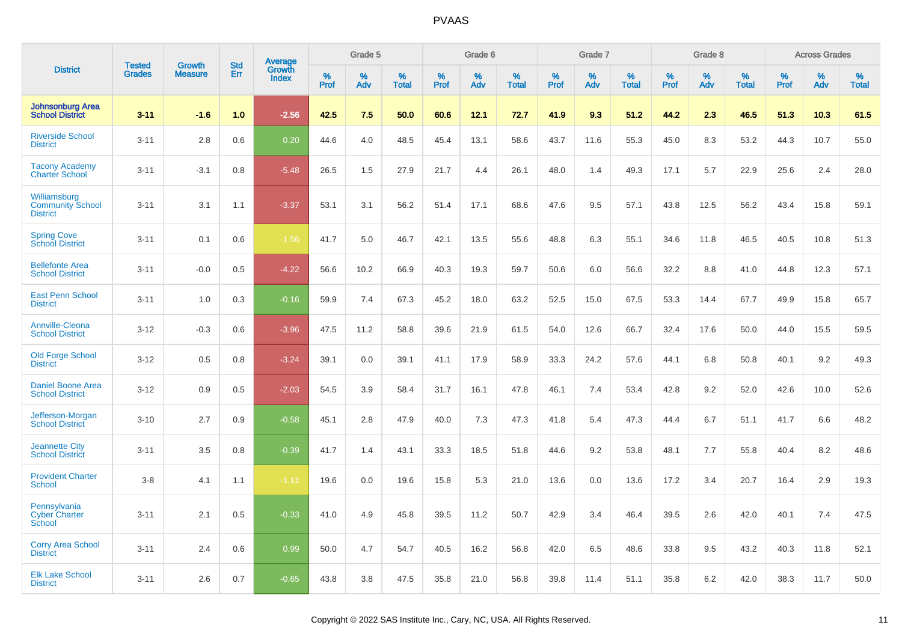|                                                            | <b>Tested</b> | <b>Growth</b>  | <b>Std</b> | Average                |              | Grade 5  |                   |              | Grade 6  |                   |              | Grade 7  |                   |              | Grade 8  |                   |              | <b>Across Grades</b> |                   |
|------------------------------------------------------------|---------------|----------------|------------|------------------------|--------------|----------|-------------------|--------------|----------|-------------------|--------------|----------|-------------------|--------------|----------|-------------------|--------------|----------------------|-------------------|
| <b>District</b>                                            | <b>Grades</b> | <b>Measure</b> | Err        | Growth<br><b>Index</b> | $\%$<br>Prof | %<br>Adv | %<br><b>Total</b> | $\%$<br>Prof | %<br>Adv | %<br><b>Total</b> | $\%$<br>Prof | %<br>Adv | %<br><b>Total</b> | $\%$<br>Prof | %<br>Adv | %<br><b>Total</b> | $\%$<br>Prof | %<br>Adv             | %<br><b>Total</b> |
| <b>Johnsonburg Area</b><br><b>School District</b>          | $3 - 11$      | $-1.6$         | 1.0        | $-2.56$                | 42.5         | 7.5      | 50.0              | 60.6         | 12.1     | 72.7              | 41.9         | 9.3      | 51.2              | 44.2         | 2.3      | 46.5              | 51.3         | 10.3                 | 61.5              |
| <b>Riverside School</b><br><b>District</b>                 | $3 - 11$      | 2.8            | 0.6        | 0.20                   | 44.6         | 4.0      | 48.5              | 45.4         | 13.1     | 58.6              | 43.7         | 11.6     | 55.3              | 45.0         | 8.3      | 53.2              | 44.3         | 10.7                 | 55.0              |
| <b>Tacony Academy</b><br><b>Charter School</b>             | $3 - 11$      | $-3.1$         | 0.8        | $-5.48$                | 26.5         | 1.5      | 27.9              | 21.7         | 4.4      | 26.1              | 48.0         | 1.4      | 49.3              | 17.1         | 5.7      | 22.9              | 25.6         | 2.4                  | 28.0              |
| Williamsburg<br><b>Community School</b><br><b>District</b> | $3 - 11$      | 3.1            | 1.1        | $-3.37$                | 53.1         | 3.1      | 56.2              | 51.4         | 17.1     | 68.6              | 47.6         | 9.5      | 57.1              | 43.8         | 12.5     | 56.2              | 43.4         | 15.8                 | 59.1              |
| <b>Spring Cove</b><br><b>School District</b>               | $3 - 11$      | 0.1            | 0.6        | $-1.56$                | 41.7         | 5.0      | 46.7              | 42.1         | 13.5     | 55.6              | 48.8         | 6.3      | 55.1              | 34.6         | 11.8     | 46.5              | 40.5         | 10.8                 | 51.3              |
| <b>Bellefonte Area</b><br><b>School District</b>           | $3 - 11$      | $-0.0$         | 0.5        | $-4.22$                | 56.6         | 10.2     | 66.9              | 40.3         | 19.3     | 59.7              | 50.6         | 6.0      | 56.6              | 32.2         | 8.8      | 41.0              | 44.8         | 12.3                 | 57.1              |
| <b>East Penn School</b><br><b>District</b>                 | $3 - 11$      | 1.0            | 0.3        | $-0.16$                | 59.9         | 7.4      | 67.3              | 45.2         | 18.0     | 63.2              | 52.5         | 15.0     | 67.5              | 53.3         | 14.4     | 67.7              | 49.9         | 15.8                 | 65.7              |
| <b>Annville-Cleona</b><br><b>School District</b>           | $3 - 12$      | $-0.3$         | 0.6        | $-3.96$                | 47.5         | 11.2     | 58.8              | 39.6         | 21.9     | 61.5              | 54.0         | 12.6     | 66.7              | 32.4         | 17.6     | 50.0              | 44.0         | 15.5                 | 59.5              |
| <b>Old Forge School</b><br><b>District</b>                 | $3 - 12$      | 0.5            | 0.8        | $-3.24$                | 39.1         | 0.0      | 39.1              | 41.1         | 17.9     | 58.9              | 33.3         | 24.2     | 57.6              | 44.1         | 6.8      | 50.8              | 40.1         | 9.2                  | 49.3              |
| <b>Daniel Boone Area</b><br><b>School District</b>         | $3 - 12$      | 0.9            | 0.5        | $-2.03$                | 54.5         | 3.9      | 58.4              | 31.7         | 16.1     | 47.8              | 46.1         | 7.4      | 53.4              | 42.8         | 9.2      | 52.0              | 42.6         | 10.0                 | 52.6              |
| Jefferson-Morgan<br><b>School District</b>                 | $3 - 10$      | 2.7            | 0.9        | $-0.58$                | 45.1         | 2.8      | 47.9              | 40.0         | 7.3      | 47.3              | 41.8         | 5.4      | 47.3              | 44.4         | 6.7      | 51.1              | 41.7         | 6.6                  | 48.2              |
| <b>Jeannette City</b><br><b>School District</b>            | $3 - 11$      | 3.5            | 0.8        | $-0.39$                | 41.7         | 1.4      | 43.1              | 33.3         | 18.5     | 51.8              | 44.6         | 9.2      | 53.8              | 48.1         | 7.7      | 55.8              | 40.4         | 8.2                  | 48.6              |
| <b>Provident Charter</b><br><b>School</b>                  | $3 - 8$       | 4.1            | 1.1        | $-1.11$                | 19.6         | 0.0      | 19.6              | 15.8         | 5.3      | 21.0              | 13.6         | 0.0      | 13.6              | 17.2         | 3.4      | 20.7              | 16.4         | 2.9                  | 19.3              |
| Pennsylvania<br><b>Cyber Charter</b><br>School             | $3 - 11$      | 2.1            | 0.5        | $-0.33$                | 41.0         | 4.9      | 45.8              | 39.5         | 11.2     | 50.7              | 42.9         | 3.4      | 46.4              | 39.5         | 2.6      | 42.0              | 40.1         | 7.4                  | 47.5              |
| <b>Corry Area School</b><br><b>District</b>                | $3 - 11$      | 2.4            | 0.6        | 0.99                   | 50.0         | 4.7      | 54.7              | 40.5         | 16.2     | 56.8              | 42.0         | 6.5      | 48.6              | 33.8         | 9.5      | 43.2              | 40.3         | 11.8                 | 52.1              |
| <b>Elk Lake School</b><br><b>District</b>                  | $3 - 11$      | 2.6            | 0.7        | $-0.65$                | 43.8         | 3.8      | 47.5              | 35.8         | 21.0     | 56.8              | 39.8         | 11.4     | 51.1              | 35.8         | 6.2      | 42.0              | 38.3         | 11.7                 | 50.0              |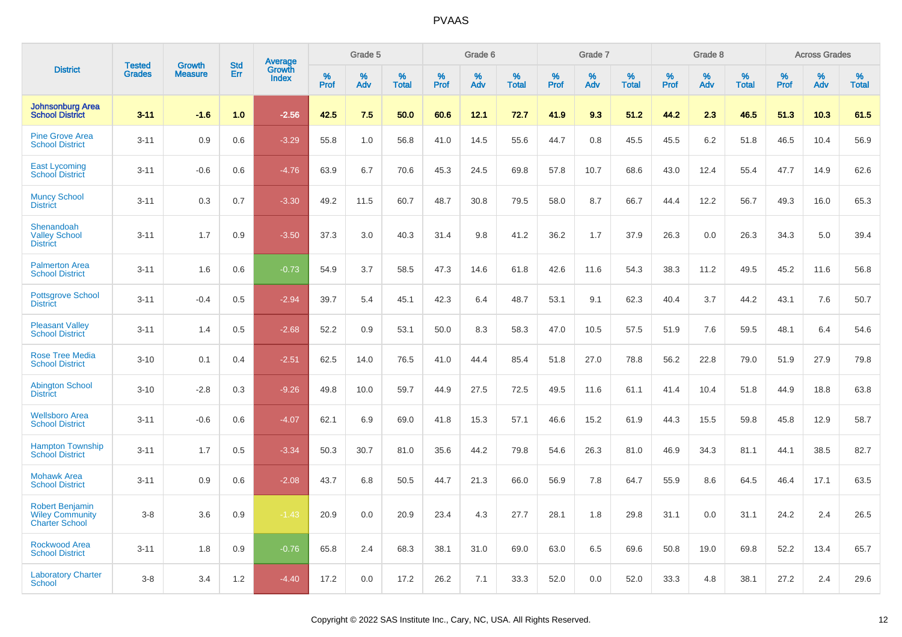|                                                                           | <b>Tested</b> | <b>Growth</b>  | <b>Std</b> | <b>Average</b>         |              | Grade 5  |                   |              | Grade 6  |                   |              | Grade 7  |                   |              | Grade 8  |                   |              | <b>Across Grades</b> |                   |
|---------------------------------------------------------------------------|---------------|----------------|------------|------------------------|--------------|----------|-------------------|--------------|----------|-------------------|--------------|----------|-------------------|--------------|----------|-------------------|--------------|----------------------|-------------------|
| <b>District</b>                                                           | <b>Grades</b> | <b>Measure</b> | Err        | Growth<br><b>Index</b> | $\%$<br>Prof | %<br>Adv | %<br><b>Total</b> | $\%$<br>Prof | %<br>Adv | %<br><b>Total</b> | $\%$<br>Prof | %<br>Adv | %<br><b>Total</b> | $\%$<br>Prof | %<br>Adv | %<br><b>Total</b> | $\%$<br>Prof | %<br>Adv             | %<br><b>Total</b> |
| <b>Johnsonburg Area</b><br><b>School District</b>                         | $3 - 11$      | $-1.6$         | 1.0        | $-2.56$                | 42.5         | 7.5      | 50.0              | 60.6         | 12.1     | 72.7              | 41.9         | 9.3      | 51.2              | 44.2         | 2.3      | 46.5              | 51.3         | 10.3                 | 61.5              |
| <b>Pine Grove Area</b><br><b>School District</b>                          | $3 - 11$      | 0.9            | 0.6        | $-3.29$                | 55.8         | 1.0      | 56.8              | 41.0         | 14.5     | 55.6              | 44.7         | 0.8      | 45.5              | 45.5         | 6.2      | 51.8              | 46.5         | 10.4                 | 56.9              |
| <b>East Lycoming</b><br><b>School District</b>                            | $3 - 11$      | $-0.6$         | 0.6        | $-4.76$                | 63.9         | 6.7      | 70.6              | 45.3         | 24.5     | 69.8              | 57.8         | 10.7     | 68.6              | 43.0         | 12.4     | 55.4              | 47.7         | 14.9                 | 62.6              |
| <b>Muncy School</b><br><b>District</b>                                    | $3 - 11$      | 0.3            | 0.7        | $-3.30$                | 49.2         | 11.5     | 60.7              | 48.7         | 30.8     | 79.5              | 58.0         | 8.7      | 66.7              | 44.4         | 12.2     | 56.7              | 49.3         | 16.0                 | 65.3              |
| Shenandoah<br><b>Valley School</b><br><b>District</b>                     | $3 - 11$      | 1.7            | 0.9        | $-3.50$                | 37.3         | 3.0      | 40.3              | 31.4         | 9.8      | 41.2              | 36.2         | 1.7      | 37.9              | 26.3         | 0.0      | 26.3              | 34.3         | 5.0                  | 39.4              |
| <b>Palmerton Area</b><br><b>School District</b>                           | $3 - 11$      | 1.6            | 0.6        | $-0.73$                | 54.9         | 3.7      | 58.5              | 47.3         | 14.6     | 61.8              | 42.6         | 11.6     | 54.3              | 38.3         | 11.2     | 49.5              | 45.2         | 11.6                 | 56.8              |
| <b>Pottsgrove School</b><br><b>District</b>                               | $3 - 11$      | $-0.4$         | 0.5        | $-2.94$                | 39.7         | 5.4      | 45.1              | 42.3         | 6.4      | 48.7              | 53.1         | 9.1      | 62.3              | 40.4         | 3.7      | 44.2              | 43.1         | 7.6                  | 50.7              |
| <b>Pleasant Valley</b><br><b>School District</b>                          | $3 - 11$      | 1.4            | 0.5        | $-2.68$                | 52.2         | 0.9      | 53.1              | 50.0         | 8.3      | 58.3              | 47.0         | 10.5     | 57.5              | 51.9         | 7.6      | 59.5              | 48.1         | 6.4                  | 54.6              |
| <b>Rose Tree Media</b><br><b>School District</b>                          | $3 - 10$      | 0.1            | 0.4        | $-2.51$                | 62.5         | 14.0     | 76.5              | 41.0         | 44.4     | 85.4              | 51.8         | 27.0     | 78.8              | 56.2         | 22.8     | 79.0              | 51.9         | 27.9                 | 79.8              |
| <b>Abington School</b><br><b>District</b>                                 | $3 - 10$      | $-2.8$         | 0.3        | $-9.26$                | 49.8         | 10.0     | 59.7              | 44.9         | 27.5     | 72.5              | 49.5         | 11.6     | 61.1              | 41.4         | 10.4     | 51.8              | 44.9         | 18.8                 | 63.8              |
| <b>Wellsboro Area</b><br><b>School District</b>                           | $3 - 11$      | $-0.6$         | 0.6        | $-4.07$                | 62.1         | 6.9      | 69.0              | 41.8         | 15.3     | 57.1              | 46.6         | 15.2     | 61.9              | 44.3         | 15.5     | 59.8              | 45.8         | 12.9                 | 58.7              |
| <b>Hampton Township</b><br><b>School District</b>                         | $3 - 11$      | 1.7            | 0.5        | $-3.34$                | 50.3         | 30.7     | 81.0              | 35.6         | 44.2     | 79.8              | 54.6         | 26.3     | 81.0              | 46.9         | 34.3     | 81.1              | 44.1         | 38.5                 | 82.7              |
| <b>Mohawk Area</b><br><b>School District</b>                              | $3 - 11$      | 0.9            | 0.6        | $-2.08$                | 43.7         | 6.8      | 50.5              | 44.7         | 21.3     | 66.0              | 56.9         | 7.8      | 64.7              | 55.9         | 8.6      | 64.5              | 46.4         | 17.1                 | 63.5              |
| <b>Robert Benjamin</b><br><b>Wiley Community</b><br><b>Charter School</b> | $3-8$         | 3.6            | 0.9        | $-1.43$                | 20.9         | 0.0      | 20.9              | 23.4         | 4.3      | 27.7              | 28.1         | 1.8      | 29.8              | 31.1         | 0.0      | 31.1              | 24.2         | 2.4                  | 26.5              |
| <b>Rockwood Area</b><br><b>School District</b>                            | $3 - 11$      | 1.8            | 0.9        | $-0.76$                | 65.8         | 2.4      | 68.3              | 38.1         | 31.0     | 69.0              | 63.0         | 6.5      | 69.6              | 50.8         | 19.0     | 69.8              | 52.2         | 13.4                 | 65.7              |
| <b>Laboratory Charter</b><br><b>School</b>                                | $3-8$         | 3.4            | 1.2        | $-4.40$                | 17.2         | 0.0      | 17.2              | 26.2         | 7.1      | 33.3              | 52.0         | 0.0      | 52.0              | 33.3         | 4.8      | 38.1              | 27.2         | 2.4                  | 29.6              |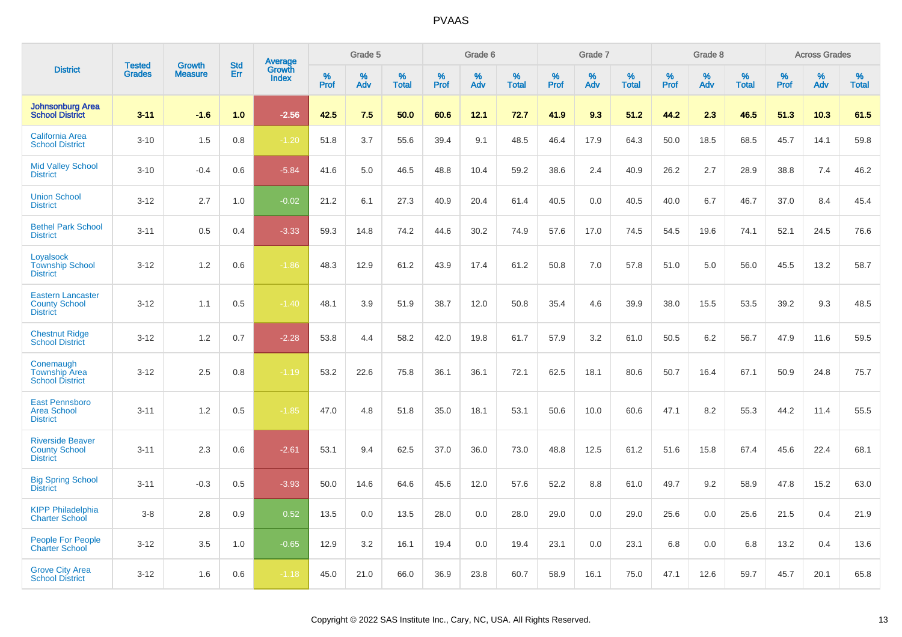|                                                                     | <b>Tested</b> | <b>Growth</b>  | <b>Std</b> | Average<br>Growth |           | Grade 5  |                   |           | Grade 6  |                   |           | Grade 7  |                   |           | Grade 8  |                   |              | <b>Across Grades</b> |                   |
|---------------------------------------------------------------------|---------------|----------------|------------|-------------------|-----------|----------|-------------------|-----------|----------|-------------------|-----------|----------|-------------------|-----------|----------|-------------------|--------------|----------------------|-------------------|
| <b>District</b>                                                     | <b>Grades</b> | <b>Measure</b> | Err        | <b>Index</b>      | %<br>Prof | %<br>Adv | %<br><b>Total</b> | %<br>Prof | %<br>Adv | %<br><b>Total</b> | %<br>Prof | %<br>Adv | %<br><b>Total</b> | %<br>Prof | %<br>Adv | %<br><b>Total</b> | $\%$<br>Prof | %<br>Adv             | %<br><b>Total</b> |
| <b>Johnsonburg Area</b><br><b>School District</b>                   | $3 - 11$      | $-1.6$         | 1.0        | $-2.56$           | 42.5      | 7.5      | 50.0              | 60.6      | 12.1     | 72.7              | 41.9      | 9.3      | 51.2              | 44.2      | 2.3      | 46.5              | 51.3         | 10.3                 | 61.5              |
| <b>California Area</b><br><b>School District</b>                    | $3 - 10$      | 1.5            | 0.8        | $-1.20$           | 51.8      | 3.7      | 55.6              | 39.4      | 9.1      | 48.5              | 46.4      | 17.9     | 64.3              | 50.0      | 18.5     | 68.5              | 45.7         | 14.1                 | 59.8              |
| <b>Mid Valley School</b><br><b>District</b>                         | $3 - 10$      | $-0.4$         | 0.6        | $-5.84$           | 41.6      | 5.0      | 46.5              | 48.8      | 10.4     | 59.2              | 38.6      | 2.4      | 40.9              | 26.2      | 2.7      | 28.9              | 38.8         | 7.4                  | 46.2              |
| <b>Union School</b><br><b>District</b>                              | $3 - 12$      | 2.7            | 1.0        | $-0.02$           | 21.2      | 6.1      | 27.3              | 40.9      | 20.4     | 61.4              | 40.5      | 0.0      | 40.5              | 40.0      | 6.7      | 46.7              | 37.0         | 8.4                  | 45.4              |
| <b>Bethel Park School</b><br><b>District</b>                        | $3 - 11$      | 0.5            | 0.4        | $-3.33$           | 59.3      | 14.8     | 74.2              | 44.6      | 30.2     | 74.9              | 57.6      | 17.0     | 74.5              | 54.5      | 19.6     | 74.1              | 52.1         | 24.5                 | 76.6              |
| Loyalsock<br><b>Township School</b><br><b>District</b>              | $3 - 12$      | 1.2            | 0.6        | $-1.86$           | 48.3      | 12.9     | 61.2              | 43.9      | 17.4     | 61.2              | 50.8      | 7.0      | 57.8              | 51.0      | 5.0      | 56.0              | 45.5         | 13.2                 | 58.7              |
| <b>Eastern Lancaster</b><br><b>County School</b><br><b>District</b> | $3 - 12$      | 1.1            | 0.5        | $-1.40$           | 48.1      | 3.9      | 51.9              | 38.7      | 12.0     | 50.8              | 35.4      | 4.6      | 39.9              | 38.0      | 15.5     | 53.5              | 39.2         | 9.3                  | 48.5              |
| <b>Chestnut Ridge</b><br><b>School District</b>                     | $3 - 12$      | 1.2            | 0.7        | $-2.28$           | 53.8      | 4.4      | 58.2              | 42.0      | 19.8     | 61.7              | 57.9      | 3.2      | 61.0              | 50.5      | 6.2      | 56.7              | 47.9         | 11.6                 | 59.5              |
| Conemaugh<br><b>Township Area</b><br><b>School District</b>         | $3 - 12$      | 2.5            | 0.8        | $-1.19$           | 53.2      | 22.6     | 75.8              | 36.1      | 36.1     | 72.1              | 62.5      | 18.1     | 80.6              | 50.7      | 16.4     | 67.1              | 50.9         | 24.8                 | 75.7              |
| <b>East Pennsboro</b><br><b>Area School</b><br><b>District</b>      | $3 - 11$      | 1.2            | 0.5        | $-1.85$           | 47.0      | 4.8      | 51.8              | 35.0      | 18.1     | 53.1              | 50.6      | 10.0     | 60.6              | 47.1      | 8.2      | 55.3              | 44.2         | 11.4                 | 55.5              |
| <b>Riverside Beaver</b><br><b>County School</b><br><b>District</b>  | $3 - 11$      | 2.3            | 0.6        | $-2.61$           | 53.1      | 9.4      | 62.5              | 37.0      | 36.0     | 73.0              | 48.8      | 12.5     | 61.2              | 51.6      | 15.8     | 67.4              | 45.6         | 22.4                 | 68.1              |
| <b>Big Spring School</b><br><b>District</b>                         | $3 - 11$      | $-0.3$         | 0.5        | $-3.93$           | 50.0      | 14.6     | 64.6              | 45.6      | 12.0     | 57.6              | 52.2      | 8.8      | 61.0              | 49.7      | 9.2      | 58.9              | 47.8         | 15.2                 | 63.0              |
| <b>KIPP Philadelphia</b><br><b>Charter School</b>                   | $3 - 8$       | 2.8            | 0.9        | 0.52              | 13.5      | 0.0      | 13.5              | 28.0      | 0.0      | 28.0              | 29.0      | 0.0      | 29.0              | 25.6      | 0.0      | 25.6              | 21.5         | 0.4                  | 21.9              |
| People For People<br><b>Charter School</b>                          | $3 - 12$      | 3.5            | 1.0        | $-0.65$           | 12.9      | 3.2      | 16.1              | 19.4      | 0.0      | 19.4              | 23.1      | 0.0      | 23.1              | 6.8       | 0.0      | 6.8               | 13.2         | 0.4                  | 13.6              |
| <b>Grove City Area</b><br><b>School District</b>                    | $3 - 12$      | 1.6            | 0.6        | $-1.18$           | 45.0      | 21.0     | 66.0              | 36.9      | 23.8     | 60.7              | 58.9      | 16.1     | 75.0              | 47.1      | 12.6     | 59.7              | 45.7         | 20.1                 | 65.8              |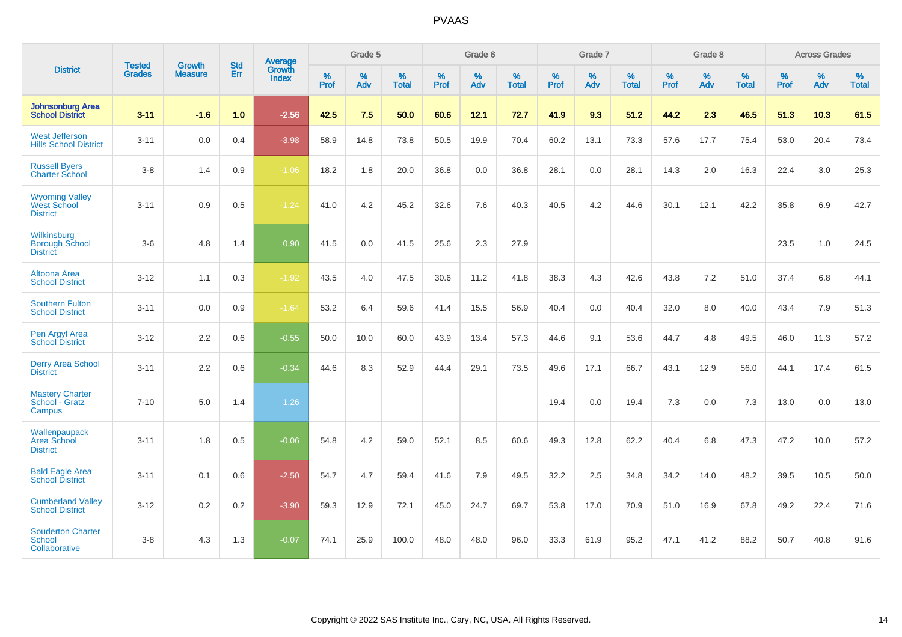|                                                                | <b>Tested</b> | <b>Growth</b>  | <b>Std</b> | Average                |                     | Grade 5  |                   |                     | Grade 6  |                   |              | Grade 7  |                   |                     | Grade 8  |                   |                     | <b>Across Grades</b> |                   |
|----------------------------------------------------------------|---------------|----------------|------------|------------------------|---------------------|----------|-------------------|---------------------|----------|-------------------|--------------|----------|-------------------|---------------------|----------|-------------------|---------------------|----------------------|-------------------|
| <b>District</b>                                                | <b>Grades</b> | <b>Measure</b> | Err        | Growth<br><b>Index</b> | $\%$<br><b>Prof</b> | %<br>Adv | %<br><b>Total</b> | $\%$<br><b>Prof</b> | %<br>Adv | %<br><b>Total</b> | $\%$<br>Prof | %<br>Adv | %<br><b>Total</b> | $\%$<br><b>Prof</b> | %<br>Adv | %<br><b>Total</b> | $\%$<br><b>Prof</b> | %<br>Adv             | %<br><b>Total</b> |
| <b>Johnsonburg Area</b><br><b>School District</b>              | $3 - 11$      | $-1.6$         | 1.0        | $-2.56$                | 42.5                | 7.5      | 50.0              | 60.6                | 12.1     | 72.7              | 41.9         | 9.3      | 51.2              | 44.2                | 2.3      | 46.5              | 51.3                | 10.3                 | 61.5              |
| <b>West Jefferson</b><br><b>Hills School District</b>          | $3 - 11$      | 0.0            | 0.4        | $-3.98$                | 58.9                | 14.8     | 73.8              | 50.5                | 19.9     | 70.4              | 60.2         | 13.1     | 73.3              | 57.6                | 17.7     | 75.4              | 53.0                | 20.4                 | 73.4              |
| <b>Russell Byers</b><br><b>Charter School</b>                  | $3 - 8$       | 1.4            | 0.9        | $-1.06$                | 18.2                | 1.8      | 20.0              | 36.8                | 0.0      | 36.8              | 28.1         | 0.0      | 28.1              | 14.3                | 2.0      | 16.3              | 22.4                | 3.0                  | 25.3              |
| <b>Wyoming Valley</b><br><b>West School</b><br><b>District</b> | $3 - 11$      | 0.9            | 0.5        | $-1.24$                | 41.0                | 4.2      | 45.2              | 32.6                | 7.6      | 40.3              | 40.5         | 4.2      | 44.6              | 30.1                | 12.1     | 42.2              | 35.8                | 6.9                  | 42.7              |
| Wilkinsburg<br><b>Borough School</b><br><b>District</b>        | $3-6$         | 4.8            | 1.4        | 0.90                   | 41.5                | 0.0      | 41.5              | 25.6                | 2.3      | 27.9              |              |          |                   |                     |          |                   | 23.5                | 1.0                  | 24.5              |
| Altoona Area<br><b>School District</b>                         | $3 - 12$      | 1.1            | 0.3        | $-1.92$                | 43.5                | 4.0      | 47.5              | 30.6                | 11.2     | 41.8              | 38.3         | 4.3      | 42.6              | 43.8                | 7.2      | 51.0              | 37.4                | 6.8                  | 44.1              |
| <b>Southern Fulton</b><br><b>School District</b>               | $3 - 11$      | 0.0            | 0.9        | $-1.64$                | 53.2                | 6.4      | 59.6              | 41.4                | 15.5     | 56.9              | 40.4         | 0.0      | 40.4              | 32.0                | 8.0      | 40.0              | 43.4                | 7.9                  | 51.3              |
| Pen Argyl Area<br><b>School District</b>                       | $3 - 12$      | 2.2            | 0.6        | $-0.55$                | 50.0                | 10.0     | 60.0              | 43.9                | 13.4     | 57.3              | 44.6         | 9.1      | 53.6              | 44.7                | 4.8      | 49.5              | 46.0                | 11.3                 | 57.2              |
| <b>Derry Area School</b><br><b>District</b>                    | $3 - 11$      | 2.2            | 0.6        | $-0.34$                | 44.6                | 8.3      | 52.9              | 44.4                | 29.1     | 73.5              | 49.6         | 17.1     | 66.7              | 43.1                | 12.9     | 56.0              | 44.1                | 17.4                 | 61.5              |
| <b>Mastery Charter</b><br>School - Gratz<br>Campus             | $7 - 10$      | 5.0            | 1.4        | 1.26                   |                     |          |                   |                     |          |                   | 19.4         | 0.0      | 19.4              | 7.3                 | 0.0      | 7.3               | 13.0                | 0.0                  | 13.0              |
| Wallenpaupack<br>Area School<br><b>District</b>                | $3 - 11$      | 1.8            | 0.5        | $-0.06$                | 54.8                | 4.2      | 59.0              | 52.1                | 8.5      | 60.6              | 49.3         | 12.8     | 62.2              | 40.4                | 6.8      | 47.3              | 47.2                | 10.0                 | 57.2              |
| <b>Bald Eagle Area</b><br><b>School District</b>               | $3 - 11$      | 0.1            | 0.6        | $-2.50$                | 54.7                | 4.7      | 59.4              | 41.6                | 7.9      | 49.5              | 32.2         | 2.5      | 34.8              | 34.2                | 14.0     | 48.2              | 39.5                | 10.5                 | 50.0              |
| <b>Cumberland Valley</b><br><b>School District</b>             | $3 - 12$      | 0.2            | 0.2        | $-3.90$                | 59.3                | 12.9     | 72.1              | 45.0                | 24.7     | 69.7              | 53.8         | 17.0     | 70.9              | 51.0                | 16.9     | 67.8              | 49.2                | 22.4                 | 71.6              |
| <b>Souderton Charter</b><br><b>School</b><br>Collaborative     | $3 - 8$       | 4.3            | 1.3        | $-0.07$                | 74.1                | 25.9     | 100.0             | 48.0                | 48.0     | 96.0              | 33.3         | 61.9     | 95.2              | 47.1                | 41.2     | 88.2              | 50.7                | 40.8                 | 91.6              |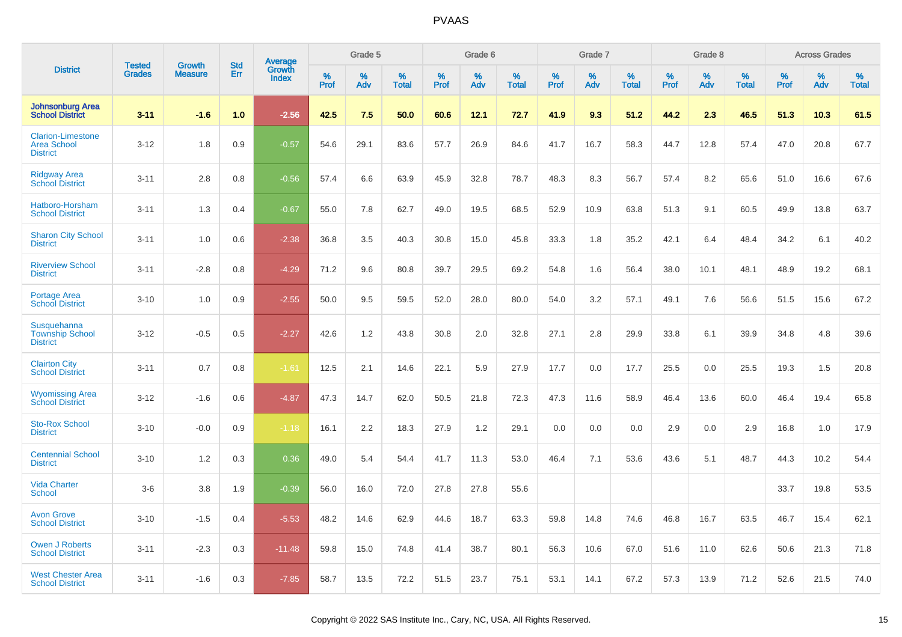|                                                                   | <b>Tested</b> | <b>Growth</b>  | <b>Std</b> | <b>Average</b>         |                  | Grade 5     |                   |           | Grade 6  |                   |                  | Grade 7  |                   |           | Grade 8  |                   |           | <b>Across Grades</b> |                   |
|-------------------------------------------------------------------|---------------|----------------|------------|------------------------|------------------|-------------|-------------------|-----------|----------|-------------------|------------------|----------|-------------------|-----------|----------|-------------------|-----------|----------------------|-------------------|
| <b>District</b>                                                   | <b>Grades</b> | <b>Measure</b> | Err        | Growth<br><b>Index</b> | %<br><b>Prof</b> | $\%$<br>Adv | %<br><b>Total</b> | %<br>Prof | %<br>Adv | %<br><b>Total</b> | %<br><b>Prof</b> | %<br>Adv | %<br><b>Total</b> | %<br>Prof | %<br>Adv | %<br><b>Total</b> | %<br>Prof | %<br>Adv             | %<br><b>Total</b> |
| <b>Johnsonburg Area</b><br><b>School District</b>                 | $3 - 11$      | $-1.6$         | 1.0        | $-2.56$                | 42.5             | 7.5         | 50.0              | 60.6      | 12.1     | 72.7              | 41.9             | 9.3      | 51.2              | 44.2      | 2.3      | 46.5              | 51.3      | 10.3                 | 61.5              |
| <b>Clarion-Limestone</b><br><b>Area School</b><br><b>District</b> | $3 - 12$      | 1.8            | 0.9        | $-0.57$                | 54.6             | 29.1        | 83.6              | 57.7      | 26.9     | 84.6              | 41.7             | 16.7     | 58.3              | 44.7      | 12.8     | 57.4              | 47.0      | 20.8                 | 67.7              |
| <b>Ridgway Area</b><br><b>School District</b>                     | $3 - 11$      | 2.8            | 0.8        | $-0.56$                | 57.4             | 6.6         | 63.9              | 45.9      | 32.8     | 78.7              | 48.3             | 8.3      | 56.7              | 57.4      | 8.2      | 65.6              | 51.0      | 16.6                 | 67.6              |
| Hatboro-Horsham<br><b>School District</b>                         | $3 - 11$      | 1.3            | 0.4        | $-0.67$                | 55.0             | 7.8         | 62.7              | 49.0      | 19.5     | 68.5              | 52.9             | 10.9     | 63.8              | 51.3      | 9.1      | 60.5              | 49.9      | 13.8                 | 63.7              |
| <b>Sharon City School</b><br><b>District</b>                      | $3 - 11$      | 1.0            | 0.6        | $-2.38$                | 36.8             | 3.5         | 40.3              | 30.8      | 15.0     | 45.8              | 33.3             | 1.8      | 35.2              | 42.1      | 6.4      | 48.4              | 34.2      | 6.1                  | 40.2              |
| <b>Riverview School</b><br><b>District</b>                        | $3 - 11$      | $-2.8$         | 0.8        | $-4.29$                | 71.2             | 9.6         | 80.8              | 39.7      | 29.5     | 69.2              | 54.8             | 1.6      | 56.4              | 38.0      | 10.1     | 48.1              | 48.9      | 19.2                 | 68.1              |
| Portage Area<br><b>School District</b>                            | $3 - 10$      | 1.0            | 0.9        | $-2.55$                | 50.0             | 9.5         | 59.5              | 52.0      | 28.0     | 80.0              | 54.0             | 3.2      | 57.1              | 49.1      | 7.6      | 56.6              | 51.5      | 15.6                 | 67.2              |
| <b>Susquehanna</b><br><b>Township School</b><br><b>District</b>   | $3 - 12$      | $-0.5$         | 0.5        | $-2.27$                | 42.6             | 1.2         | 43.8              | 30.8      | 2.0      | 32.8              | 27.1             | 2.8      | 29.9              | 33.8      | 6.1      | 39.9              | 34.8      | 4.8                  | 39.6              |
| <b>Clairton City</b><br><b>School District</b>                    | $3 - 11$      | 0.7            | 0.8        | $-1.61$                | 12.5             | 2.1         | 14.6              | 22.1      | 5.9      | 27.9              | 17.7             | 0.0      | 17.7              | 25.5      | 0.0      | 25.5              | 19.3      | 1.5                  | 20.8              |
| <b>Wyomissing Area</b><br><b>School District</b>                  | $3 - 12$      | $-1.6$         | 0.6        | $-4.87$                | 47.3             | 14.7        | 62.0              | 50.5      | 21.8     | 72.3              | 47.3             | 11.6     | 58.9              | 46.4      | 13.6     | 60.0              | 46.4      | 19.4                 | 65.8              |
| <b>Sto-Rox School</b><br><b>District</b>                          | $3 - 10$      | $-0.0$         | 0.9        | $-1.18$                | 16.1             | 2.2         | 18.3              | 27.9      | 1.2      | 29.1              | 0.0              | 0.0      | 0.0               | 2.9       | 0.0      | 2.9               | 16.8      | 1.0                  | 17.9              |
| <b>Centennial School</b><br><b>District</b>                       | $3 - 10$      | 1.2            | 0.3        | 0.36                   | 49.0             | 5.4         | 54.4              | 41.7      | 11.3     | 53.0              | 46.4             | 7.1      | 53.6              | 43.6      | 5.1      | 48.7              | 44.3      | 10.2                 | 54.4              |
| <b>Vida Charter</b><br><b>School</b>                              | $3-6$         | 3.8            | 1.9        | $-0.39$                | 56.0             | 16.0        | 72.0              | 27.8      | 27.8     | 55.6              |                  |          |                   |           |          |                   | 33.7      | 19.8                 | 53.5              |
| <b>Avon Grove</b><br><b>School District</b>                       | $3 - 10$      | $-1.5$         | 0.4        | $-5.53$                | 48.2             | 14.6        | 62.9              | 44.6      | 18.7     | 63.3              | 59.8             | 14.8     | 74.6              | 46.8      | 16.7     | 63.5              | 46.7      | 15.4                 | 62.1              |
| <b>Owen J Roberts</b><br><b>School District</b>                   | $3 - 11$      | $-2.3$         | 0.3        | $-11.48$               | 59.8             | 15.0        | 74.8              | 41.4      | 38.7     | 80.1              | 56.3             | 10.6     | 67.0              | 51.6      | 11.0     | 62.6              | 50.6      | 21.3                 | 71.8              |
| <b>West Chester Area</b><br><b>School District</b>                | $3 - 11$      | $-1.6$         | 0.3        | $-7.85$                | 58.7             | 13.5        | 72.2              | 51.5      | 23.7     | 75.1              | 53.1             | 14.1     | 67.2              | 57.3      | 13.9     | 71.2              | 52.6      | 21.5                 | 74.0              |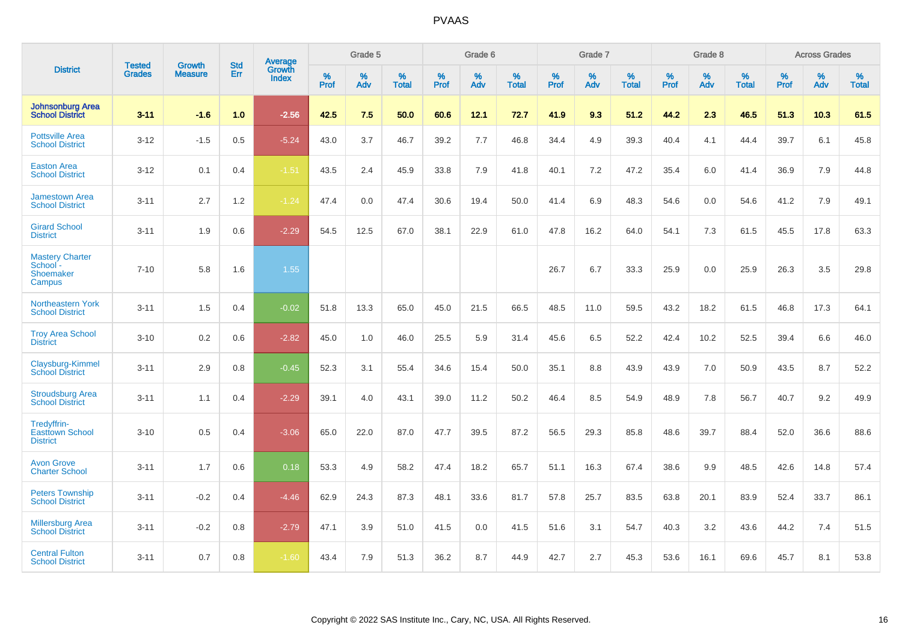|                                                           | <b>Tested</b> | <b>Growth</b>  | <b>Std</b> | <b>Average</b>         |           | Grade 5  |                   |           | Grade 6  |                   |           | Grade 7  |                   |           | Grade 8  |                   |              | <b>Across Grades</b> |                   |
|-----------------------------------------------------------|---------------|----------------|------------|------------------------|-----------|----------|-------------------|-----------|----------|-------------------|-----------|----------|-------------------|-----------|----------|-------------------|--------------|----------------------|-------------------|
| <b>District</b>                                           | <b>Grades</b> | <b>Measure</b> | Err        | Growth<br><b>Index</b> | %<br>Prof | %<br>Adv | %<br><b>Total</b> | %<br>Prof | %<br>Adv | %<br><b>Total</b> | %<br>Prof | %<br>Adv | %<br><b>Total</b> | %<br>Prof | %<br>Adv | %<br><b>Total</b> | $\%$<br>Prof | %<br>Adv             | %<br><b>Total</b> |
| <b>Johnsonburg Area</b><br><b>School District</b>         | $3 - 11$      | $-1.6$         | 1.0        | $-2.56$                | 42.5      | 7.5      | 50.0              | 60.6      | 12.1     | 72.7              | 41.9      | 9.3      | 51.2              | 44.2      | 2.3      | 46.5              | 51.3         | 10.3                 | 61.5              |
| <b>Pottsville Area</b><br><b>School District</b>          | $3 - 12$      | $-1.5$         | 0.5        | $-5.24$                | 43.0      | 3.7      | 46.7              | 39.2      | 7.7      | 46.8              | 34.4      | 4.9      | 39.3              | 40.4      | 4.1      | 44.4              | 39.7         | 6.1                  | 45.8              |
| <b>Easton Area</b><br><b>School District</b>              | $3 - 12$      | 0.1            | 0.4        | $-1.51$                | 43.5      | 2.4      | 45.9              | 33.8      | 7.9      | 41.8              | 40.1      | 7.2      | 47.2              | 35.4      | 6.0      | 41.4              | 36.9         | 7.9                  | 44.8              |
| <b>Jamestown Area</b><br><b>School District</b>           | $3 - 11$      | 2.7            | 1.2        | $-1.24$                | 47.4      | 0.0      | 47.4              | 30.6      | 19.4     | 50.0              | 41.4      | 6.9      | 48.3              | 54.6      | 0.0      | 54.6              | 41.2         | 7.9                  | 49.1              |
| <b>Girard School</b><br><b>District</b>                   | $3 - 11$      | 1.9            | 0.6        | $-2.29$                | 54.5      | 12.5     | 67.0              | 38.1      | 22.9     | 61.0              | 47.8      | 16.2     | 64.0              | 54.1      | 7.3      | 61.5              | 45.5         | 17.8                 | 63.3              |
| <b>Mastery Charter</b><br>School -<br>Shoemaker<br>Campus | $7 - 10$      | 5.8            | 1.6        | 1.55                   |           |          |                   |           |          |                   | 26.7      | 6.7      | 33.3              | 25.9      | 0.0      | 25.9              | 26.3         | 3.5                  | 29.8              |
| Northeastern York<br><b>School District</b>               | $3 - 11$      | 1.5            | 0.4        | $-0.02$                | 51.8      | 13.3     | 65.0              | 45.0      | 21.5     | 66.5              | 48.5      | 11.0     | 59.5              | 43.2      | 18.2     | 61.5              | 46.8         | 17.3                 | 64.1              |
| <b>Troy Area School</b><br><b>District</b>                | $3 - 10$      | 0.2            | 0.6        | $-2.82$                | 45.0      | 1.0      | 46.0              | 25.5      | 5.9      | 31.4              | 45.6      | 6.5      | 52.2              | 42.4      | 10.2     | 52.5              | 39.4         | 6.6                  | 46.0              |
| Claysburg-Kimmel<br><b>School District</b>                | $3 - 11$      | 2.9            | 0.8        | $-0.45$                | 52.3      | 3.1      | 55.4              | 34.6      | 15.4     | 50.0              | 35.1      | 8.8      | 43.9              | 43.9      | 7.0      | 50.9              | 43.5         | 8.7                  | 52.2              |
| <b>Stroudsburg Area</b><br><b>School District</b>         | $3 - 11$      | 1.1            | 0.4        | $-2.29$                | 39.1      | 4.0      | 43.1              | 39.0      | 11.2     | 50.2              | 46.4      | 8.5      | 54.9              | 48.9      | 7.8      | 56.7              | 40.7         | 9.2                  | 49.9              |
| Tredyffrin-<br><b>Easttown School</b><br><b>District</b>  | $3 - 10$      | 0.5            | 0.4        | $-3.06$                | 65.0      | 22.0     | 87.0              | 47.7      | 39.5     | 87.2              | 56.5      | 29.3     | 85.8              | 48.6      | 39.7     | 88.4              | 52.0         | 36.6                 | 88.6              |
| <b>Avon Grove</b><br><b>Charter School</b>                | $3 - 11$      | 1.7            | 0.6        | 0.18                   | 53.3      | 4.9      | 58.2              | 47.4      | 18.2     | 65.7              | 51.1      | 16.3     | 67.4              | 38.6      | 9.9      | 48.5              | 42.6         | 14.8                 | 57.4              |
| <b>Peters Township</b><br><b>School District</b>          | $3 - 11$      | $-0.2$         | 0.4        | $-4.46$                | 62.9      | 24.3     | 87.3              | 48.1      | 33.6     | 81.7              | 57.8      | 25.7     | 83.5              | 63.8      | 20.1     | 83.9              | 52.4         | 33.7                 | 86.1              |
| <b>Millersburg Area</b><br><b>School District</b>         | $3 - 11$      | $-0.2$         | 0.8        | $-2.79$                | 47.1      | 3.9      | 51.0              | 41.5      | 0.0      | 41.5              | 51.6      | 3.1      | 54.7              | 40.3      | 3.2      | 43.6              | 44.2         | 7.4                  | 51.5              |
| <b>Central Fulton</b><br><b>School District</b>           | $3 - 11$      | 0.7            | 0.8        | $-1.60$                | 43.4      | 7.9      | 51.3              | 36.2      | 8.7      | 44.9              | 42.7      | 2.7      | 45.3              | 53.6      | 16.1     | 69.6              | 45.7         | 8.1                  | 53.8              |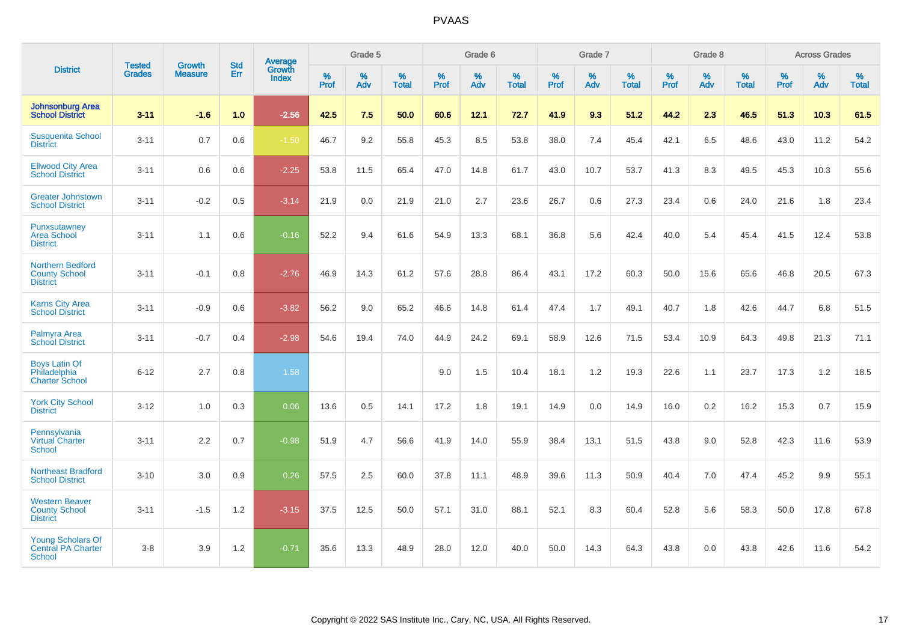|                                                                        |                                |                                 | <b>Std</b> | <b>Average</b>                |              | Grade 5  |                   |           | Grade 6  |                   |           | Grade 7  |                   |           | Grade 8  |                   |           | <b>Across Grades</b> |                   |
|------------------------------------------------------------------------|--------------------------------|---------------------------------|------------|-------------------------------|--------------|----------|-------------------|-----------|----------|-------------------|-----------|----------|-------------------|-----------|----------|-------------------|-----------|----------------------|-------------------|
| <b>District</b>                                                        | <b>Tested</b><br><b>Grades</b> | <b>Growth</b><br><b>Measure</b> | Err        | <b>Growth</b><br><b>Index</b> | $\%$<br>Prof | %<br>Adv | %<br><b>Total</b> | %<br>Prof | %<br>Adv | %<br><b>Total</b> | %<br>Prof | %<br>Adv | %<br><b>Total</b> | %<br>Prof | %<br>Adv | %<br><b>Total</b> | %<br>Prof | %<br>Adv             | %<br><b>Total</b> |
| <b>Johnsonburg Area</b><br><b>School District</b>                      | $3 - 11$                       | $-1.6$                          | 1.0        | $-2.56$                       | 42.5         | 7.5      | 50.0              | 60.6      | 12.1     | 72.7              | 41.9      | 9.3      | 51.2              | 44.2      | 2.3      | 46.5              | 51.3      | 10.3                 | 61.5              |
| <b>Susquenita School</b><br><b>District</b>                            | $3 - 11$                       | 0.7                             | 0.6        | $-1.50$                       | 46.7         | 9.2      | 55.8              | 45.3      | 8.5      | 53.8              | 38.0      | 7.4      | 45.4              | 42.1      | 6.5      | 48.6              | 43.0      | 11.2                 | 54.2              |
| <b>Ellwood City Area</b><br><b>School District</b>                     | $3 - 11$                       | 0.6                             | 0.6        | $-2.25$                       | 53.8         | 11.5     | 65.4              | 47.0      | 14.8     | 61.7              | 43.0      | 10.7     | 53.7              | 41.3      | 8.3      | 49.5              | 45.3      | 10.3                 | 55.6              |
| <b>Greater Johnstown</b><br><b>School District</b>                     | $3 - 11$                       | $-0.2$                          | 0.5        | $-3.14$                       | 21.9         | 0.0      | 21.9              | 21.0      | 2.7      | 23.6              | 26.7      | 0.6      | 27.3              | 23.4      | 0.6      | 24.0              | 21.6      | 1.8                  | 23.4              |
| Punxsutawney<br><b>Area School</b><br><b>District</b>                  | $3 - 11$                       | 1.1                             | 0.6        | $-0.16$                       | 52.2         | 9.4      | 61.6              | 54.9      | 13.3     | 68.1              | 36.8      | 5.6      | 42.4              | 40.0      | 5.4      | 45.4              | 41.5      | 12.4                 | 53.8              |
| Northern Bedford<br><b>County School</b><br><b>District</b>            | $3 - 11$                       | $-0.1$                          | 0.8        | $-2.76$                       | 46.9         | 14.3     | 61.2              | 57.6      | 28.8     | 86.4              | 43.1      | 17.2     | 60.3              | 50.0      | 15.6     | 65.6              | 46.8      | 20.5                 | 67.3              |
| <b>Karns City Area</b><br><b>School District</b>                       | $3 - 11$                       | $-0.9$                          | 0.6        | $-3.82$                       | 56.2         | 9.0      | 65.2              | 46.6      | 14.8     | 61.4              | 47.4      | 1.7      | 49.1              | 40.7      | 1.8      | 42.6              | 44.7      | 6.8                  | 51.5              |
| <b>Palmyra Area</b><br><b>School District</b>                          | $3 - 11$                       | $-0.7$                          | 0.4        | $-2.98$                       | 54.6         | 19.4     | 74.0              | 44.9      | 24.2     | 69.1              | 58.9      | 12.6     | 71.5              | 53.4      | 10.9     | 64.3              | 49.8      | 21.3                 | 71.1              |
| <b>Boys Latin Of</b><br>Philadelphia<br><b>Charter School</b>          | $6 - 12$                       | 2.7                             | 0.8        | 1.58                          |              |          |                   | 9.0       | 1.5      | 10.4              | 18.1      | 1.2      | 19.3              | 22.6      | 1.1      | 23.7              | 17.3      | 1.2                  | 18.5              |
| <b>York City School</b><br><b>District</b>                             | $3 - 12$                       | 1.0                             | 0.3        | 0.06                          | 13.6         | 0.5      | 14.1              | 17.2      | 1.8      | 19.1              | 14.9      | 0.0      | 14.9              | 16.0      | 0.2      | 16.2              | 15.3      | 0.7                  | 15.9              |
| Pennsylvania<br><b>Virtual Charter</b><br><b>School</b>                | $3 - 11$                       | 2.2                             | 0.7        | $-0.98$                       | 51.9         | 4.7      | 56.6              | 41.9      | 14.0     | 55.9              | 38.4      | 13.1     | 51.5              | 43.8      | 9.0      | 52.8              | 42.3      | 11.6                 | 53.9              |
| <b>Northeast Bradford</b><br><b>School District</b>                    | $3 - 10$                       | 3.0                             | 0.9        | 0.26                          | 57.5         | 2.5      | 60.0              | 37.8      | 11.1     | 48.9              | 39.6      | 11.3     | 50.9              | 40.4      | 7.0      | 47.4              | 45.2      | 9.9                  | 55.1              |
| <b>Western Beaver</b><br><b>County School</b><br><b>District</b>       | $3 - 11$                       | $-1.5$                          | 1.2        | $-3.15$                       | 37.5         | 12.5     | 50.0              | 57.1      | 31.0     | 88.1              | 52.1      | 8.3      | 60.4              | 52.8      | 5.6      | 58.3              | 50.0      | 17.8                 | 67.8              |
| <b>Young Scholars Of</b><br><b>Central PA Charter</b><br><b>School</b> | $3 - 8$                        | 3.9                             | 1.2        | $-0.71$                       | 35.6         | 13.3     | 48.9              | 28.0      | 12.0     | 40.0              | 50.0      | 14.3     | 64.3              | 43.8      | 0.0      | 43.8              | 42.6      | 11.6                 | 54.2              |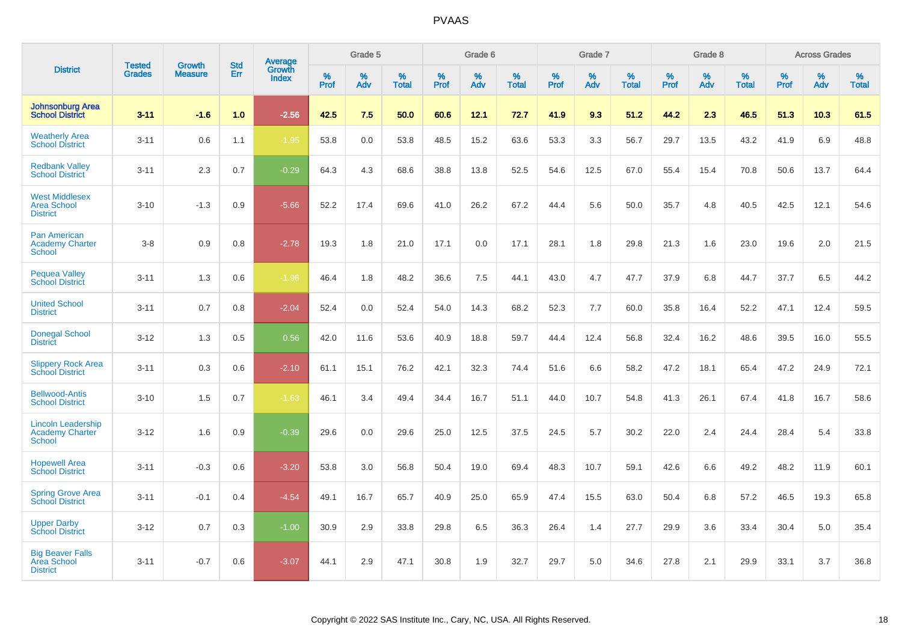|                                                                      |                                |                                 | <b>Std</b> | Average         |           | Grade 5  |                   |           | Grade 6  |                   |           | Grade 7  |                   |           | Grade 8  |                   |              | <b>Across Grades</b> |                   |
|----------------------------------------------------------------------|--------------------------------|---------------------------------|------------|-----------------|-----------|----------|-------------------|-----------|----------|-------------------|-----------|----------|-------------------|-----------|----------|-------------------|--------------|----------------------|-------------------|
| <b>District</b>                                                      | <b>Tested</b><br><b>Grades</b> | <b>Growth</b><br><b>Measure</b> | Err        | Growth<br>Index | %<br>Prof | %<br>Adv | %<br><b>Total</b> | %<br>Prof | %<br>Adv | %<br><b>Total</b> | %<br>Prof | %<br>Adv | %<br><b>Total</b> | %<br>Prof | %<br>Adv | %<br><b>Total</b> | $\%$<br>Prof | %<br>Adv             | %<br><b>Total</b> |
| <b>Johnsonburg Area</b><br><b>School District</b>                    | $3 - 11$                       | $-1.6$                          | 1.0        | $-2.56$         | 42.5      | 7.5      | 50.0              | 60.6      | 12.1     | 72.7              | 41.9      | 9.3      | 51.2              | 44.2      | 2.3      | 46.5              | 51.3         | 10.3                 | 61.5              |
| <b>Weatherly Area</b><br><b>School District</b>                      | $3 - 11$                       | 0.6                             | 1.1        | $-1.95$         | 53.8      | 0.0      | 53.8              | 48.5      | 15.2     | 63.6              | 53.3      | 3.3      | 56.7              | 29.7      | 13.5     | 43.2              | 41.9         | 6.9                  | 48.8              |
| <b>Redbank Valley</b><br><b>School District</b>                      | $3 - 11$                       | 2.3                             | 0.7        | $-0.29$         | 64.3      | 4.3      | 68.6              | 38.8      | 13.8     | 52.5              | 54.6      | 12.5     | 67.0              | 55.4      | 15.4     | 70.8              | 50.6         | 13.7                 | 64.4              |
| <b>West Middlesex</b><br><b>Area School</b><br><b>District</b>       | $3 - 10$                       | $-1.3$                          | 0.9        | $-5.66$         | 52.2      | 17.4     | 69.6              | 41.0      | 26.2     | 67.2              | 44.4      | 5.6      | 50.0              | 35.7      | 4.8      | 40.5              | 42.5         | 12.1                 | 54.6              |
| <b>Pan American</b><br><b>Academy Charter</b><br><b>School</b>       | $3 - 8$                        | 0.9                             | 0.8        | $-2.78$         | 19.3      | 1.8      | 21.0              | 17.1      | 0.0      | 17.1              | 28.1      | 1.8      | 29.8              | 21.3      | 1.6      | 23.0              | 19.6         | 2.0                  | 21.5              |
| <b>Pequea Valley</b><br><b>School District</b>                       | $3 - 11$                       | 1.3                             | 0.6        | $-1.96$         | 46.4      | 1.8      | 48.2              | 36.6      | 7.5      | 44.1              | 43.0      | 4.7      | 47.7              | 37.9      | 6.8      | 44.7              | 37.7         | 6.5                  | 44.2              |
| <b>United School</b><br><b>District</b>                              | $3 - 11$                       | 0.7                             | 0.8        | $-2.04$         | 52.4      | 0.0      | 52.4              | 54.0      | 14.3     | 68.2              | 52.3      | 7.7      | 60.0              | 35.8      | 16.4     | 52.2              | 47.1         | 12.4                 | 59.5              |
| <b>Donegal School</b><br><b>District</b>                             | $3 - 12$                       | 1.3                             | 0.5        | 0.56            | 42.0      | 11.6     | 53.6              | 40.9      | 18.8     | 59.7              | 44.4      | 12.4     | 56.8              | 32.4      | 16.2     | 48.6              | 39.5         | 16.0                 | 55.5              |
| <b>Slippery Rock Area</b><br><b>School District</b>                  | $3 - 11$                       | 0.3                             | 0.6        | $-2.10$         | 61.1      | 15.1     | 76.2              | 42.1      | 32.3     | 74.4              | 51.6      | 6.6      | 58.2              | 47.2      | 18.1     | 65.4              | 47.2         | 24.9                 | 72.1              |
| <b>Bellwood-Antis</b><br><b>School District</b>                      | $3 - 10$                       | 1.5                             | 0.7        | $-1.63$         | 46.1      | 3.4      | 49.4              | 34.4      | 16.7     | 51.1              | 44.0      | 10.7     | 54.8              | 41.3      | 26.1     | 67.4              | 41.8         | 16.7                 | 58.6              |
| <b>Lincoln Leadership</b><br><b>Academy Charter</b><br><b>School</b> | $3 - 12$                       | 1.6                             | 0.9        | $-0.39$         | 29.6      | 0.0      | 29.6              | 25.0      | 12.5     | 37.5              | 24.5      | 5.7      | 30.2              | 22.0      | 2.4      | 24.4              | 28.4         | 5.4                  | 33.8              |
| <b>Hopewell Area</b><br><b>School District</b>                       | $3 - 11$                       | $-0.3$                          | 0.6        | $-3.20$         | 53.8      | 3.0      | 56.8              | 50.4      | 19.0     | 69.4              | 48.3      | 10.7     | 59.1              | 42.6      | 6.6      | 49.2              | 48.2         | 11.9                 | 60.1              |
| <b>Spring Grove Area</b><br><b>School District</b>                   | $3 - 11$                       | $-0.1$                          | 0.4        | $-4.54$         | 49.1      | 16.7     | 65.7              | 40.9      | 25.0     | 65.9              | 47.4      | 15.5     | 63.0              | 50.4      | 6.8      | 57.2              | 46.5         | 19.3                 | 65.8              |
| <b>Upper Darby</b><br><b>School District</b>                         | $3 - 12$                       | 0.7                             | 0.3        | $-1.00$         | 30.9      | 2.9      | 33.8              | 29.8      | 6.5      | 36.3              | 26.4      | 1.4      | 27.7              | 29.9      | 3.6      | 33.4              | 30.4         | 5.0                  | 35.4              |
| <b>Big Beaver Falls</b><br>Area School<br><b>District</b>            | $3 - 11$                       | $-0.7$                          | 0.6        | $-3.07$         | 44.1      | 2.9      | 47.1              | 30.8      | 1.9      | 32.7              | 29.7      | 5.0      | 34.6              | 27.8      | 2.1      | 29.9              | 33.1         | 3.7                  | 36.8              |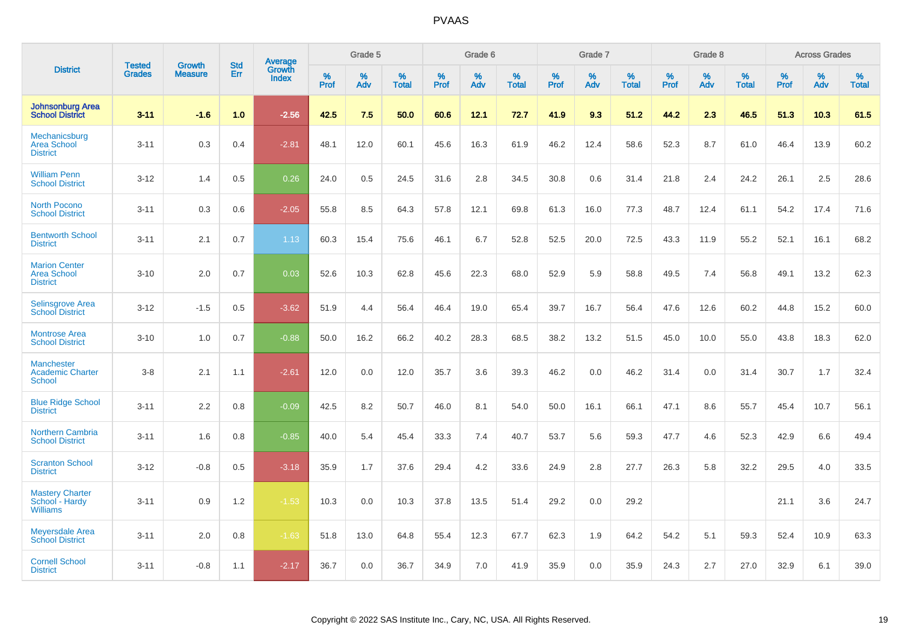|                                                               |                                |                                 | <b>Std</b> | Average                |                     | Grade 5     |                   |           | Grade 6  |                   |           | Grade 7  |                   |              | Grade 8  |                   |              | <b>Across Grades</b> |                   |
|---------------------------------------------------------------|--------------------------------|---------------------------------|------------|------------------------|---------------------|-------------|-------------------|-----------|----------|-------------------|-----------|----------|-------------------|--------------|----------|-------------------|--------------|----------------------|-------------------|
| <b>District</b>                                               | <b>Tested</b><br><b>Grades</b> | <b>Growth</b><br><b>Measure</b> | Err        | Growth<br><b>Index</b> | $\%$<br><b>Prof</b> | $\%$<br>Adv | %<br><b>Total</b> | %<br>Prof | %<br>Adv | %<br><b>Total</b> | %<br>Prof | %<br>Adv | %<br><b>Total</b> | $\%$<br>Prof | %<br>Adv | %<br><b>Total</b> | $\%$<br>Prof | %<br>Adv             | %<br><b>Total</b> |
| <b>Johnsonburg Area</b><br><b>School District</b>             | $3 - 11$                       | $-1.6$                          | 1.0        | $-2.56$                | 42.5                | 7.5         | 50.0              | 60.6      | 12.1     | 72.7              | 41.9      | 9.3      | 51.2              | 44.2         | 2.3      | 46.5              | 51.3         | 10.3                 | 61.5              |
| Mechanicsburg<br><b>Area School</b><br><b>District</b>        | $3 - 11$                       | 0.3                             | 0.4        | $-2.81$                | 48.1                | 12.0        | 60.1              | 45.6      | 16.3     | 61.9              | 46.2      | 12.4     | 58.6              | 52.3         | 8.7      | 61.0              | 46.4         | 13.9                 | 60.2              |
| <b>William Penn</b><br><b>School District</b>                 | $3 - 12$                       | 1.4                             | 0.5        | 0.26                   | 24.0                | 0.5         | 24.5              | 31.6      | 2.8      | 34.5              | 30.8      | 0.6      | 31.4              | 21.8         | 2.4      | 24.2              | 26.1         | 2.5                  | 28.6              |
| <b>North Pocono</b><br><b>School District</b>                 | $3 - 11$                       | 0.3                             | 0.6        | $-2.05$                | 55.8                | 8.5         | 64.3              | 57.8      | 12.1     | 69.8              | 61.3      | 16.0     | 77.3              | 48.7         | 12.4     | 61.1              | 54.2         | 17.4                 | 71.6              |
| <b>Bentworth School</b><br><b>District</b>                    | $3 - 11$                       | 2.1                             | 0.7        | 1.13                   | 60.3                | 15.4        | 75.6              | 46.1      | 6.7      | 52.8              | 52.5      | 20.0     | 72.5              | 43.3         | 11.9     | 55.2              | 52.1         | 16.1                 | 68.2              |
| <b>Marion Center</b><br><b>Area School</b><br><b>District</b> | $3 - 10$                       | 2.0                             | 0.7        | 0.03                   | 52.6                | 10.3        | 62.8              | 45.6      | 22.3     | 68.0              | 52.9      | 5.9      | 58.8              | 49.5         | 7.4      | 56.8              | 49.1         | 13.2                 | 62.3              |
| <b>Selinsgrove Area</b><br><b>School District</b>             | $3 - 12$                       | $-1.5$                          | 0.5        | $-3.62$                | 51.9                | 4.4         | 56.4              | 46.4      | 19.0     | 65.4              | 39.7      | 16.7     | 56.4              | 47.6         | 12.6     | 60.2              | 44.8         | 15.2                 | 60.0              |
| <b>Montrose Area</b><br><b>School District</b>                | $3 - 10$                       | 1.0                             | 0.7        | $-0.88$                | 50.0                | 16.2        | 66.2              | 40.2      | 28.3     | 68.5              | 38.2      | 13.2     | 51.5              | 45.0         | 10.0     | 55.0              | 43.8         | 18.3                 | 62.0              |
| <b>Manchester</b><br><b>Academic Charter</b><br><b>School</b> | $3-8$                          | 2.1                             | 1.1        | $-2.61$                | 12.0                | 0.0         | 12.0              | 35.7      | 3.6      | 39.3              | 46.2      | 0.0      | 46.2              | 31.4         | 0.0      | 31.4              | 30.7         | 1.7                  | 32.4              |
| <b>Blue Ridge School</b><br><b>District</b>                   | $3 - 11$                       | 2.2                             | 0.8        | $-0.09$                | 42.5                | 8.2         | 50.7              | 46.0      | 8.1      | 54.0              | 50.0      | 16.1     | 66.1              | 47.1         | 8.6      | 55.7              | 45.4         | 10.7                 | 56.1              |
| <b>Northern Cambria</b><br><b>School District</b>             | $3 - 11$                       | 1.6                             | 0.8        | $-0.85$                | 40.0                | 5.4         | 45.4              | 33.3      | 7.4      | 40.7              | 53.7      | 5.6      | 59.3              | 47.7         | 4.6      | 52.3              | 42.9         | 6.6                  | 49.4              |
| <b>Scranton School</b><br><b>District</b>                     | $3 - 12$                       | $-0.8$                          | 0.5        | $-3.18$                | 35.9                | 1.7         | 37.6              | 29.4      | 4.2      | 33.6              | 24.9      | 2.8      | 27.7              | 26.3         | 5.8      | 32.2              | 29.5         | 4.0                  | 33.5              |
| <b>Mastery Charter</b><br>School - Hardy<br><b>Williams</b>   | $3 - 11$                       | 0.9                             | 1.2        | $-1.53$                | 10.3                | 0.0         | 10.3              | 37.8      | 13.5     | 51.4              | 29.2      | 0.0      | 29.2              |              |          |                   | 21.1         | 3.6                  | 24.7              |
| <b>Meyersdale Area</b><br><b>School District</b>              | $3 - 11$                       | 2.0                             | 0.8        | $-1.63$                | 51.8                | 13.0        | 64.8              | 55.4      | 12.3     | 67.7              | 62.3      | 1.9      | 64.2              | 54.2         | 5.1      | 59.3              | 52.4         | 10.9                 | 63.3              |
| <b>Cornell School</b><br><b>District</b>                      | $3 - 11$                       | $-0.8$                          | 1.1        | $-2.17$                | 36.7                | 0.0         | 36.7              | 34.9      | 7.0      | 41.9              | 35.9      | 0.0      | 35.9              | 24.3         | 2.7      | 27.0              | 32.9         | 6.1                  | 39.0              |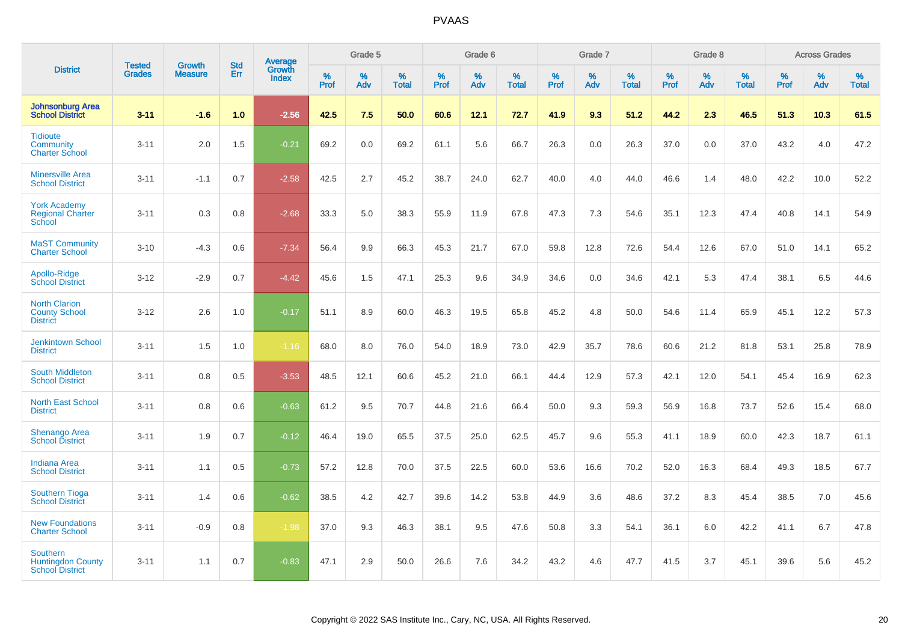|                                                                       |                                |                                 | <b>Std</b> | Average                |              | Grade 5  |                   |           | Grade 6  |                   |           | Grade 7  |                   |           | Grade 8  |                   |              | <b>Across Grades</b> |                   |
|-----------------------------------------------------------------------|--------------------------------|---------------------------------|------------|------------------------|--------------|----------|-------------------|-----------|----------|-------------------|-----------|----------|-------------------|-----------|----------|-------------------|--------------|----------------------|-------------------|
| <b>District</b>                                                       | <b>Tested</b><br><b>Grades</b> | <b>Growth</b><br><b>Measure</b> | Err        | Growth<br><b>Index</b> | $\%$<br>Prof | %<br>Adv | %<br><b>Total</b> | %<br>Prof | %<br>Adv | %<br><b>Total</b> | %<br>Prof | %<br>Adv | %<br><b>Total</b> | %<br>Prof | %<br>Adv | %<br><b>Total</b> | $\%$<br>Prof | %<br>Adv             | %<br><b>Total</b> |
| <b>Johnsonburg Area</b><br><b>School District</b>                     | $3 - 11$                       | $-1.6$                          | 1.0        | $-2.56$                | 42.5         | 7.5      | 50.0              | 60.6      | 12.1     | 72.7              | 41.9      | 9.3      | 51.2              | 44.2      | 2.3      | 46.5              | 51.3         | 10.3                 | 61.5              |
| <b>Tidioute</b><br>Community<br><b>Charter School</b>                 | $3 - 11$                       | 2.0                             | 1.5        | $-0.21$                | 69.2         | 0.0      | 69.2              | 61.1      | 5.6      | 66.7              | 26.3      | 0.0      | 26.3              | 37.0      | 0.0      | 37.0              | 43.2         | 4.0                  | 47.2              |
| <b>Minersville Area</b><br><b>School District</b>                     | $3 - 11$                       | $-1.1$                          | 0.7        | $-2.58$                | 42.5         | 2.7      | 45.2              | 38.7      | 24.0     | 62.7              | 40.0      | 4.0      | 44.0              | 46.6      | 1.4      | 48.0              | 42.2         | 10.0                 | 52.2              |
| <b>York Academy</b><br><b>Regional Charter</b><br>School              | $3 - 11$                       | 0.3                             | 0.8        | $-2.68$                | 33.3         | 5.0      | 38.3              | 55.9      | 11.9     | 67.8              | 47.3      | 7.3      | 54.6              | 35.1      | 12.3     | 47.4              | 40.8         | 14.1                 | 54.9              |
| <b>MaST Community</b><br><b>Charter School</b>                        | $3 - 10$                       | $-4.3$                          | 0.6        | $-7.34$                | 56.4         | 9.9      | 66.3              | 45.3      | 21.7     | 67.0              | 59.8      | 12.8     | 72.6              | 54.4      | 12.6     | 67.0              | 51.0         | 14.1                 | 65.2              |
| Apollo-Ridge<br><b>School District</b>                                | $3 - 12$                       | $-2.9$                          | 0.7        | $-4.42$                | 45.6         | 1.5      | 47.1              | 25.3      | 9.6      | 34.9              | 34.6      | 0.0      | 34.6              | 42.1      | 5.3      | 47.4              | 38.1         | 6.5                  | 44.6              |
| <b>North Clarion</b><br><b>County School</b><br><b>District</b>       | $3 - 12$                       | 2.6                             | 1.0        | $-0.17$                | 51.1         | 8.9      | 60.0              | 46.3      | 19.5     | 65.8              | 45.2      | 4.8      | 50.0              | 54.6      | 11.4     | 65.9              | 45.1         | 12.2                 | 57.3              |
| <b>Jenkintown School</b><br><b>District</b>                           | $3 - 11$                       | 1.5                             | 1.0        | $-1.16$                | 68.0         | 8.0      | 76.0              | 54.0      | 18.9     | 73.0              | 42.9      | 35.7     | 78.6              | 60.6      | 21.2     | 81.8              | 53.1         | 25.8                 | 78.9              |
| <b>South Middleton</b><br><b>School District</b>                      | $3 - 11$                       | 0.8                             | 0.5        | $-3.53$                | 48.5         | 12.1     | 60.6              | 45.2      | 21.0     | 66.1              | 44.4      | 12.9     | 57.3              | 42.1      | 12.0     | 54.1              | 45.4         | 16.9                 | 62.3              |
| <b>North East School</b><br><b>District</b>                           | $3 - 11$                       | 0.8                             | 0.6        | $-0.63$                | 61.2         | 9.5      | 70.7              | 44.8      | 21.6     | 66.4              | 50.0      | 9.3      | 59.3              | 56.9      | 16.8     | 73.7              | 52.6         | 15.4                 | 68.0              |
| <b>Shenango Area</b><br><b>School District</b>                        | $3 - 11$                       | 1.9                             | 0.7        | $-0.12$                | 46.4         | 19.0     | 65.5              | 37.5      | 25.0     | 62.5              | 45.7      | 9.6      | 55.3              | 41.1      | 18.9     | 60.0              | 42.3         | 18.7                 | 61.1              |
| <b>Indiana Area</b><br><b>School District</b>                         | $3 - 11$                       | 1.1                             | 0.5        | $-0.73$                | 57.2         | 12.8     | 70.0              | 37.5      | 22.5     | 60.0              | 53.6      | 16.6     | 70.2              | 52.0      | 16.3     | 68.4              | 49.3         | 18.5                 | 67.7              |
| <b>Southern Tioga</b><br><b>School District</b>                       | $3 - 11$                       | 1.4                             | 0.6        | $-0.62$                | 38.5         | 4.2      | 42.7              | 39.6      | 14.2     | 53.8              | 44.9      | 3.6      | 48.6              | 37.2      | 8.3      | 45.4              | 38.5         | 7.0                  | 45.6              |
| <b>New Foundations</b><br><b>Charter School</b>                       | $3 - 11$                       | $-0.9$                          | 0.8        | $-1.98$                | 37.0         | 9.3      | 46.3              | 38.1      | 9.5      | 47.6              | 50.8      | 3.3      | 54.1              | 36.1      | 6.0      | 42.2              | 41.1         | 6.7                  | 47.8              |
| <b>Southern</b><br><b>Huntingdon County</b><br><b>School District</b> | $3 - 11$                       | 1.1                             | 0.7        | $-0.83$                | 47.1         | 2.9      | 50.0              | 26.6      | 7.6      | 34.2              | 43.2      | 4.6      | 47.7              | 41.5      | 3.7      | 45.1              | 39.6         | 5.6                  | 45.2              |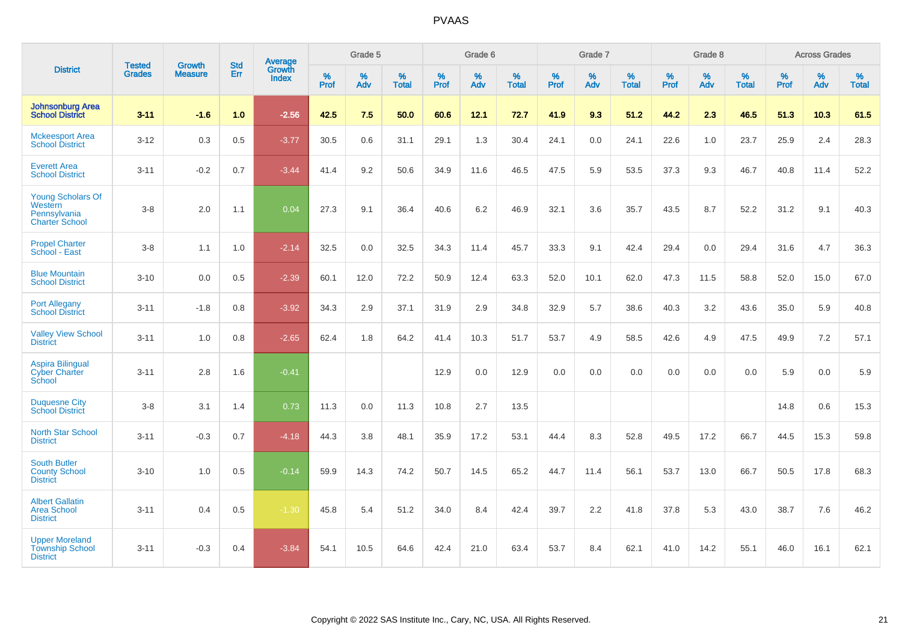|                                                                              |                                |                                 | <b>Std</b> | Average                |           | Grade 5  |                   |           | Grade 6  |                   |           | Grade 7  |                   |           | Grade 8  |                   |           | <b>Across Grades</b> |                   |
|------------------------------------------------------------------------------|--------------------------------|---------------------------------|------------|------------------------|-----------|----------|-------------------|-----------|----------|-------------------|-----------|----------|-------------------|-----------|----------|-------------------|-----------|----------------------|-------------------|
| <b>District</b>                                                              | <b>Tested</b><br><b>Grades</b> | <b>Growth</b><br><b>Measure</b> | Err        | Growth<br><b>Index</b> | %<br>Prof | %<br>Adv | %<br><b>Total</b> | %<br>Prof | %<br>Adv | %<br><b>Total</b> | %<br>Prof | %<br>Adv | %<br><b>Total</b> | %<br>Prof | %<br>Adv | %<br><b>Total</b> | %<br>Prof | %<br>Adv             | %<br><b>Total</b> |
| <b>Johnsonburg Area</b><br><b>School District</b>                            | $3 - 11$                       | $-1.6$                          | 1.0        | $-2.56$                | 42.5      | 7.5      | 50.0              | 60.6      | 12.1     | 72.7              | 41.9      | 9.3      | 51.2              | 44.2      | 2.3      | 46.5              | 51.3      | 10.3                 | 61.5              |
| <b>Mckeesport Area</b><br><b>School District</b>                             | $3 - 12$                       | 0.3                             | 0.5        | $-3.77$                | 30.5      | 0.6      | 31.1              | 29.1      | 1.3      | 30.4              | 24.1      | 0.0      | 24.1              | 22.6      | 1.0      | 23.7              | 25.9      | 2.4                  | 28.3              |
| <b>Everett Area</b><br><b>School District</b>                                | $3 - 11$                       | $-0.2$                          | 0.7        | $-3.44$                | 41.4      | 9.2      | 50.6              | 34.9      | 11.6     | 46.5              | 47.5      | 5.9      | 53.5              | 37.3      | 9.3      | 46.7              | 40.8      | 11.4                 | 52.2              |
| <b>Young Scholars Of</b><br>Western<br>Pennsylvania<br><b>Charter School</b> | $3-8$                          | 2.0                             | 1.1        | 0.04                   | 27.3      | 9.1      | 36.4              | 40.6      | 6.2      | 46.9              | 32.1      | 3.6      | 35.7              | 43.5      | 8.7      | 52.2              | 31.2      | 9.1                  | 40.3              |
| <b>Propel Charter</b><br>School - East                                       | $3-8$                          | 1.1                             | 1.0        | $-2.14$                | 32.5      | 0.0      | 32.5              | 34.3      | 11.4     | 45.7              | 33.3      | 9.1      | 42.4              | 29.4      | 0.0      | 29.4              | 31.6      | 4.7                  | 36.3              |
| <b>Blue Mountain</b><br><b>School District</b>                               | $3 - 10$                       | 0.0                             | 0.5        | $-2.39$                | 60.1      | 12.0     | 72.2              | 50.9      | 12.4     | 63.3              | 52.0      | 10.1     | 62.0              | 47.3      | 11.5     | 58.8              | 52.0      | 15.0                 | 67.0              |
| <b>Port Allegany</b><br><b>School District</b>                               | $3 - 11$                       | $-1.8$                          | 0.8        | $-3.92$                | 34.3      | 2.9      | 37.1              | 31.9      | 2.9      | 34.8              | 32.9      | 5.7      | 38.6              | 40.3      | 3.2      | 43.6              | 35.0      | 5.9                  | 40.8              |
| <b>Valley View School</b><br><b>District</b>                                 | $3 - 11$                       | 1.0                             | 0.8        | $-2.65$                | 62.4      | 1.8      | 64.2              | 41.4      | 10.3     | 51.7              | 53.7      | 4.9      | 58.5              | 42.6      | 4.9      | 47.5              | 49.9      | 7.2                  | 57.1              |
| <b>Aspira Bilingual</b><br><b>Cyber Charter</b><br>School                    | $3 - 11$                       | 2.8                             | 1.6        | $-0.41$                |           |          |                   | 12.9      | 0.0      | 12.9              | 0.0       | 0.0      | 0.0               | 0.0       | 0.0      | 0.0               | 5.9       | 0.0                  | 5.9               |
| <b>Duquesne City</b><br><b>School District</b>                               | $3-8$                          | 3.1                             | 1.4        | 0.73                   | 11.3      | 0.0      | 11.3              | 10.8      | 2.7      | 13.5              |           |          |                   |           |          |                   | 14.8      | 0.6                  | 15.3              |
| North Star School<br><b>District</b>                                         | $3 - 11$                       | $-0.3$                          | 0.7        | $-4.18$                | 44.3      | 3.8      | 48.1              | 35.9      | 17.2     | 53.1              | 44.4      | 8.3      | 52.8              | 49.5      | 17.2     | 66.7              | 44.5      | 15.3                 | 59.8              |
| <b>South Butler</b><br><b>County School</b><br><b>District</b>               | $3 - 10$                       | 1.0                             | 0.5        | $-0.14$                | 59.9      | 14.3     | 74.2              | 50.7      | 14.5     | 65.2              | 44.7      | 11.4     | 56.1              | 53.7      | 13.0     | 66.7              | 50.5      | 17.8                 | 68.3              |
| <b>Albert Gallatin</b><br><b>Area School</b><br><b>District</b>              | $3 - 11$                       | 0.4                             | 0.5        | $-1.30$                | 45.8      | 5.4      | 51.2              | 34.0      | 8.4      | 42.4              | 39.7      | 2.2      | 41.8              | 37.8      | 5.3      | 43.0              | 38.7      | 7.6                  | 46.2              |
| <b>Upper Moreland</b><br><b>Township School</b><br><b>District</b>           | $3 - 11$                       | $-0.3$                          | 0.4        | $-3.84$                | 54.1      | 10.5     | 64.6              | 42.4      | 21.0     | 63.4              | 53.7      | 8.4      | 62.1              | 41.0      | 14.2     | 55.1              | 46.0      | 16.1                 | 62.1              |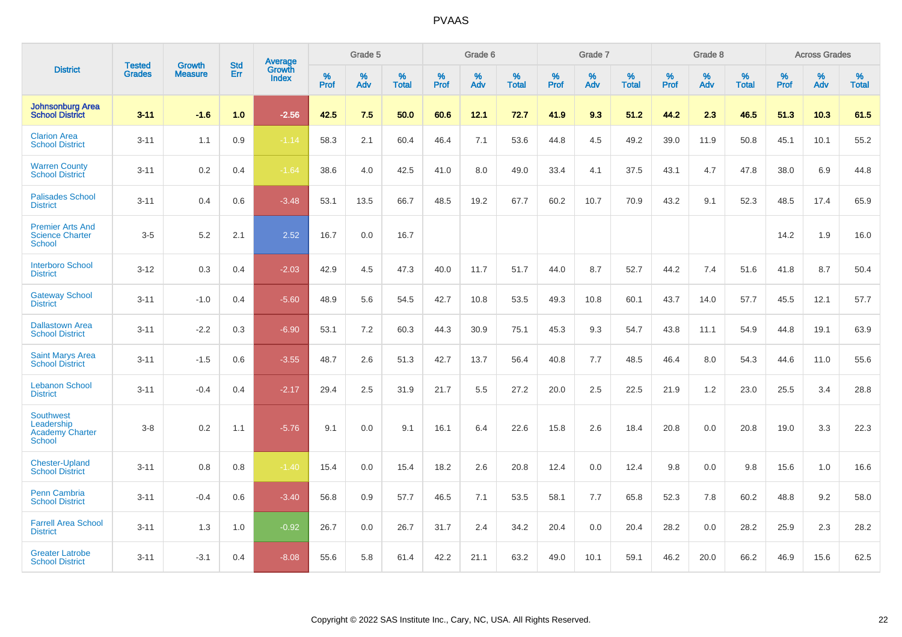|                                                                           |                                |                                 | <b>Std</b> | <b>Average</b>                |           | Grade 5  |                   |           | Grade 6  |                   |           | Grade 7  |                   |           | Grade 8  |                   |           | <b>Across Grades</b> |                   |
|---------------------------------------------------------------------------|--------------------------------|---------------------------------|------------|-------------------------------|-----------|----------|-------------------|-----------|----------|-------------------|-----------|----------|-------------------|-----------|----------|-------------------|-----------|----------------------|-------------------|
| <b>District</b>                                                           | <b>Tested</b><br><b>Grades</b> | <b>Growth</b><br><b>Measure</b> | Err        | <b>Growth</b><br><b>Index</b> | %<br>Prof | %<br>Adv | %<br><b>Total</b> | %<br>Prof | %<br>Adv | %<br><b>Total</b> | %<br>Prof | %<br>Adv | %<br><b>Total</b> | %<br>Prof | %<br>Adv | %<br><b>Total</b> | %<br>Prof | %<br>Adv             | %<br><b>Total</b> |
| <b>Johnsonburg Area</b><br><b>School District</b>                         | $3 - 11$                       | $-1.6$                          | 1.0        | $-2.56$                       | 42.5      | 7.5      | 50.0              | 60.6      | 12.1     | 72.7              | 41.9      | 9.3      | 51.2              | 44.2      | 2.3      | 46.5              | 51.3      | 10.3                 | 61.5              |
| <b>Clarion Area</b><br><b>School District</b>                             | $3 - 11$                       | 1.1                             | 0.9        | $-1.14$                       | 58.3      | 2.1      | 60.4              | 46.4      | 7.1      | 53.6              | 44.8      | 4.5      | 49.2              | 39.0      | 11.9     | 50.8              | 45.1      | 10.1                 | 55.2              |
| <b>Warren County</b><br><b>School District</b>                            | $3 - 11$                       | $0.2\,$                         | 0.4        | $-1.64$                       | 38.6      | 4.0      | 42.5              | 41.0      | 8.0      | 49.0              | 33.4      | 4.1      | 37.5              | 43.1      | 4.7      | 47.8              | 38.0      | 6.9                  | 44.8              |
| <b>Palisades School</b><br><b>District</b>                                | $3 - 11$                       | 0.4                             | 0.6        | $-3.48$                       | 53.1      | 13.5     | 66.7              | 48.5      | 19.2     | 67.7              | 60.2      | 10.7     | 70.9              | 43.2      | 9.1      | 52.3              | 48.5      | 17.4                 | 65.9              |
| <b>Premier Arts And</b><br><b>Science Charter</b><br><b>School</b>        | $3-5$                          | 5.2                             | 2.1        | 2.52                          | 16.7      | 0.0      | 16.7              |           |          |                   |           |          |                   |           |          |                   | 14.2      | 1.9                  | 16.0              |
| <b>Interboro School</b><br><b>District</b>                                | $3 - 12$                       | 0.3                             | 0.4        | $-2.03$                       | 42.9      | 4.5      | 47.3              | 40.0      | 11.7     | 51.7              | 44.0      | 8.7      | 52.7              | 44.2      | 7.4      | 51.6              | 41.8      | 8.7                  | 50.4              |
| <b>Gateway School</b><br><b>District</b>                                  | $3 - 11$                       | $-1.0$                          | 0.4        | $-5.60$                       | 48.9      | 5.6      | 54.5              | 42.7      | 10.8     | 53.5              | 49.3      | 10.8     | 60.1              | 43.7      | 14.0     | 57.7              | 45.5      | 12.1                 | 57.7              |
| <b>Dallastown Area</b><br><b>School District</b>                          | $3 - 11$                       | $-2.2$                          | 0.3        | $-6.90$                       | 53.1      | 7.2      | 60.3              | 44.3      | 30.9     | 75.1              | 45.3      | 9.3      | 54.7              | 43.8      | 11.1     | 54.9              | 44.8      | 19.1                 | 63.9              |
| <b>Saint Marys Area</b><br><b>School District</b>                         | $3 - 11$                       | $-1.5$                          | 0.6        | $-3.55$                       | 48.7      | 2.6      | 51.3              | 42.7      | 13.7     | 56.4              | 40.8      | 7.7      | 48.5              | 46.4      | 8.0      | 54.3              | 44.6      | 11.0                 | 55.6              |
| <b>Lebanon School</b><br><b>District</b>                                  | $3 - 11$                       | $-0.4$                          | 0.4        | $-2.17$                       | 29.4      | 2.5      | 31.9              | 21.7      | 5.5      | 27.2              | 20.0      | 2.5      | 22.5              | 21.9      | 1.2      | 23.0              | 25.5      | 3.4                  | 28.8              |
| <b>Southwest</b><br>Leadership<br><b>Academy Charter</b><br><b>School</b> | $3 - 8$                        | 0.2                             | 1.1        | $-5.76$                       | 9.1       | 0.0      | 9.1               | 16.1      | 6.4      | 22.6              | 15.8      | 2.6      | 18.4              | 20.8      | 0.0      | 20.8              | 19.0      | 3.3                  | 22.3              |
| <b>Chester-Upland</b><br><b>School District</b>                           | $3 - 11$                       | 0.8                             | 0.8        | $-1.40$                       | 15.4      | 0.0      | 15.4              | 18.2      | 2.6      | 20.8              | 12.4      | 0.0      | 12.4              | 9.8       | 0.0      | 9.8               | 15.6      | 1.0                  | 16.6              |
| Penn Cambria<br><b>School District</b>                                    | $3 - 11$                       | $-0.4$                          | 0.6        | $-3.40$                       | 56.8      | 0.9      | 57.7              | 46.5      | 7.1      | 53.5              | 58.1      | 7.7      | 65.8              | 52.3      | 7.8      | 60.2              | 48.8      | 9.2                  | 58.0              |
| <b>Farrell Area School</b><br><b>District</b>                             | $3 - 11$                       | 1.3                             | 1.0        | $-0.92$                       | 26.7      | 0.0      | 26.7              | 31.7      | 2.4      | 34.2              | 20.4      | 0.0      | 20.4              | 28.2      | 0.0      | 28.2              | 25.9      | 2.3                  | 28.2              |
| <b>Greater Latrobe</b><br><b>School District</b>                          | $3 - 11$                       | $-3.1$                          | 0.4        | $-8.08$                       | 55.6      | 5.8      | 61.4              | 42.2      | 21.1     | 63.2              | 49.0      | 10.1     | 59.1              | 46.2      | 20.0     | 66.2              | 46.9      | 15.6                 | 62.5              |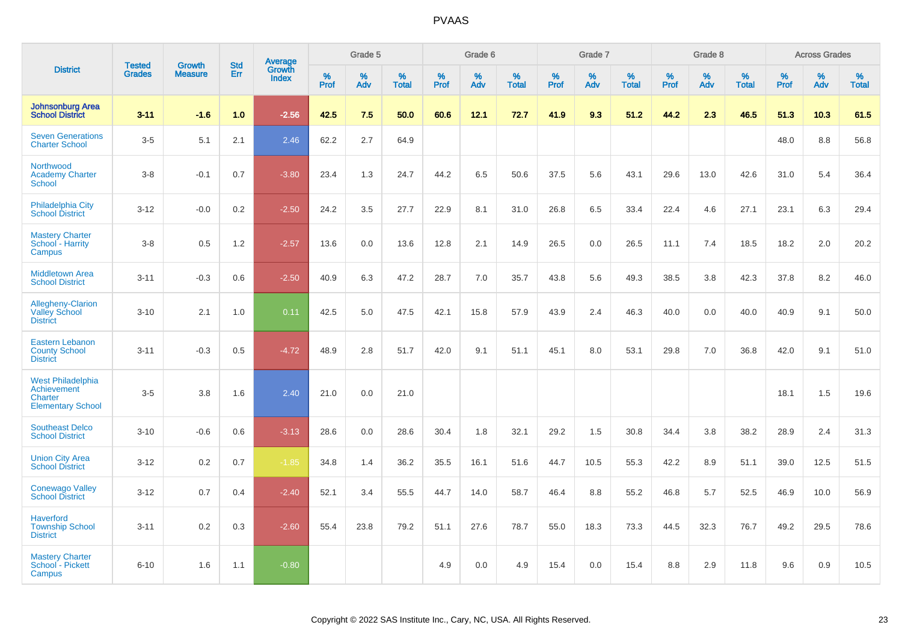|                                                                         |                                |                                 |                   | Average                |                     | Grade 5     |                   |              | Grade 6  |                      |              | Grade 7  |                      |              | Grade 8  |                   |              | <b>Across Grades</b> |            |
|-------------------------------------------------------------------------|--------------------------------|---------------------------------|-------------------|------------------------|---------------------|-------------|-------------------|--------------|----------|----------------------|--------------|----------|----------------------|--------------|----------|-------------------|--------------|----------------------|------------|
| <b>District</b>                                                         | <b>Tested</b><br><b>Grades</b> | <b>Growth</b><br><b>Measure</b> | <b>Std</b><br>Err | Growth<br><b>Index</b> | $\%$<br><b>Prof</b> | $\%$<br>Adv | %<br><b>Total</b> | $\%$<br>Prof | %<br>Adv | $\%$<br><b>Total</b> | $\%$<br>Prof | %<br>Adv | $\%$<br><b>Total</b> | $\%$<br>Prof | %<br>Adv | %<br><b>Total</b> | $\%$<br>Prof | %<br>Adv             | %<br>Total |
| Johnsonburg Area<br><b>School District</b>                              | $3 - 11$                       | $-1.6$                          | 1.0               | $-2.56$                | 42.5                | 7.5         | 50.0              | 60.6         | 12.1     | 72.7                 | 41.9         | 9.3      | 51.2                 | 44.2         | 2.3      | 46.5              | 51.3         | 10.3                 | 61.5       |
| <b>Seven Generations</b><br><b>Charter School</b>                       | $3-5$                          | 5.1                             | 2.1               | 2.46                   | 62.2                | 2.7         | 64.9              |              |          |                      |              |          |                      |              |          |                   | 48.0         | 8.8                  | 56.8       |
| Northwood<br><b>Academy Charter</b><br>School                           | $3-8$                          | $-0.1$                          | 0.7               | $-3.80$                | 23.4                | 1.3         | 24.7              | 44.2         | 6.5      | 50.6                 | 37.5         | 5.6      | 43.1                 | 29.6         | 13.0     | 42.6              | 31.0         | 5.4                  | 36.4       |
| Philadelphia City<br><b>School District</b>                             | $3 - 12$                       | $-0.0$                          | 0.2               | $-2.50$                | 24.2                | 3.5         | 27.7              | 22.9         | 8.1      | 31.0                 | 26.8         | 6.5      | 33.4                 | 22.4         | 4.6      | 27.1              | 23.1         | 6.3                  | 29.4       |
| <b>Mastery Charter</b><br>School - Harrity<br>Campus                    | $3-8$                          | 0.5                             | 1.2               | $-2.57$                | 13.6                | 0.0         | 13.6              | 12.8         | 2.1      | 14.9                 | 26.5         | 0.0      | 26.5                 | 11.1         | 7.4      | 18.5              | 18.2         | 2.0                  | 20.2       |
| <b>Middletown Area</b><br><b>School District</b>                        | $3 - 11$                       | $-0.3$                          | 0.6               | $-2.50$                | 40.9                | 6.3         | 47.2              | 28.7         | 7.0      | 35.7                 | 43.8         | 5.6      | 49.3                 | 38.5         | 3.8      | 42.3              | 37.8         | 8.2                  | 46.0       |
| Allegheny-Clarion<br><b>Valley School</b><br><b>District</b>            | $3 - 10$                       | 2.1                             | 1.0               | 0.11                   | 42.5                | 5.0         | 47.5              | 42.1         | 15.8     | 57.9                 | 43.9         | 2.4      | 46.3                 | 40.0         | 0.0      | 40.0              | 40.9         | 9.1                  | 50.0       |
| <b>Eastern Lebanon</b><br><b>County School</b><br><b>District</b>       | $3 - 11$                       | $-0.3$                          | 0.5               | $-4.72$                | 48.9                | 2.8         | 51.7              | 42.0         | 9.1      | 51.1                 | 45.1         | 8.0      | 53.1                 | 29.8         | 7.0      | 36.8              | 42.0         | 9.1                  | 51.0       |
| West Philadelphia<br>Achievement<br>Charter<br><b>Elementary School</b> | $3-5$                          | 3.8                             | 1.6               | 2.40                   | 21.0                | 0.0         | 21.0              |              |          |                      |              |          |                      |              |          |                   | 18.1         | 1.5                  | 19.6       |
| <b>Southeast Delco</b><br><b>School District</b>                        | $3 - 10$                       | $-0.6$                          | 0.6               | $-3.13$                | 28.6                | 0.0         | 28.6              | 30.4         | 1.8      | 32.1                 | 29.2         | 1.5      | 30.8                 | 34.4         | 3.8      | 38.2              | 28.9         | 2.4                  | 31.3       |
| <b>Union City Area</b><br><b>School District</b>                        | $3 - 12$                       | 0.2                             | 0.7               | $-1.85$                | 34.8                | 1.4         | 36.2              | 35.5         | 16.1     | 51.6                 | 44.7         | 10.5     | 55.3                 | 42.2         | 8.9      | 51.1              | 39.0         | 12.5                 | 51.5       |
| <b>Conewago Valley</b><br><b>School District</b>                        | $3 - 12$                       | 0.7                             | 0.4               | $-2.40$                | 52.1                | 3.4         | 55.5              | 44.7         | 14.0     | 58.7                 | 46.4         | 8.8      | 55.2                 | 46.8         | 5.7      | 52.5              | 46.9         | 10.0                 | 56.9       |
| <b>Haverford</b><br><b>Township School</b><br><b>District</b>           | $3 - 11$                       | 0.2                             | 0.3               | $-2.60$                | 55.4                | 23.8        | 79.2              | 51.1         | 27.6     | 78.7                 | 55.0         | 18.3     | 73.3                 | 44.5         | 32.3     | 76.7              | 49.2         | 29.5                 | 78.6       |
| <b>Mastery Charter</b><br>School - Pickett<br>Campus                    | $6 - 10$                       | 1.6                             | 1.1               | $-0.80$                |                     |             |                   | 4.9          | 0.0      | 4.9                  | 15.4         | 0.0      | 15.4                 | 8.8          | 2.9      | 11.8              | 9.6          | 0.9                  | 10.5       |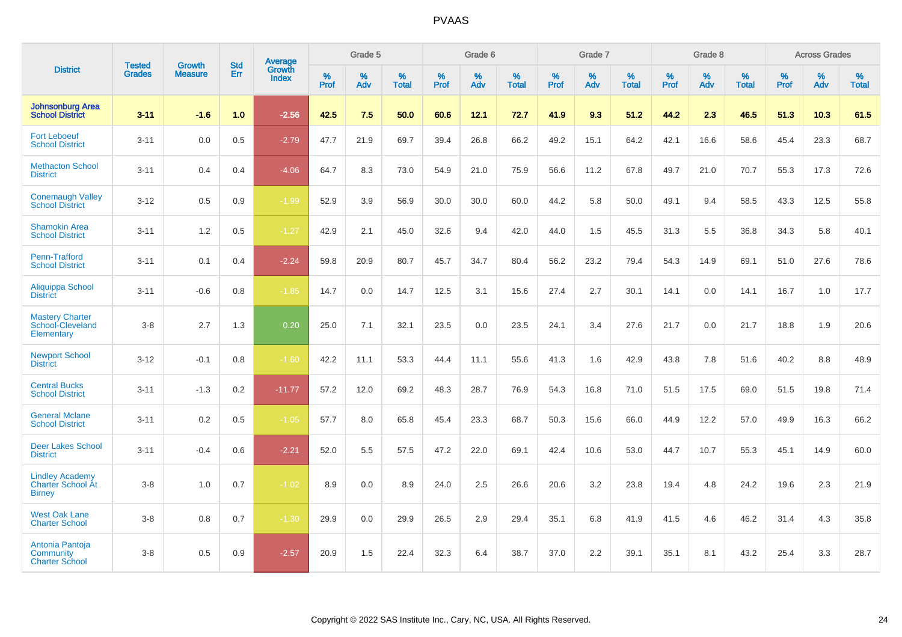|                                                                     | <b>Tested</b> | <b>Growth</b>  | <b>Std</b> | Average                |           | Grade 5  |                   |           | Grade 6  |                   |           | Grade 7  |                   |           | Grade 8  |                   |           | <b>Across Grades</b> |                   |
|---------------------------------------------------------------------|---------------|----------------|------------|------------------------|-----------|----------|-------------------|-----------|----------|-------------------|-----------|----------|-------------------|-----------|----------|-------------------|-----------|----------------------|-------------------|
| <b>District</b>                                                     | <b>Grades</b> | <b>Measure</b> | Err        | Growth<br><b>Index</b> | %<br>Prof | %<br>Adv | %<br><b>Total</b> | %<br>Prof | %<br>Adv | %<br><b>Total</b> | %<br>Prof | %<br>Adv | %<br><b>Total</b> | %<br>Prof | %<br>Adv | %<br><b>Total</b> | %<br>Prof | %<br>Adv             | %<br><b>Total</b> |
| <b>Johnsonburg Area</b><br><b>School District</b>                   | $3 - 11$      | $-1.6$         | 1.0        | $-2.56$                | 42.5      | 7.5      | 50.0              | 60.6      | 12.1     | 72.7              | 41.9      | 9.3      | 51.2              | 44.2      | 2.3      | 46.5              | 51.3      | 10.3                 | 61.5              |
| <b>Fort Leboeuf</b><br><b>School District</b>                       | $3 - 11$      | 0.0            | 0.5        | $-2.79$                | 47.7      | 21.9     | 69.7              | 39.4      | 26.8     | 66.2              | 49.2      | 15.1     | 64.2              | 42.1      | 16.6     | 58.6              | 45.4      | 23.3                 | 68.7              |
| <b>Methacton School</b><br><b>District</b>                          | $3 - 11$      | 0.4            | 0.4        | $-4.06$                | 64.7      | 8.3      | 73.0              | 54.9      | 21.0     | 75.9              | 56.6      | 11.2     | 67.8              | 49.7      | 21.0     | 70.7              | 55.3      | 17.3                 | 72.6              |
| <b>Conemaugh Valley</b><br><b>School District</b>                   | $3 - 12$      | 0.5            | 0.9        | $-1.99$                | 52.9      | 3.9      | 56.9              | 30.0      | 30.0     | 60.0              | 44.2      | 5.8      | 50.0              | 49.1      | 9.4      | 58.5              | 43.3      | 12.5                 | 55.8              |
| <b>Shamokin Area</b><br><b>School District</b>                      | $3 - 11$      | 1.2            | 0.5        | $-1.27$                | 42.9      | 2.1      | 45.0              | 32.6      | 9.4      | 42.0              | 44.0      | 1.5      | 45.5              | 31.3      | 5.5      | 36.8              | 34.3      | 5.8                  | 40.1              |
| Penn-Trafford<br><b>School District</b>                             | $3 - 11$      | 0.1            | 0.4        | $-2.24$                | 59.8      | 20.9     | 80.7              | 45.7      | 34.7     | 80.4              | 56.2      | 23.2     | 79.4              | 54.3      | 14.9     | 69.1              | 51.0      | 27.6                 | 78.6              |
| Aliquippa School<br><b>District</b>                                 | $3 - 11$      | $-0.6$         | 0.8        | $-1.85$                | 14.7      | 0.0      | 14.7              | 12.5      | 3.1      | 15.6              | 27.4      | 2.7      | 30.1              | 14.1      | 0.0      | 14.1              | 16.7      | 1.0                  | 17.7              |
| <b>Mastery Charter</b><br>School-Cleveland<br>Elementary            | $3-8$         | 2.7            | 1.3        | 0.20                   | 25.0      | 7.1      | 32.1              | 23.5      | 0.0      | 23.5              | 24.1      | 3.4      | 27.6              | 21.7      | 0.0      | 21.7              | 18.8      | 1.9                  | 20.6              |
| <b>Newport School</b><br><b>District</b>                            | $3 - 12$      | $-0.1$         | 0.8        | $-1.60$                | 42.2      | 11.1     | 53.3              | 44.4      | 11.1     | 55.6              | 41.3      | 1.6      | 42.9              | 43.8      | 7.8      | 51.6              | 40.2      | 8.8                  | 48.9              |
| <b>Central Bucks</b><br><b>School District</b>                      | $3 - 11$      | $-1.3$         | 0.2        | $-11.77$               | 57.2      | 12.0     | 69.2              | 48.3      | 28.7     | 76.9              | 54.3      | 16.8     | 71.0              | 51.5      | 17.5     | 69.0              | 51.5      | 19.8                 | 71.4              |
| <b>General Mclane</b><br><b>School District</b>                     | $3 - 11$      | 0.2            | 0.5        | $-1.05$                | 57.7      | 8.0      | 65.8              | 45.4      | 23.3     | 68.7              | 50.3      | 15.6     | 66.0              | 44.9      | 12.2     | 57.0              | 49.9      | 16.3                 | 66.2              |
| <b>Deer Lakes School</b><br><b>District</b>                         | $3 - 11$      | $-0.4$         | 0.6        | $-2.21$                | 52.0      | 5.5      | 57.5              | 47.2      | 22.0     | 69.1              | 42.4      | 10.6     | 53.0              | 44.7      | 10.7     | 55.3              | 45.1      | 14.9                 | 60.0              |
| <b>Lindley Academy</b><br><b>Charter School At</b><br><b>Birney</b> | $3-8$         | 1.0            | 0.7        | $-1.02$                | 8.9       | 0.0      | 8.9               | 24.0      | 2.5      | 26.6              | 20.6      | 3.2      | 23.8              | 19.4      | 4.8      | 24.2              | 19.6      | 2.3                  | 21.9              |
| <b>West Oak Lane</b><br><b>Charter School</b>                       | $3-8$         | 0.8            | 0.7        | $-1.30$                | 29.9      | 0.0      | 29.9              | 26.5      | 2.9      | 29.4              | 35.1      | 6.8      | 41.9              | 41.5      | 4.6      | 46.2              | 31.4      | 4.3                  | 35.8              |
| Antonia Pantoja<br>Community<br><b>Charter School</b>               | $3-8$         | 0.5            | 0.9        | $-2.57$                | 20.9      | 1.5      | 22.4              | 32.3      | 6.4      | 38.7              | 37.0      | 2.2      | 39.1              | 35.1      | 8.1      | 43.2              | 25.4      | 3.3                  | 28.7              |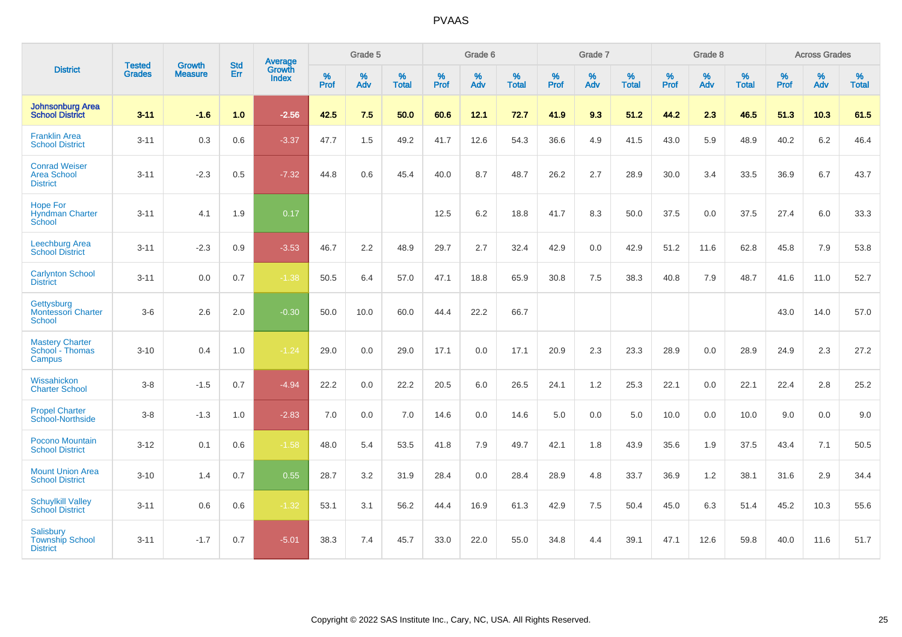|                                                               | <b>Tested</b> | <b>Growth</b>  | <b>Std</b> | Average                |                     | Grade 5  |                   |                     | Grade 6  |                   |              | Grade 7  |                   |                     | Grade 8  |                   |                     | <b>Across Grades</b> |                   |
|---------------------------------------------------------------|---------------|----------------|------------|------------------------|---------------------|----------|-------------------|---------------------|----------|-------------------|--------------|----------|-------------------|---------------------|----------|-------------------|---------------------|----------------------|-------------------|
| <b>District</b>                                               | <b>Grades</b> | <b>Measure</b> | Err        | Growth<br><b>Index</b> | $\%$<br><b>Prof</b> | %<br>Adv | %<br><b>Total</b> | $\%$<br><b>Prof</b> | %<br>Adv | %<br><b>Total</b> | $\%$<br>Prof | %<br>Adv | %<br><b>Total</b> | $\%$<br><b>Prof</b> | %<br>Adv | %<br><b>Total</b> | $\%$<br><b>Prof</b> | %<br>Adv             | %<br><b>Total</b> |
| <b>Johnsonburg Area</b><br><b>School District</b>             | $3 - 11$      | $-1.6$         | 1.0        | $-2.56$                | 42.5                | 7.5      | 50.0              | 60.6                | 12.1     | 72.7              | 41.9         | 9.3      | 51.2              | 44.2                | 2.3      | 46.5              | 51.3                | 10.3                 | 61.5              |
| <b>Franklin Area</b><br><b>School District</b>                | $3 - 11$      | 0.3            | 0.6        | $-3.37$                | 47.7                | 1.5      | 49.2              | 41.7                | 12.6     | 54.3              | 36.6         | 4.9      | 41.5              | 43.0                | 5.9      | 48.9              | 40.2                | 6.2                  | 46.4              |
| <b>Conrad Weiser</b><br><b>Area School</b><br><b>District</b> | $3 - 11$      | $-2.3$         | 0.5        | $-7.32$                | 44.8                | 0.6      | 45.4              | 40.0                | 8.7      | 48.7              | 26.2         | 2.7      | 28.9              | 30.0                | 3.4      | 33.5              | 36.9                | 6.7                  | 43.7              |
| <b>Hope For</b><br><b>Hyndman Charter</b><br>School           | $3 - 11$      | 4.1            | 1.9        | 0.17                   |                     |          |                   | 12.5                | 6.2      | 18.8              | 41.7         | 8.3      | 50.0              | 37.5                | 0.0      | 37.5              | 27.4                | 6.0                  | 33.3              |
| Leechburg Area<br><b>School District</b>                      | $3 - 11$      | $-2.3$         | 0.9        | $-3.53$                | 46.7                | 2.2      | 48.9              | 29.7                | 2.7      | 32.4              | 42.9         | 0.0      | 42.9              | 51.2                | 11.6     | 62.8              | 45.8                | 7.9                  | 53.8              |
| <b>Carlynton School</b><br><b>District</b>                    | $3 - 11$      | 0.0            | 0.7        | $-1.38$                | 50.5                | 6.4      | 57.0              | 47.1                | 18.8     | 65.9              | 30.8         | 7.5      | 38.3              | 40.8                | 7.9      | 48.7              | 41.6                | 11.0                 | 52.7              |
| Gettysburg<br><b>Montessori Charter</b><br>School             | $3-6$         | 2.6            | 2.0        | $-0.30$                | 50.0                | 10.0     | 60.0              | 44.4                | 22.2     | 66.7              |              |          |                   |                     |          |                   | 43.0                | 14.0                 | 57.0              |
| <b>Mastery Charter</b><br>School - Thomas<br>Campus           | $3 - 10$      | 0.4            | 1.0        | $-1.24$                | 29.0                | 0.0      | 29.0              | 17.1                | 0.0      | 17.1              | 20.9         | 2.3      | 23.3              | 28.9                | 0.0      | 28.9              | 24.9                | 2.3                  | 27.2              |
| Wissahickon<br><b>Charter School</b>                          | $3 - 8$       | $-1.5$         | 0.7        | $-4.94$                | 22.2                | 0.0      | 22.2              | 20.5                | 6.0      | 26.5              | 24.1         | 1.2      | 25.3              | 22.1                | 0.0      | 22.1              | 22.4                | 2.8                  | 25.2              |
| <b>Propel Charter</b><br>School-Northside                     | $3 - 8$       | $-1.3$         | 1.0        | $-2.83$                | $7.0\,$             | 0.0      | 7.0               | 14.6                | 0.0      | 14.6              | 5.0          | 0.0      | 5.0               | 10.0                | 0.0      | 10.0              | 9.0                 | 0.0                  | 9.0               |
| Pocono Mountain<br><b>School District</b>                     | $3 - 12$      | 0.1            | 0.6        | $-1.58$                | 48.0                | 5.4      | 53.5              | 41.8                | 7.9      | 49.7              | 42.1         | 1.8      | 43.9              | 35.6                | 1.9      | 37.5              | 43.4                | 7.1                  | 50.5              |
| <b>Mount Union Area</b><br><b>School District</b>             | $3 - 10$      | 1.4            | 0.7        | 0.55                   | 28.7                | 3.2      | 31.9              | 28.4                | 0.0      | 28.4              | 28.9         | 4.8      | 33.7              | 36.9                | 1.2      | 38.1              | 31.6                | 2.9                  | 34.4              |
| <b>Schuylkill Valley</b><br><b>School District</b>            | $3 - 11$      | 0.6            | 0.6        | $-1.32$                | 53.1                | 3.1      | 56.2              | 44.4                | 16.9     | 61.3              | 42.9         | 7.5      | 50.4              | 45.0                | 6.3      | 51.4              | 45.2                | 10.3                 | 55.6              |
| <b>Salisbury</b><br><b>Township School</b><br><b>District</b> | $3 - 11$      | $-1.7$         | 0.7        | $-5.01$                | 38.3                | 7.4      | 45.7              | 33.0                | 22.0     | 55.0              | 34.8         | 4.4      | 39.1              | 47.1                | 12.6     | 59.8              | 40.0                | 11.6                 | 51.7              |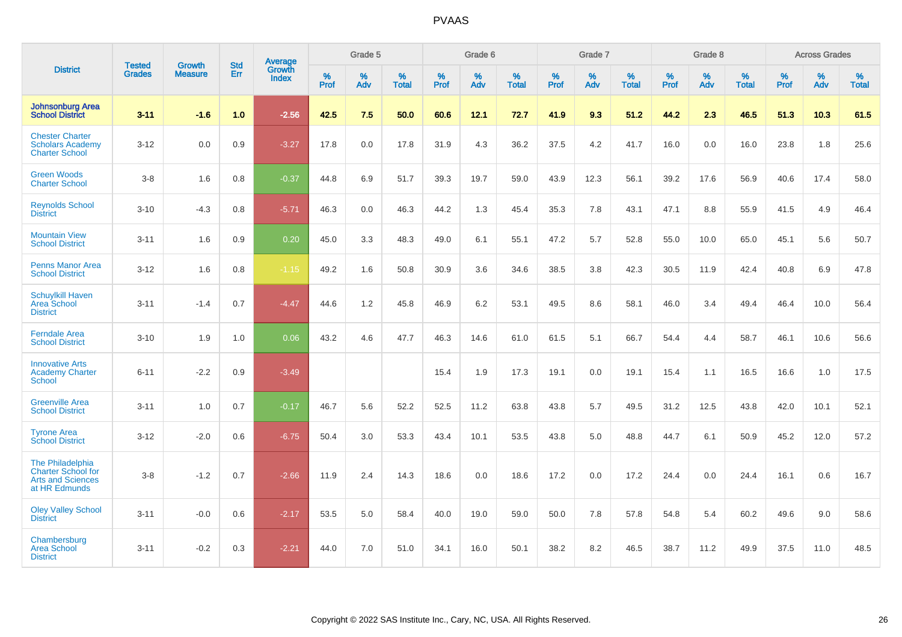|                                                                                            |                                |                                 | <b>Std</b> | Average                       |           | Grade 5  |                   |           | Grade 6  |                   |           | Grade 7  |                   |           | Grade 8  |                   |              | <b>Across Grades</b> |                   |
|--------------------------------------------------------------------------------------------|--------------------------------|---------------------------------|------------|-------------------------------|-----------|----------|-------------------|-----------|----------|-------------------|-----------|----------|-------------------|-----------|----------|-------------------|--------------|----------------------|-------------------|
| <b>District</b>                                                                            | <b>Tested</b><br><b>Grades</b> | <b>Growth</b><br><b>Measure</b> | Err        | <b>Growth</b><br><b>Index</b> | %<br>Prof | %<br>Adv | %<br><b>Total</b> | %<br>Prof | %<br>Adv | %<br><b>Total</b> | %<br>Prof | %<br>Adv | %<br><b>Total</b> | %<br>Prof | %<br>Adv | %<br><b>Total</b> | $\%$<br>Prof | %<br>Adv             | %<br><b>Total</b> |
| <b>Johnsonburg Area</b><br><b>School District</b>                                          | $3 - 11$                       | $-1.6$                          | 1.0        | $-2.56$                       | 42.5      | 7.5      | 50.0              | 60.6      | 12.1     | 72.7              | 41.9      | 9.3      | 51.2              | 44.2      | 2.3      | 46.5              | 51.3         | 10.3                 | 61.5              |
| <b>Chester Charter</b><br><b>Scholars Academy</b><br><b>Charter School</b>                 | $3 - 12$                       | 0.0                             | 0.9        | $-3.27$                       | 17.8      | 0.0      | 17.8              | 31.9      | 4.3      | 36.2              | 37.5      | 4.2      | 41.7              | 16.0      | 0.0      | 16.0              | 23.8         | 1.8                  | 25.6              |
| <b>Green Woods</b><br><b>Charter School</b>                                                | $3-8$                          | 1.6                             | 0.8        | $-0.37$                       | 44.8      | 6.9      | 51.7              | 39.3      | 19.7     | 59.0              | 43.9      | 12.3     | 56.1              | 39.2      | 17.6     | 56.9              | 40.6         | 17.4                 | 58.0              |
| <b>Reynolds School</b><br><b>District</b>                                                  | $3 - 10$                       | $-4.3$                          | 0.8        | $-5.71$                       | 46.3      | 0.0      | 46.3              | 44.2      | 1.3      | 45.4              | 35.3      | 7.8      | 43.1              | 47.1      | 8.8      | 55.9              | 41.5         | 4.9                  | 46.4              |
| <b>Mountain View</b><br><b>School District</b>                                             | $3 - 11$                       | 1.6                             | 0.9        | 0.20                          | 45.0      | 3.3      | 48.3              | 49.0      | 6.1      | 55.1              | 47.2      | 5.7      | 52.8              | 55.0      | 10.0     | 65.0              | 45.1         | 5.6                  | 50.7              |
| <b>Penns Manor Area</b><br><b>School District</b>                                          | $3 - 12$                       | 1.6                             | 0.8        | $-1.15$                       | 49.2      | 1.6      | 50.8              | 30.9      | 3.6      | 34.6              | 38.5      | 3.8      | 42.3              | 30.5      | 11.9     | 42.4              | 40.8         | 6.9                  | 47.8              |
| <b>Schuylkill Haven</b><br><b>Area School</b><br><b>District</b>                           | $3 - 11$                       | $-1.4$                          | 0.7        | $-4.47$                       | 44.6      | 1.2      | 45.8              | 46.9      | 6.2      | 53.1              | 49.5      | 8.6      | 58.1              | 46.0      | 3.4      | 49.4              | 46.4         | 10.0                 | 56.4              |
| <b>Ferndale Area</b><br><b>School District</b>                                             | $3 - 10$                       | 1.9                             | 1.0        | 0.06                          | 43.2      | 4.6      | 47.7              | 46.3      | 14.6     | 61.0              | 61.5      | 5.1      | 66.7              | 54.4      | 4.4      | 58.7              | 46.1         | 10.6                 | 56.6              |
| <b>Innovative Arts</b><br><b>Academy Charter</b><br><b>School</b>                          | $6 - 11$                       | $-2.2$                          | 0.9        | $-3.49$                       |           |          |                   | 15.4      | 1.9      | 17.3              | 19.1      | 0.0      | 19.1              | 15.4      | 1.1      | 16.5              | 16.6         | 1.0                  | 17.5              |
| <b>Greenville Area</b><br><b>School District</b>                                           | $3 - 11$                       | 1.0                             | 0.7        | $-0.17$                       | 46.7      | 5.6      | 52.2              | 52.5      | 11.2     | 63.8              | 43.8      | 5.7      | 49.5              | 31.2      | 12.5     | 43.8              | 42.0         | 10.1                 | 52.1              |
| <b>Tyrone Area</b><br><b>School District</b>                                               | $3 - 12$                       | $-2.0$                          | 0.6        | $-6.75$                       | 50.4      | 3.0      | 53.3              | 43.4      | 10.1     | 53.5              | 43.8      | 5.0      | 48.8              | 44.7      | 6.1      | 50.9              | 45.2         | 12.0                 | 57.2              |
| The Philadelphia<br><b>Charter School for</b><br><b>Arts and Sciences</b><br>at HR Edmunds | $3-8$                          | $-1.2$                          | 0.7        | $-2.66$                       | 11.9      | 2.4      | 14.3              | 18.6      | 0.0      | 18.6              | 17.2      | 0.0      | 17.2              | 24.4      | 0.0      | 24.4              | 16.1         | 0.6                  | 16.7              |
| <b>Oley Valley School</b><br><b>District</b>                                               | $3 - 11$                       | $-0.0$                          | 0.6        | $-2.17$                       | 53.5      | 5.0      | 58.4              | 40.0      | 19.0     | 59.0              | 50.0      | 7.8      | 57.8              | 54.8      | 5.4      | 60.2              | 49.6         | 9.0                  | 58.6              |
| Chambersburg<br><b>Area School</b><br><b>District</b>                                      | $3 - 11$                       | $-0.2$                          | 0.3        | $-2.21$                       | 44.0      | 7.0      | 51.0              | 34.1      | 16.0     | 50.1              | 38.2      | 8.2      | 46.5              | 38.7      | 11.2     | 49.9              | 37.5         | 11.0                 | 48.5              |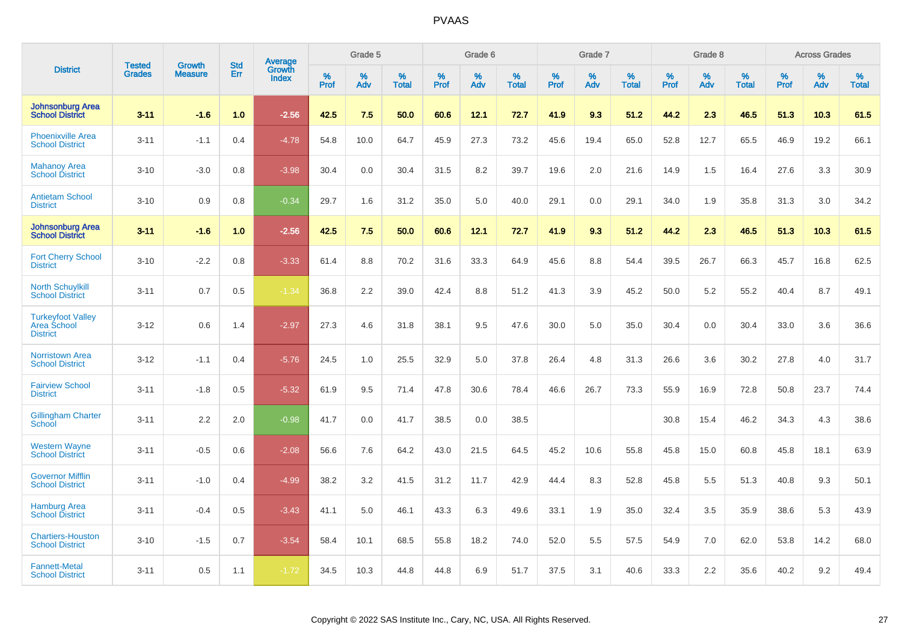|                                                            | <b>Tested</b> | <b>Growth</b>  | <b>Std</b> | Average                |              | Grade 5     |                      |                  | Grade 6  |                      |              | Grade 7  |                      |              | Grade 8  |                      |              | <b>Across Grades</b> |                      |
|------------------------------------------------------------|---------------|----------------|------------|------------------------|--------------|-------------|----------------------|------------------|----------|----------------------|--------------|----------|----------------------|--------------|----------|----------------------|--------------|----------------------|----------------------|
| <b>District</b>                                            | <b>Grades</b> | <b>Measure</b> | Err        | Growth<br><b>Index</b> | $\%$<br>Prof | $\%$<br>Adv | $\%$<br><b>Total</b> | %<br><b>Prof</b> | %<br>Adv | $\%$<br><b>Total</b> | $\%$<br>Prof | %<br>Adv | $\%$<br><b>Total</b> | $\%$<br>Prof | %<br>Adv | $\%$<br><b>Total</b> | $\%$<br>Prof | %<br>Adv             | $\%$<br><b>Total</b> |
| <b>Johnsonburg Area</b><br><b>School District</b>          | $3 - 11$      | $-1.6$         | 1.0        | $-2.56$                | 42.5         | 7.5         | 50.0                 | 60.6             | 12.1     | 72.7                 | 41.9         | 9.3      | 51.2                 | 44.2         | 2.3      | 46.5                 | 51.3         | 10.3                 | 61.5                 |
| <b>Phoenixville Area</b><br><b>School District</b>         | $3 - 11$      | $-1.1$         | 0.4        | $-4.78$                | 54.8         | 10.0        | 64.7                 | 45.9             | 27.3     | 73.2                 | 45.6         | 19.4     | 65.0                 | 52.8         | 12.7     | 65.5                 | 46.9         | 19.2                 | 66.1                 |
| <b>Mahanoy Area</b><br><b>School District</b>              | $3 - 10$      | $-3.0$         | 0.8        | $-3.98$                | 30.4         | 0.0         | 30.4                 | 31.5             | 8.2      | 39.7                 | 19.6         | 2.0      | 21.6                 | 14.9         | 1.5      | 16.4                 | 27.6         | 3.3                  | 30.9                 |
| <b>Antietam School</b><br><b>District</b>                  | $3 - 10$      | 0.9            | 0.8        | $-0.34$                | 29.7         | 1.6         | 31.2                 | 35.0             | 5.0      | 40.0                 | 29.1         | 0.0      | 29.1                 | 34.0         | 1.9      | 35.8                 | 31.3         | 3.0                  | 34.2                 |
| <b>Johnsonburg Area</b><br><b>School District</b>          | $3 - 11$      | $-1.6$         | 1.0        | $-2.56$                | 42.5         | 7.5         | 50.0                 | 60.6             | 12.1     | 72.7                 | 41.9         | 9.3      | 51.2                 | 44.2         | 23       | 46.5                 | 51.3         | 10.3                 | 61.5                 |
| <b>Fort Cherry School</b><br><b>District</b>               | $3 - 10$      | $-2.2$         | 0.8        | $-3.33$                | 61.4         | 8.8         | 70.2                 | 31.6             | 33.3     | 64.9                 | 45.6         | 8.8      | 54.4                 | 39.5         | 26.7     | 66.3                 | 45.7         | 16.8                 | 62.5                 |
| <b>North Schuylkill</b><br><b>School District</b>          | $3 - 11$      | 0.7            | 0.5        | $-1.34$                | 36.8         | 2.2         | 39.0                 | 42.4             | 8.8      | 51.2                 | 41.3         | 3.9      | 45.2                 | 50.0         | 5.2      | 55.2                 | 40.4         | 8.7                  | 49.1                 |
| <b>Turkeyfoot Valley</b><br>Area School<br><b>District</b> | $3 - 12$      | 0.6            | 1.4        | $-2.97$                | 27.3         | 4.6         | 31.8                 | 38.1             | 9.5      | 47.6                 | 30.0         | 5.0      | 35.0                 | 30.4         | 0.0      | 30.4                 | 33.0         | 3.6                  | 36.6                 |
| <b>Norristown Area</b><br><b>School District</b>           | $3 - 12$      | $-1.1$         | 0.4        | $-5.76$                | 24.5         | 1.0         | 25.5                 | 32.9             | 5.0      | 37.8                 | 26.4         | 4.8      | 31.3                 | 26.6         | 3.6      | 30.2                 | 27.8         | 4.0                  | 31.7                 |
| <b>Fairview School</b><br><b>District</b>                  | $3 - 11$      | $-1.8$         | 0.5        | $-5.32$                | 61.9         | 9.5         | 71.4                 | 47.8             | 30.6     | 78.4                 | 46.6         | 26.7     | 73.3                 | 55.9         | 16.9     | 72.8                 | 50.8         | 23.7                 | 74.4                 |
| <b>Gillingham Charter</b><br>School                        | $3 - 11$      | 2.2            | 2.0        | $-0.98$                | 41.7         | 0.0         | 41.7                 | 38.5             | 0.0      | 38.5                 |              |          |                      | 30.8         | 15.4     | 46.2                 | 34.3         | 4.3                  | 38.6                 |
| <b>Western Wayne</b><br><b>School District</b>             | $3 - 11$      | $-0.5$         | 0.6        | $-2.08$                | 56.6         | 7.6         | 64.2                 | 43.0             | 21.5     | 64.5                 | 45.2         | 10.6     | 55.8                 | 45.8         | 15.0     | 60.8                 | 45.8         | 18.1                 | 63.9                 |
| <b>Governor Mifflin</b><br><b>School District</b>          | $3 - 11$      | $-1.0$         | 0.4        | $-4.99$                | 38.2         | 3.2         | 41.5                 | 31.2             | 11.7     | 42.9                 | 44.4         | 8.3      | 52.8                 | 45.8         | 5.5      | 51.3                 | 40.8         | 9.3                  | 50.1                 |
| <b>Hamburg Area</b><br><b>School District</b>              | $3 - 11$      | $-0.4$         | 0.5        | $-3.43$                | 41.1         | 5.0         | 46.1                 | 43.3             | 6.3      | 49.6                 | 33.1         | 1.9      | 35.0                 | 32.4         | 3.5      | 35.9                 | 38.6         | 5.3                  | 43.9                 |
| <b>Chartiers-Houston</b><br><b>School District</b>         | $3 - 10$      | $-1.5$         | 0.7        | $-3.54$                | 58.4         | 10.1        | 68.5                 | 55.8             | 18.2     | 74.0                 | 52.0         | 5.5      | 57.5                 | 54.9         | 7.0      | 62.0                 | 53.8         | 14.2                 | 68.0                 |
| <b>Fannett-Metal</b><br><b>School District</b>             | $3 - 11$      | 0.5            | 1.1        | $-1.72$                | 34.5         | 10.3        | 44.8                 | 44.8             | 6.9      | 51.7                 | 37.5         | 3.1      | 40.6                 | 33.3         | 2.2      | 35.6                 | 40.2         | 9.2                  | 49.4                 |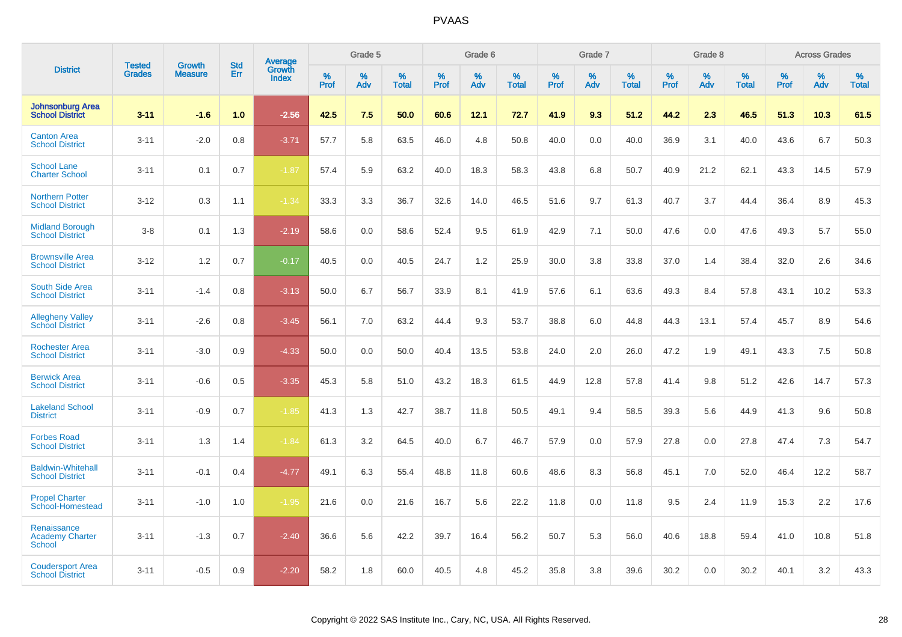|                                                        | <b>Tested</b> | <b>Growth</b>  | <b>Std</b> | Average<br>Growth |                     | Grade 5  |                      |              | Grade 6  |                      |              | Grade 7  |                      |              | Grade 8  |                      |                     | <b>Across Grades</b> |                      |
|--------------------------------------------------------|---------------|----------------|------------|-------------------|---------------------|----------|----------------------|--------------|----------|----------------------|--------------|----------|----------------------|--------------|----------|----------------------|---------------------|----------------------|----------------------|
| <b>District</b>                                        | <b>Grades</b> | <b>Measure</b> | <b>Err</b> | <b>Index</b>      | $\%$<br><b>Prof</b> | %<br>Adv | $\%$<br><b>Total</b> | $\%$<br>Prof | %<br>Adv | $\%$<br><b>Total</b> | $\%$<br>Prof | %<br>Adv | $\%$<br><b>Total</b> | $\%$<br>Prof | %<br>Adv | $\%$<br><b>Total</b> | $\%$<br><b>Prof</b> | %<br>Adv             | $\%$<br><b>Total</b> |
| <b>Johnsonburg Area</b><br><b>School District</b>      | $3 - 11$      | $-1.6$         | 1.0        | $-2.56$           | 42.5                | 7.5      | 50.0                 | 60.6         | 12.1     | 72.7                 | 41.9         | 9.3      | 51.2                 | 44.2         | 2.3      | 46.5                 | 51.3                | 10.3                 | 61.5                 |
| <b>Canton Area</b><br><b>School District</b>           | $3 - 11$      | $-2.0$         | 0.8        | $-3.71$           | 57.7                | 5.8      | 63.5                 | 46.0         | 4.8      | 50.8                 | 40.0         | 0.0      | 40.0                 | 36.9         | 3.1      | 40.0                 | 43.6                | 6.7                  | 50.3                 |
| <b>School Lane</b><br><b>Charter School</b>            | $3 - 11$      | 0.1            | 0.7        | $-1.87$           | 57.4                | 5.9      | 63.2                 | 40.0         | 18.3     | 58.3                 | 43.8         | 6.8      | 50.7                 | 40.9         | 21.2     | 62.1                 | 43.3                | 14.5                 | 57.9                 |
| <b>Northern Potter</b><br><b>School District</b>       | $3 - 12$      | 0.3            | 1.1        | $-1.34$           | 33.3                | 3.3      | 36.7                 | 32.6         | 14.0     | 46.5                 | 51.6         | 9.7      | 61.3                 | 40.7         | 3.7      | 44.4                 | 36.4                | 8.9                  | 45.3                 |
| <b>Midland Borough</b><br><b>School District</b>       | $3 - 8$       | 0.1            | 1.3        | $-2.19$           | 58.6                | 0.0      | 58.6                 | 52.4         | 9.5      | 61.9                 | 42.9         | 7.1      | 50.0                 | 47.6         | 0.0      | 47.6                 | 49.3                | 5.7                  | 55.0                 |
| <b>Brownsville Area</b><br><b>School District</b>      | $3 - 12$      | 1.2            | 0.7        | $-0.17$           | 40.5                | 0.0      | 40.5                 | 24.7         | 1.2      | 25.9                 | 30.0         | 3.8      | 33.8                 | 37.0         | 1.4      | 38.4                 | 32.0                | 2.6                  | 34.6                 |
| <b>South Side Area</b><br><b>School District</b>       | $3 - 11$      | $-1.4$         | 0.8        | $-3.13$           | 50.0                | 6.7      | 56.7                 | 33.9         | 8.1      | 41.9                 | 57.6         | 6.1      | 63.6                 | 49.3         | 8.4      | 57.8                 | 43.1                | 10.2                 | 53.3                 |
| <b>Allegheny Valley</b><br><b>School District</b>      | $3 - 11$      | $-2.6$         | 0.8        | $-3.45$           | 56.1                | 7.0      | 63.2                 | 44.4         | 9.3      | 53.7                 | 38.8         | 6.0      | 44.8                 | 44.3         | 13.1     | 57.4                 | 45.7                | 8.9                  | 54.6                 |
| <b>Rochester Area</b><br><b>School District</b>        | $3 - 11$      | $-3.0$         | 0.9        | $-4.33$           | 50.0                | 0.0      | 50.0                 | 40.4         | 13.5     | 53.8                 | 24.0         | 2.0      | 26.0                 | 47.2         | 1.9      | 49.1                 | 43.3                | 7.5                  | 50.8                 |
| <b>Berwick Area</b><br><b>School District</b>          | $3 - 11$      | $-0.6$         | 0.5        | $-3.35$           | 45.3                | 5.8      | 51.0                 | 43.2         | 18.3     | 61.5                 | 44.9         | 12.8     | 57.8                 | 41.4         | 9.8      | 51.2                 | 42.6                | 14.7                 | 57.3                 |
| <b>Lakeland School</b><br><b>District</b>              | $3 - 11$      | $-0.9$         | 0.7        | $-1.85$           | 41.3                | 1.3      | 42.7                 | 38.7         | 11.8     | 50.5                 | 49.1         | 9.4      | 58.5                 | 39.3         | 5.6      | 44.9                 | 41.3                | 9.6                  | 50.8                 |
| <b>Forbes Road</b><br><b>School District</b>           | $3 - 11$      | 1.3            | 1.4        | $-1.84$           | 61.3                | 3.2      | 64.5                 | 40.0         | 6.7      | 46.7                 | 57.9         | 0.0      | 57.9                 | 27.8         | 0.0      | 27.8                 | 47.4                | 7.3                  | 54.7                 |
| <b>Baldwin-Whitehall</b><br><b>School District</b>     | $3 - 11$      | $-0.1$         | 0.4        | $-4.77$           | 49.1                | 6.3      | 55.4                 | 48.8         | 11.8     | 60.6                 | 48.6         | 8.3      | 56.8                 | 45.1         | 7.0      | 52.0                 | 46.4                | 12.2                 | 58.7                 |
| <b>Propel Charter</b><br>School-Homestead              | $3 - 11$      | $-1.0$         | 1.0        | $-1.95$           | 21.6                | 0.0      | 21.6                 | 16.7         | 5.6      | 22.2                 | 11.8         | 0.0      | 11.8                 | 9.5          | 2.4      | 11.9                 | 15.3                | 2.2                  | 17.6                 |
| Renaissance<br><b>Academy Charter</b><br><b>School</b> | $3 - 11$      | $-1.3$         | 0.7        | $-2.40$           | 36.6                | 5.6      | 42.2                 | 39.7         | 16.4     | 56.2                 | 50.7         | 5.3      | 56.0                 | 40.6         | 18.8     | 59.4                 | 41.0                | 10.8                 | 51.8                 |
| <b>Coudersport Area</b><br><b>School District</b>      | $3 - 11$      | $-0.5$         | 0.9        | $-2.20$           | 58.2                | 1.8      | 60.0                 | 40.5         | 4.8      | 45.2                 | 35.8         | 3.8      | 39.6                 | 30.2         | 0.0      | 30.2                 | 40.1                | 3.2                  | 43.3                 |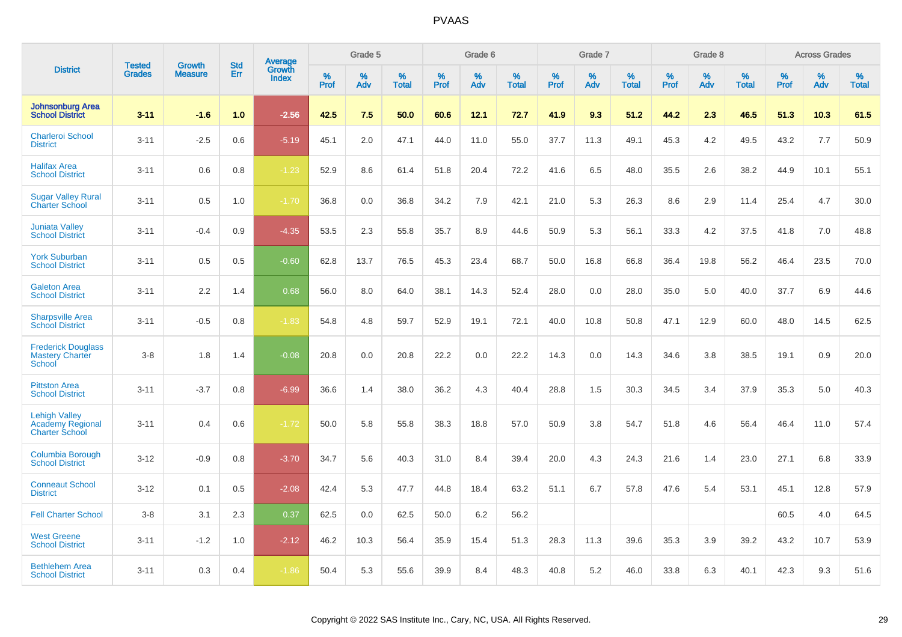|                                                                   | <b>Tested</b> | <b>Growth</b>  | <b>Std</b> | Average                |              | Grade 5  |                      |              | Grade 6     |                      |              | Grade 7  |                      |              | Grade 8     |                      |              | <b>Across Grades</b> |                      |
|-------------------------------------------------------------------|---------------|----------------|------------|------------------------|--------------|----------|----------------------|--------------|-------------|----------------------|--------------|----------|----------------------|--------------|-------------|----------------------|--------------|----------------------|----------------------|
| <b>District</b>                                                   | <b>Grades</b> | <b>Measure</b> | Err        | Growth<br><b>Index</b> | $\%$<br>Prof | %<br>Adv | $\%$<br><b>Total</b> | $\%$<br>Prof | $\%$<br>Adv | $\%$<br><b>Total</b> | $\%$<br>Prof | %<br>Adv | $\%$<br><b>Total</b> | $\%$<br>Prof | $\%$<br>Adv | $\%$<br><b>Total</b> | $\%$<br>Prof | $\%$<br>Adv          | $\%$<br><b>Total</b> |
| <b>Johnsonburg Area</b><br><b>School District</b>                 | $3 - 11$      | $-1.6$         | 1.0        | $-2.56$                | 42.5         | 7.5      | 50.0                 | 60.6         | 12.1        | 72.7                 | 41.9         | 9.3      | 51.2                 | 44.2         | 2.3         | 46.5                 | 51.3         | 10.3                 | 61.5                 |
| <b>Charleroi School</b><br><b>District</b>                        | $3 - 11$      | $-2.5$         | 0.6        | $-5.19$                | 45.1         | 2.0      | 47.1                 | 44.0         | 11.0        | 55.0                 | 37.7         | 11.3     | 49.1                 | 45.3         | 4.2         | 49.5                 | 43.2         | 7.7                  | 50.9                 |
| <b>Halifax Area</b><br><b>School District</b>                     | $3 - 11$      | 0.6            | 0.8        | $-1.23$                | 52.9         | 8.6      | 61.4                 | 51.8         | 20.4        | 72.2                 | 41.6         | 6.5      | 48.0                 | 35.5         | 2.6         | 38.2                 | 44.9         | 10.1                 | 55.1                 |
| <b>Sugar Valley Rural</b><br><b>Charter School</b>                | $3 - 11$      | 0.5            | 1.0        | $-1.70$                | 36.8         | 0.0      | 36.8                 | 34.2         | 7.9         | 42.1                 | 21.0         | 5.3      | 26.3                 | 8.6          | 2.9         | 11.4                 | 25.4         | 4.7                  | 30.0                 |
| <b>Juniata Valley</b><br><b>School District</b>                   | $3 - 11$      | $-0.4$         | 0.9        | $-4.35$                | 53.5         | 2.3      | 55.8                 | 35.7         | 8.9         | 44.6                 | 50.9         | 5.3      | 56.1                 | 33.3         | 4.2         | 37.5                 | 41.8         | 7.0                  | 48.8                 |
| <b>York Suburban</b><br><b>School District</b>                    | $3 - 11$      | 0.5            | 0.5        | $-0.60$                | 62.8         | 13.7     | 76.5                 | 45.3         | 23.4        | 68.7                 | 50.0         | 16.8     | 66.8                 | 36.4         | 19.8        | 56.2                 | 46.4         | 23.5                 | 70.0                 |
| <b>Galeton Area</b><br><b>School District</b>                     | $3 - 11$      | 2.2            | 1.4        | 0.68                   | 56.0         | 8.0      | 64.0                 | 38.1         | 14.3        | 52.4                 | 28.0         | 0.0      | 28.0                 | 35.0         | 5.0         | 40.0                 | 37.7         | 6.9                  | 44.6                 |
| <b>Sharpsville Area</b><br><b>School District</b>                 | $3 - 11$      | $-0.5$         | 0.8        | $-1.83$                | 54.8         | 4.8      | 59.7                 | 52.9         | 19.1        | 72.1                 | 40.0         | 10.8     | 50.8                 | 47.1         | 12.9        | 60.0                 | 48.0         | 14.5                 | 62.5                 |
| <b>Frederick Douglass</b><br><b>Mastery Charter</b><br>School     | $3 - 8$       | 1.8            | 1.4        | $-0.08$                | 20.8         | 0.0      | 20.8                 | 22.2         | 0.0         | 22.2                 | 14.3         | 0.0      | 14.3                 | 34.6         | 3.8         | 38.5                 | 19.1         | 0.9                  | 20.0                 |
| <b>Pittston Area</b><br><b>School District</b>                    | $3 - 11$      | $-3.7$         | 0.8        | $-6.99$                | 36.6         | 1.4      | 38.0                 | 36.2         | 4.3         | 40.4                 | 28.8         | 1.5      | 30.3                 | 34.5         | 3.4         | 37.9                 | 35.3         | 5.0                  | 40.3                 |
| <b>Lehigh Valley</b><br>Academy Regional<br><b>Charter School</b> | $3 - 11$      | 0.4            | 0.6        | $-1.72$                | 50.0         | 5.8      | 55.8                 | 38.3         | 18.8        | 57.0                 | 50.9         | 3.8      | 54.7                 | 51.8         | 4.6         | 56.4                 | 46.4         | 11.0                 | 57.4                 |
| Columbia Borough<br><b>School District</b>                        | $3 - 12$      | $-0.9$         | 0.8        | $-3.70$                | 34.7         | 5.6      | 40.3                 | 31.0         | 8.4         | 39.4                 | 20.0         | 4.3      | 24.3                 | 21.6         | 1.4         | 23.0                 | 27.1         | 6.8                  | 33.9                 |
| <b>Conneaut School</b><br><b>District</b>                         | $3 - 12$      | 0.1            | 0.5        | $-2.08$                | 42.4         | 5.3      | 47.7                 | 44.8         | 18.4        | 63.2                 | 51.1         | 6.7      | 57.8                 | 47.6         | 5.4         | 53.1                 | 45.1         | 12.8                 | 57.9                 |
| <b>Fell Charter School</b>                                        | $3 - 8$       | 3.1            | 2.3        | 0.37                   | 62.5         | 0.0      | 62.5                 | 50.0         | 6.2         | 56.2                 |              |          |                      |              |             |                      | 60.5         | 4.0                  | 64.5                 |
| <b>West Greene</b><br><b>School District</b>                      | $3 - 11$      | $-1.2$         | 1.0        | $-2.12$                | 46.2         | 10.3     | 56.4                 | 35.9         | 15.4        | 51.3                 | 28.3         | 11.3     | 39.6                 | 35.3         | 3.9         | 39.2                 | 43.2         | 10.7                 | 53.9                 |
| <b>Bethlehem Area</b><br><b>School District</b>                   | $3 - 11$      | 0.3            | 0.4        | $-1.86$                | 50.4         | 5.3      | 55.6                 | 39.9         | 8.4         | 48.3                 | 40.8         | 5.2      | 46.0                 | 33.8         | 6.3         | 40.1                 | 42.3         | 9.3                  | 51.6                 |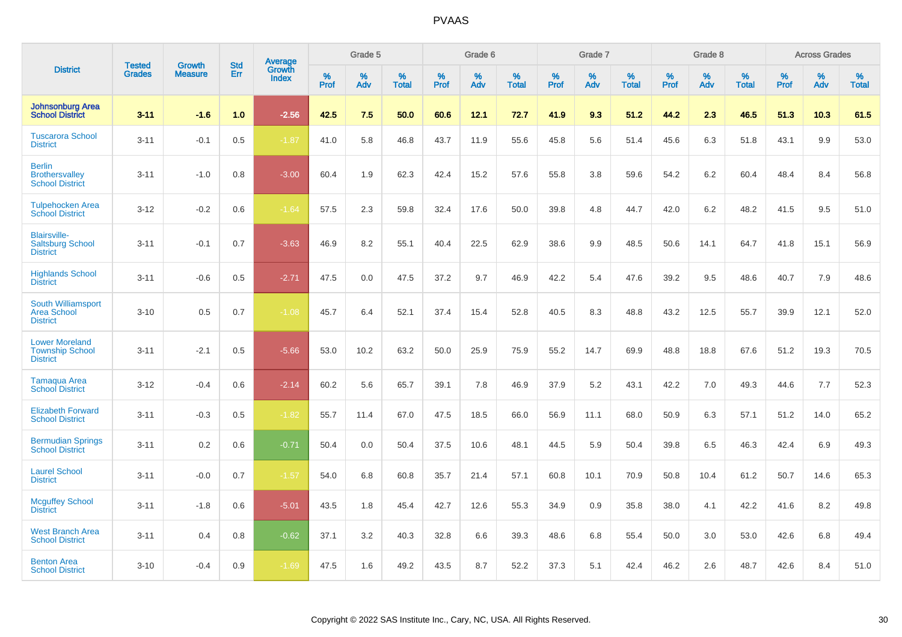|                                                                    |                                | <b>Growth</b>  | <b>Std</b> | Average                |           | Grade 5  |                   |           | Grade 6  |                   |           | Grade 7  |                   |           | Grade 8  |                   |           | <b>Across Grades</b> |                   |
|--------------------------------------------------------------------|--------------------------------|----------------|------------|------------------------|-----------|----------|-------------------|-----------|----------|-------------------|-----------|----------|-------------------|-----------|----------|-------------------|-----------|----------------------|-------------------|
| <b>District</b>                                                    | <b>Tested</b><br><b>Grades</b> | <b>Measure</b> | Err        | Growth<br><b>Index</b> | %<br>Prof | %<br>Adv | %<br><b>Total</b> | %<br>Prof | %<br>Adv | %<br><b>Total</b> | %<br>Prof | %<br>Adv | %<br><b>Total</b> | %<br>Prof | %<br>Adv | %<br><b>Total</b> | %<br>Prof | %<br>Adv             | %<br><b>Total</b> |
| <b>Johnsonburg Area</b><br><b>School District</b>                  | $3 - 11$                       | $-1.6$         | 1.0        | $-2.56$                | 42.5      | 7.5      | 50.0              | 60.6      | 12.1     | 72.7              | 41.9      | 9.3      | 51.2              | 44.2      | 2.3      | 46.5              | 51.3      | 10.3                 | 61.5              |
| <b>Tuscarora School</b><br><b>District</b>                         | $3 - 11$                       | $-0.1$         | 0.5        | $-1.87$                | 41.0      | 5.8      | 46.8              | 43.7      | 11.9     | 55.6              | 45.8      | 5.6      | 51.4              | 45.6      | 6.3      | 51.8              | 43.1      | 9.9                  | 53.0              |
| <b>Berlin</b><br><b>Brothersvalley</b><br><b>School District</b>   | $3 - 11$                       | $-1.0$         | 0.8        | $-3.00$                | 60.4      | 1.9      | 62.3              | 42.4      | 15.2     | 57.6              | 55.8      | 3.8      | 59.6              | 54.2      | $6.2\,$  | 60.4              | 48.4      | 8.4                  | 56.8              |
| <b>Tulpehocken Area</b><br><b>School District</b>                  | $3 - 12$                       | $-0.2$         | 0.6        | $-1.64$                | 57.5      | 2.3      | 59.8              | 32.4      | 17.6     | 50.0              | 39.8      | 4.8      | 44.7              | 42.0      | 6.2      | 48.2              | 41.5      | 9.5                  | 51.0              |
| <b>Blairsville-</b><br><b>Saltsburg School</b><br><b>District</b>  | $3 - 11$                       | $-0.1$         | 0.7        | $-3.63$                | 46.9      | 8.2      | 55.1              | 40.4      | 22.5     | 62.9              | 38.6      | 9.9      | 48.5              | 50.6      | 14.1     | 64.7              | 41.8      | 15.1                 | 56.9              |
| <b>Highlands School</b><br><b>District</b>                         | $3 - 11$                       | $-0.6$         | 0.5        | $-2.71$                | 47.5      | 0.0      | 47.5              | 37.2      | 9.7      | 46.9              | 42.2      | 5.4      | 47.6              | 39.2      | 9.5      | 48.6              | 40.7      | 7.9                  | 48.6              |
| South Williamsport<br><b>Area School</b><br><b>District</b>        | $3 - 10$                       | 0.5            | 0.7        | $-1.08$                | 45.7      | 6.4      | 52.1              | 37.4      | 15.4     | 52.8              | 40.5      | 8.3      | 48.8              | 43.2      | 12.5     | 55.7              | 39.9      | 12.1                 | 52.0              |
| <b>Lower Moreland</b><br><b>Township School</b><br><b>District</b> | $3 - 11$                       | $-2.1$         | 0.5        | $-5.66$                | 53.0      | 10.2     | 63.2              | 50.0      | 25.9     | 75.9              | 55.2      | 14.7     | 69.9              | 48.8      | 18.8     | 67.6              | 51.2      | 19.3                 | 70.5              |
| Tamaqua Area<br><b>School District</b>                             | $3 - 12$                       | $-0.4$         | 0.6        | $-2.14$                | 60.2      | 5.6      | 65.7              | 39.1      | 7.8      | 46.9              | 37.9      | 5.2      | 43.1              | 42.2      | 7.0      | 49.3              | 44.6      | 7.7                  | 52.3              |
| <b>Elizabeth Forward</b><br><b>School District</b>                 | $3 - 11$                       | $-0.3$         | 0.5        | $-1.82$                | 55.7      | 11.4     | 67.0              | 47.5      | 18.5     | 66.0              | 56.9      | 11.1     | 68.0              | 50.9      | 6.3      | 57.1              | 51.2      | 14.0                 | 65.2              |
| <b>Bermudian Springs</b><br><b>School District</b>                 | $3 - 11$                       | 0.2            | 0.6        | $-0.71$                | 50.4      | 0.0      | 50.4              | 37.5      | 10.6     | 48.1              | 44.5      | 5.9      | 50.4              | 39.8      | 6.5      | 46.3              | 42.4      | 6.9                  | 49.3              |
| <b>Laurel School</b><br><b>District</b>                            | $3 - 11$                       | $-0.0$         | 0.7        | $-1.57$                | 54.0      | 6.8      | 60.8              | 35.7      | 21.4     | 57.1              | 60.8      | 10.1     | 70.9              | 50.8      | 10.4     | 61.2              | 50.7      | 14.6                 | 65.3              |
| <b>Mcguffey School</b><br><b>District</b>                          | $3 - 11$                       | $-1.8$         | 0.6        | $-5.01$                | 43.5      | 1.8      | 45.4              | 42.7      | 12.6     | 55.3              | 34.9      | 0.9      | 35.8              | 38.0      | 4.1      | 42.2              | 41.6      | 8.2                  | 49.8              |
| <b>West Branch Area</b><br><b>School District</b>                  | $3 - 11$                       | 0.4            | 0.8        | $-0.62$                | 37.1      | 3.2      | 40.3              | 32.8      | 6.6      | 39.3              | 48.6      | 6.8      | 55.4              | 50.0      | 3.0      | 53.0              | 42.6      | 6.8                  | 49.4              |
| <b>Benton Area</b><br><b>School District</b>                       | $3 - 10$                       | $-0.4$         | 0.9        | $-1.69$                | 47.5      | 1.6      | 49.2              | 43.5      | 8.7      | 52.2              | 37.3      | 5.1      | 42.4              | 46.2      | 2.6      | 48.7              | 42.6      | 8.4                  | 51.0              |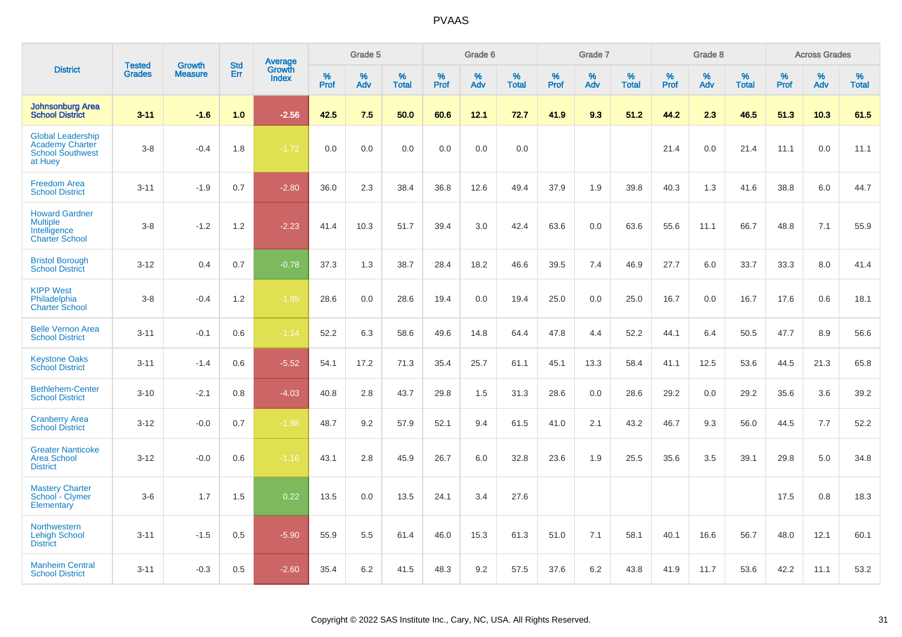|                                                                                          | <b>Tested</b> | <b>Growth</b>  | <b>Std</b> |                                   |              | Grade 5  |                   |              | Grade 6  |                   |           | Grade 7  |                   |              | Grade 8  |                   |           | <b>Across Grades</b> |                   |
|------------------------------------------------------------------------------------------|---------------|----------------|------------|-----------------------------------|--------------|----------|-------------------|--------------|----------|-------------------|-----------|----------|-------------------|--------------|----------|-------------------|-----------|----------------------|-------------------|
| <b>District</b>                                                                          | <b>Grades</b> | <b>Measure</b> | Err        | Average<br>Growth<br><b>Index</b> | $\%$<br>Prof | %<br>Adv | %<br><b>Total</b> | $\%$<br>Prof | %<br>Adv | %<br><b>Total</b> | %<br>Prof | %<br>Adv | %<br><b>Total</b> | $\%$<br>Prof | %<br>Adv | %<br><b>Total</b> | %<br>Prof | %<br>Adv             | %<br><b>Total</b> |
| <b>Johnsonburg Area</b><br><b>School District</b>                                        | $3 - 11$      | $-1.6$         | 1.0        | $-2.56$                           | 42.5         | 7.5      | 50.0              | 60.6         | 12.1     | 72.7              | 41.9      | 9.3      | 51.2              | 44.2         | 2.3      | 46.5              | 51.3      | 10.3                 | 61.5              |
| <b>Global Leadership</b><br><b>Academy Charter</b><br><b>School Southwest</b><br>at Huey | $3-8$         | $-0.4$         | 1.8        | $-1.72$                           | 0.0          | 0.0      | 0.0               | 0.0          | 0.0      | 0.0               |           |          |                   | 21.4         | 0.0      | 21.4              | 11.1      | 0.0                  | 11.1              |
| <b>Freedom Area</b><br><b>School District</b>                                            | $3 - 11$      | $-1.9$         | 0.7        | $-2.80$                           | 36.0         | 2.3      | 38.4              | 36.8         | 12.6     | 49.4              | 37.9      | 1.9      | 39.8              | 40.3         | 1.3      | 41.6              | 38.8      | 6.0                  | 44.7              |
| <b>Howard Gardner</b><br><b>Multiple</b><br>Intelligence<br><b>Charter School</b>        | $3 - 8$       | $-1.2$         | 1.2        | $-2.23$                           | 41.4         | 10.3     | 51.7              | 39.4         | 3.0      | 42.4              | 63.6      | 0.0      | 63.6              | 55.6         | 11.1     | 66.7              | 48.8      | 7.1                  | 55.9              |
| <b>Bristol Borough</b><br><b>School District</b>                                         | $3 - 12$      | 0.4            | 0.7        | $-0.78$                           | 37.3         | 1.3      | 38.7              | 28.4         | 18.2     | 46.6              | 39.5      | 7.4      | 46.9              | 27.7         | 6.0      | 33.7              | 33.3      | 8.0                  | 41.4              |
| <b>KIPP West</b><br>Philadelphia<br><b>Charter School</b>                                | $3-8$         | $-0.4$         | 1.2        | $-1.95$                           | 28.6         | 0.0      | 28.6              | 19.4         | 0.0      | 19.4              | 25.0      | 0.0      | 25.0              | 16.7         | 0.0      | 16.7              | 17.6      | 0.6                  | 18.1              |
| <b>Belle Vernon Area</b><br><b>School District</b>                                       | $3 - 11$      | $-0.1$         | 0.6        | $-1.14$                           | 52.2         | 6.3      | 58.6              | 49.6         | 14.8     | 64.4              | 47.8      | 4.4      | 52.2              | 44.1         | 6.4      | 50.5              | 47.7      | 8.9                  | 56.6              |
| <b>Keystone Oaks</b><br><b>School District</b>                                           | $3 - 11$      | $-1.4$         | 0.6        | $-5.52$                           | 54.1         | 17.2     | 71.3              | 35.4         | 25.7     | 61.1              | 45.1      | 13.3     | 58.4              | 41.1         | 12.5     | 53.6              | 44.5      | 21.3                 | 65.8              |
| <b>Bethlehem-Center</b><br><b>School District</b>                                        | $3 - 10$      | $-2.1$         | 0.8        | $-4.03$                           | 40.8         | 2.8      | 43.7              | 29.8         | 1.5      | 31.3              | 28.6      | 0.0      | 28.6              | 29.2         | 0.0      | 29.2              | 35.6      | 3.6                  | 39.2              |
| <b>Cranberry Area</b><br><b>School District</b>                                          | $3 - 12$      | $-0.0$         | 0.7        | $-1.98$                           | 48.7         | 9.2      | 57.9              | 52.1         | 9.4      | 61.5              | 41.0      | 2.1      | 43.2              | 46.7         | 9.3      | 56.0              | 44.5      | 7.7                  | 52.2              |
| <b>Greater Nanticoke</b><br>Area School<br><b>District</b>                               | $3 - 12$      | $-0.0$         | 0.6        | $-1.16$                           | 43.1         | 2.8      | 45.9              | 26.7         | 6.0      | 32.8              | 23.6      | 1.9      | 25.5              | 35.6         | 3.5      | 39.1              | 29.8      | 5.0                  | 34.8              |
| <b>Mastery Charter</b><br>School - Clymer<br>Elementary                                  | $3-6$         | 1.7            | 1.5        | 0.22                              | 13.5         | 0.0      | 13.5              | 24.1         | 3.4      | 27.6              |           |          |                   |              |          |                   | 17.5      | 0.8                  | 18.3              |
| <b>Northwestern</b><br><b>Lehigh School</b><br><b>District</b>                           | $3 - 11$      | $-1.5$         | 0.5        | $-5.90$                           | 55.9         | 5.5      | 61.4              | 46.0         | 15.3     | 61.3              | 51.0      | 7.1      | 58.1              | 40.1         | 16.6     | 56.7              | 48.0      | 12.1                 | 60.1              |
| <b>Manheim Central</b><br><b>School District</b>                                         | $3 - 11$      | $-0.3$         | 0.5        | $-2.60$                           | 35.4         | 6.2      | 41.5              | 48.3         | 9.2      | 57.5              | 37.6      | 6.2      | 43.8              | 41.9         | 11.7     | 53.6              | 42.2      | 11.1                 | 53.2              |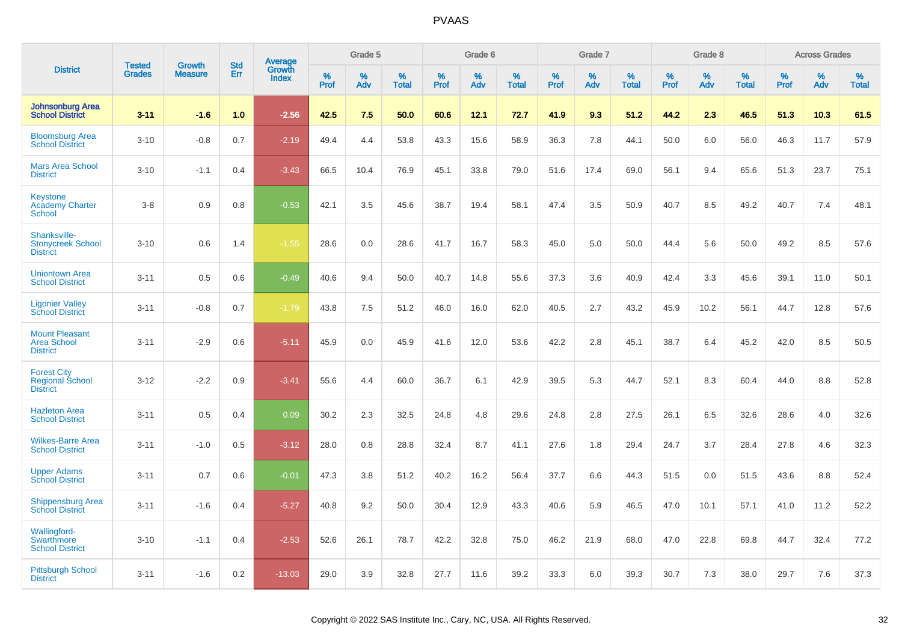|                                                                 | <b>Tested</b> | <b>Growth</b>  | <b>Std</b> |                                          |              | Grade 5  |                   |           | Grade 6  |                   |              | Grade 7  |                   |           | Grade 8  |                   |              | <b>Across Grades</b> |                   |
|-----------------------------------------------------------------|---------------|----------------|------------|------------------------------------------|--------------|----------|-------------------|-----------|----------|-------------------|--------------|----------|-------------------|-----------|----------|-------------------|--------------|----------------------|-------------------|
| <b>District</b>                                                 | <b>Grades</b> | <b>Measure</b> | <b>Err</b> | <b>Average</b><br>Growth<br><b>Index</b> | $\%$<br>Prof | %<br>Adv | %<br><b>Total</b> | %<br>Prof | %<br>Adv | %<br><b>Total</b> | $\%$<br>Prof | %<br>Adv | %<br><b>Total</b> | %<br>Prof | %<br>Adv | %<br><b>Total</b> | $\%$<br>Prof | %<br>Adv             | %<br><b>Total</b> |
| <b>Johnsonburg Area</b><br><b>School District</b>               | $3 - 11$      | $-1.6$         | 1.0        | $-2.56$                                  | 42.5         | 7.5      | 50.0              | 60.6      | 12.1     | 72.7              | 41.9         | 9.3      | 51.2              | 44.2      | 2.3      | 46.5              | 51.3         | 10.3                 | 61.5              |
| <b>Bloomsburg Area</b><br><b>School District</b>                | $3 - 10$      | $-0.8$         | 0.7        | $-2.19$                                  | 49.4         | 4.4      | 53.8              | 43.3      | 15.6     | 58.9              | 36.3         | 7.8      | 44.1              | 50.0      | 6.0      | 56.0              | 46.3         | 11.7                 | 57.9              |
| <b>Mars Area School</b><br><b>District</b>                      | $3 - 10$      | $-1.1$         | 0.4        | $-3.43$                                  | 66.5         | 10.4     | 76.9              | 45.1      | 33.8     | 79.0              | 51.6         | 17.4     | 69.0              | 56.1      | 9.4      | 65.6              | 51.3         | 23.7                 | 75.1              |
| <b>Keystone</b><br><b>Academy Charter</b><br>School             | $3 - 8$       | 0.9            | 0.8        | $-0.53$                                  | 42.1         | 3.5      | 45.6              | 38.7      | 19.4     | 58.1              | 47.4         | 3.5      | 50.9              | 40.7      | 8.5      | 49.2              | 40.7         | 7.4                  | 48.1              |
| Shanksville-<br><b>Stonycreek School</b><br><b>District</b>     | $3 - 10$      | 0.6            | 1.4        | $-1.55$                                  | 28.6         | 0.0      | 28.6              | 41.7      | 16.7     | 58.3              | 45.0         | 5.0      | 50.0              | 44.4      | 5.6      | 50.0              | 49.2         | 8.5                  | 57.6              |
| <b>Uniontown Area</b><br><b>School District</b>                 | $3 - 11$      | 0.5            | 0.6        | $-0.49$                                  | 40.6         | 9.4      | 50.0              | 40.7      | 14.8     | 55.6              | 37.3         | 3.6      | 40.9              | 42.4      | 3.3      | 45.6              | 39.1         | 11.0                 | 50.1              |
| <b>Ligonier Valley</b><br><b>School District</b>                | $3 - 11$      | $-0.8$         | 0.7        | $-1.79$                                  | 43.8         | 7.5      | 51.2              | 46.0      | 16.0     | 62.0              | 40.5         | 2.7      | 43.2              | 45.9      | 10.2     | 56.1              | 44.7         | 12.8                 | 57.6              |
| <b>Mount Pleasant</b><br><b>Area School</b><br><b>District</b>  | $3 - 11$      | $-2.9$         | 0.6        | $-5.11$                                  | 45.9         | 0.0      | 45.9              | 41.6      | 12.0     | 53.6              | 42.2         | 2.8      | 45.1              | 38.7      | 6.4      | 45.2              | 42.0         | 8.5                  | 50.5              |
| <b>Forest City</b><br><b>Regional School</b><br><b>District</b> | $3 - 12$      | $-2.2$         | 0.9        | $-3.41$                                  | 55.6         | 4.4      | 60.0              | 36.7      | 6.1      | 42.9              | 39.5         | 5.3      | 44.7              | 52.1      | 8.3      | 60.4              | 44.0         | 8.8                  | 52.8              |
| <b>Hazleton Area</b><br><b>School District</b>                  | $3 - 11$      | 0.5            | 0.4        | 0.09                                     | 30.2         | 2.3      | 32.5              | 24.8      | 4.8      | 29.6              | 24.8         | 2.8      | 27.5              | 26.1      | 6.5      | 32.6              | 28.6         | 4.0                  | 32.6              |
| <b>Wilkes-Barre Area</b><br><b>School District</b>              | $3 - 11$      | $-1.0$         | 0.5        | $-3.12$                                  | 28.0         | 0.8      | 28.8              | 32.4      | 8.7      | 41.1              | 27.6         | 1.8      | 29.4              | 24.7      | 3.7      | 28.4              | 27.8         | 4.6                  | 32.3              |
| <b>Upper Adams</b><br><b>School District</b>                    | $3 - 11$      | 0.7            | 0.6        | $-0.01$                                  | 47.3         | 3.8      | 51.2              | 40.2      | 16.2     | 56.4              | 37.7         | 6.6      | 44.3              | 51.5      | 0.0      | 51.5              | 43.6         | 8.8                  | 52.4              |
| <b>Shippensburg Area</b><br><b>School District</b>              | $3 - 11$      | $-1.6$         | 0.4        | $-5.27$                                  | 40.8         | 9.2      | 50.0              | 30.4      | 12.9     | 43.3              | 40.6         | 5.9      | 46.5              | 47.0      | 10.1     | 57.1              | 41.0         | 11.2                 | 52.2              |
| <b>Wallingford-</b><br>Swarthmore<br><b>School District</b>     | $3 - 10$      | $-1.1$         | 0.4        | $-2.53$                                  | 52.6         | 26.1     | 78.7              | 42.2      | 32.8     | 75.0              | 46.2         | 21.9     | 68.0              | 47.0      | 22.8     | 69.8              | 44.7         | 32.4                 | 77.2              |
| <b>Pittsburgh School</b><br><b>District</b>                     | $3 - 11$      | $-1.6$         | 0.2        | $-13.03$                                 | 29.0         | 3.9      | 32.8              | 27.7      | 11.6     | 39.2              | 33.3         | 6.0      | 39.3              | 30.7      | 7.3      | 38.0              | 29.7         | 7.6                  | 37.3              |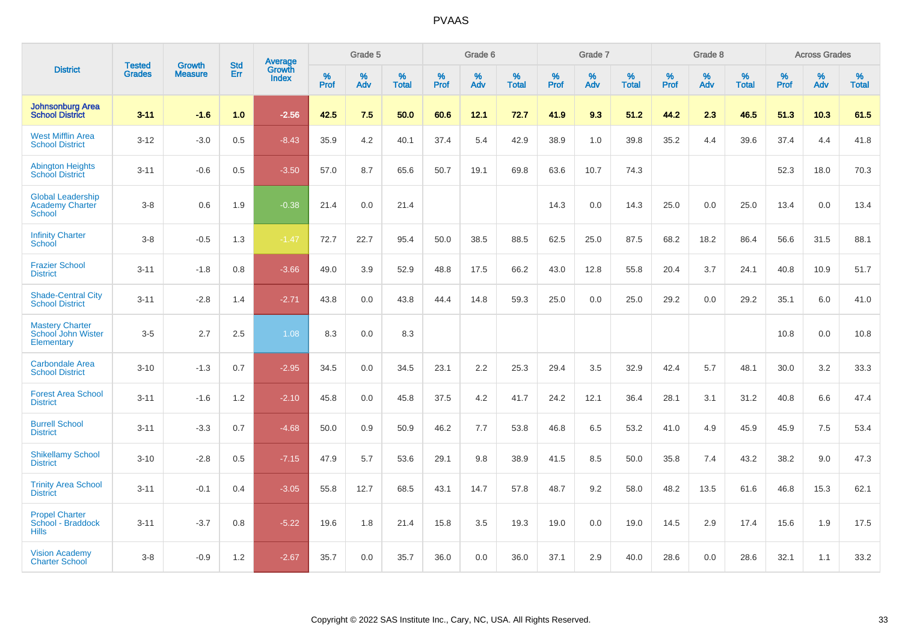|                                                                     | <b>Tested</b> | <b>Growth</b>  | <b>Std</b> | Average                |           | Grade 5  |                   |           | Grade 6  |                   |           | Grade 7  |                   |           | Grade 8  |                   |           | <b>Across Grades</b> |                   |
|---------------------------------------------------------------------|---------------|----------------|------------|------------------------|-----------|----------|-------------------|-----------|----------|-------------------|-----------|----------|-------------------|-----------|----------|-------------------|-----------|----------------------|-------------------|
| <b>District</b>                                                     | <b>Grades</b> | <b>Measure</b> | Err        | Growth<br><b>Index</b> | %<br>Prof | %<br>Adv | %<br><b>Total</b> | %<br>Prof | %<br>Adv | %<br><b>Total</b> | %<br>Prof | %<br>Adv | %<br><b>Total</b> | %<br>Prof | %<br>Adv | %<br><b>Total</b> | %<br>Prof | %<br>Adv             | %<br><b>Total</b> |
| <b>Johnsonburg Area</b><br><b>School District</b>                   | $3 - 11$      | $-1.6$         | 1.0        | $-2.56$                | 42.5      | 7.5      | 50.0              | 60.6      | 12.1     | 72.7              | 41.9      | 9.3      | 51.2              | 44.2      | 2.3      | 46.5              | 51.3      | 10.3                 | 61.5              |
| <b>West Mifflin Area</b><br><b>School District</b>                  | $3 - 12$      | $-3.0$         | 0.5        | $-8.43$                | 35.9      | 4.2      | 40.1              | 37.4      | 5.4      | 42.9              | 38.9      | 1.0      | 39.8              | 35.2      | 4.4      | 39.6              | 37.4      | 4.4                  | 41.8              |
| <b>Abington Heights</b><br><b>School District</b>                   | $3 - 11$      | $-0.6$         | 0.5        | $-3.50$                | 57.0      | 8.7      | 65.6              | 50.7      | 19.1     | 69.8              | 63.6      | 10.7     | 74.3              |           |          |                   | 52.3      | 18.0                 | 70.3              |
| <b>Global Leadership</b><br><b>Academy Charter</b><br><b>School</b> | $3 - 8$       | 0.6            | 1.9        | $-0.38$                | 21.4      | 0.0      | 21.4              |           |          |                   | 14.3      | 0.0      | 14.3              | 25.0      | 0.0      | 25.0              | 13.4      | 0.0                  | 13.4              |
| <b>Infinity Charter</b><br>School                                   | $3 - 8$       | $-0.5$         | 1.3        | $-1.47$                | 72.7      | 22.7     | 95.4              | 50.0      | 38.5     | 88.5              | 62.5      | 25.0     | 87.5              | 68.2      | 18.2     | 86.4              | 56.6      | 31.5                 | 88.1              |
| <b>Frazier School</b><br><b>District</b>                            | $3 - 11$      | $-1.8$         | 0.8        | $-3.66$                | 49.0      | 3.9      | 52.9              | 48.8      | 17.5     | 66.2              | 43.0      | 12.8     | 55.8              | 20.4      | 3.7      | 24.1              | 40.8      | 10.9                 | 51.7              |
| <b>Shade-Central City</b><br><b>School District</b>                 | $3 - 11$      | $-2.8$         | 1.4        | $-2.71$                | 43.8      | 0.0      | 43.8              | 44.4      | 14.8     | 59.3              | 25.0      | 0.0      | 25.0              | 29.2      | 0.0      | 29.2              | 35.1      | 6.0                  | 41.0              |
| <b>Mastery Charter</b><br>School John Wister<br>Elementary          | $3-5$         | 2.7            | 2.5        | 1.08                   | 8.3       | 0.0      | 8.3               |           |          |                   |           |          |                   |           |          |                   | 10.8      | 0.0                  | 10.8              |
| <b>Carbondale Area</b><br><b>School District</b>                    | $3 - 10$      | $-1.3$         | 0.7        | $-2.95$                | 34.5      | 0.0      | 34.5              | 23.1      | 2.2      | 25.3              | 29.4      | 3.5      | 32.9              | 42.4      | 5.7      | 48.1              | 30.0      | 3.2                  | 33.3              |
| <b>Forest Area School</b><br><b>District</b>                        | $3 - 11$      | $-1.6$         | 1.2        | $-2.10$                | 45.8      | 0.0      | 45.8              | 37.5      | 4.2      | 41.7              | 24.2      | 12.1     | 36.4              | 28.1      | 3.1      | 31.2              | 40.8      | 6.6                  | 47.4              |
| <b>Burrell School</b><br><b>District</b>                            | $3 - 11$      | $-3.3$         | 0.7        | $-4.68$                | 50.0      | 0.9      | 50.9              | 46.2      | 7.7      | 53.8              | 46.8      | 6.5      | 53.2              | 41.0      | 4.9      | 45.9              | 45.9      | 7.5                  | 53.4              |
| <b>Shikellamy School</b><br><b>District</b>                         | $3 - 10$      | $-2.8$         | 0.5        | $-7.15$                | 47.9      | 5.7      | 53.6              | 29.1      | 9.8      | 38.9              | 41.5      | 8.5      | 50.0              | 35.8      | 7.4      | 43.2              | 38.2      | 9.0                  | 47.3              |
| <b>Trinity Area School</b><br><b>District</b>                       | $3 - 11$      | $-0.1$         | 0.4        | $-3.05$                | 55.8      | 12.7     | 68.5              | 43.1      | 14.7     | 57.8              | 48.7      | 9.2      | 58.0              | 48.2      | 13.5     | 61.6              | 46.8      | 15.3                 | 62.1              |
| <b>Propel Charter</b><br>School - Braddock<br><b>Hills</b>          | $3 - 11$      | $-3.7$         | 0.8        | $-5.22$                | 19.6      | 1.8      | 21.4              | 15.8      | 3.5      | 19.3              | 19.0      | 0.0      | 19.0              | 14.5      | 2.9      | 17.4              | 15.6      | 1.9                  | 17.5              |
| <b>Vision Academy</b><br><b>Charter School</b>                      | $3 - 8$       | $-0.9$         | 1.2        | $-2.67$                | 35.7      | 0.0      | 35.7              | 36.0      | 0.0      | 36.0              | 37.1      | 2.9      | 40.0              | 28.6      | 0.0      | 28.6              | 32.1      | 1.1                  | 33.2              |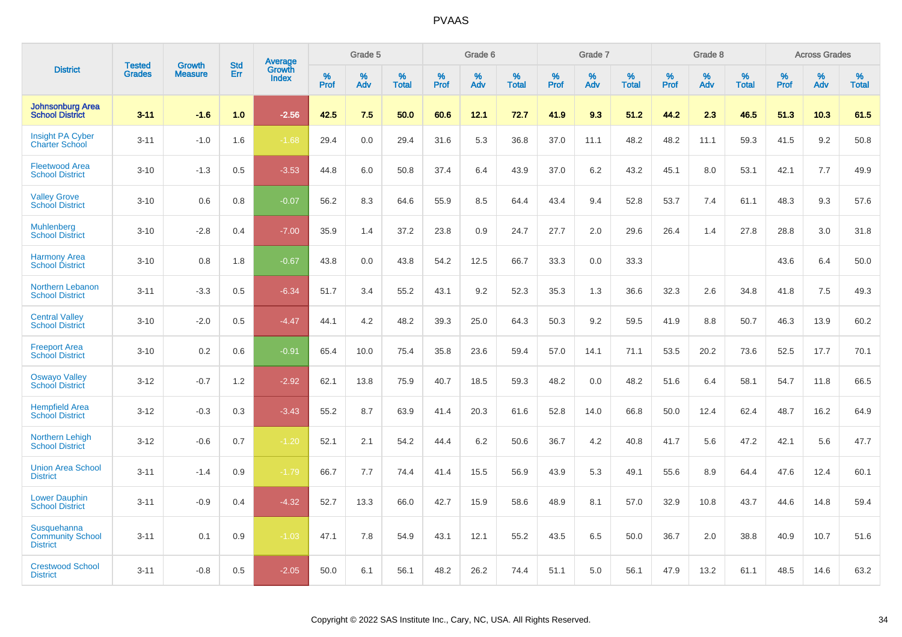|                                                                  | <b>Tested</b> | <b>Growth</b>  | <b>Std</b> | Average<br>Growth |                     | Grade 5  |                      |              | Grade 6  |                   |              | Grade 7  |                      |              | Grade 8  |                      |                     | <b>Across Grades</b> |                      |
|------------------------------------------------------------------|---------------|----------------|------------|-------------------|---------------------|----------|----------------------|--------------|----------|-------------------|--------------|----------|----------------------|--------------|----------|----------------------|---------------------|----------------------|----------------------|
| <b>District</b>                                                  | <b>Grades</b> | <b>Measure</b> | <b>Err</b> | <b>Index</b>      | $\%$<br><b>Prof</b> | %<br>Adv | $\%$<br><b>Total</b> | $\%$<br>Prof | %<br>Adv | %<br><b>Total</b> | $\%$<br>Prof | %<br>Adv | $\%$<br><b>Total</b> | $\%$<br>Prof | %<br>Adv | $\%$<br><b>Total</b> | $\%$<br><b>Prof</b> | $\%$<br>Adv          | $\%$<br><b>Total</b> |
| <b>Johnsonburg Area</b><br><b>School District</b>                | $3 - 11$      | $-1.6$         | 1.0        | $-2.56$           | 42.5                | 7.5      | 50.0                 | 60.6         | 12.1     | 72.7              | 41.9         | 9.3      | 51.2                 | 44.2         | 2.3      | 46.5                 | 51.3                | 10.3                 | 61.5                 |
| <b>Insight PA Cyber</b><br><b>Charter School</b>                 | $3 - 11$      | $-1.0$         | 1.6        | $-1.68$           | 29.4                | 0.0      | 29.4                 | 31.6         | 5.3      | 36.8              | 37.0         | 11.1     | 48.2                 | 48.2         | 11.1     | 59.3                 | 41.5                | 9.2                  | 50.8                 |
| <b>Fleetwood Area</b><br><b>School District</b>                  | $3 - 10$      | $-1.3$         | 0.5        | $-3.53$           | 44.8                | 6.0      | 50.8                 | 37.4         | 6.4      | 43.9              | 37.0         | 6.2      | 43.2                 | 45.1         | 8.0      | 53.1                 | 42.1                | 7.7                  | 49.9                 |
| <b>Valley Grove</b><br><b>School District</b>                    | $3 - 10$      | 0.6            | 0.8        | $-0.07$           | 56.2                | 8.3      | 64.6                 | 55.9         | 8.5      | 64.4              | 43.4         | 9.4      | 52.8                 | 53.7         | 7.4      | 61.1                 | 48.3                | 9.3                  | 57.6                 |
| <b>Muhlenberg</b><br><b>School District</b>                      | $3 - 10$      | $-2.8$         | 0.4        | $-7.00$           | 35.9                | 1.4      | 37.2                 | 23.8         | 0.9      | 24.7              | 27.7         | 2.0      | 29.6                 | 26.4         | 1.4      | 27.8                 | 28.8                | 3.0                  | 31.8                 |
| <b>Harmony Area</b><br><b>School District</b>                    | $3 - 10$      | 0.8            | 1.8        | $-0.67$           | 43.8                | 0.0      | 43.8                 | 54.2         | 12.5     | 66.7              | 33.3         | 0.0      | 33.3                 |              |          |                      | 43.6                | 6.4                  | 50.0                 |
| Northern Lebanon<br><b>School District</b>                       | $3 - 11$      | $-3.3$         | 0.5        | $-6.34$           | 51.7                | 3.4      | 55.2                 | 43.1         | 9.2      | 52.3              | 35.3         | 1.3      | 36.6                 | 32.3         | 2.6      | 34.8                 | 41.8                | 7.5                  | 49.3                 |
| <b>Central Valley</b><br><b>School District</b>                  | $3 - 10$      | $-2.0$         | 0.5        | $-4.47$           | 44.1                | 4.2      | 48.2                 | 39.3         | 25.0     | 64.3              | 50.3         | 9.2      | 59.5                 | 41.9         | 8.8      | 50.7                 | 46.3                | 13.9                 | 60.2                 |
| <b>Freeport Area</b><br><b>School District</b>                   | $3 - 10$      | 0.2            | 0.6        | $-0.91$           | 65.4                | 10.0     | 75.4                 | 35.8         | 23.6     | 59.4              | 57.0         | 14.1     | 71.1                 | 53.5         | 20.2     | 73.6                 | 52.5                | 17.7                 | 70.1                 |
| <b>Oswayo Valley</b><br><b>School District</b>                   | $3 - 12$      | $-0.7$         | 1.2        | $-2.92$           | 62.1                | 13.8     | 75.9                 | 40.7         | 18.5     | 59.3              | 48.2         | 0.0      | 48.2                 | 51.6         | 6.4      | 58.1                 | 54.7                | 11.8                 | 66.5                 |
| <b>Hempfield Area</b><br><b>School District</b>                  | $3 - 12$      | $-0.3$         | 0.3        | $-3.43$           | 55.2                | 8.7      | 63.9                 | 41.4         | 20.3     | 61.6              | 52.8         | 14.0     | 66.8                 | 50.0         | 12.4     | 62.4                 | 48.7                | 16.2                 | 64.9                 |
| Northern Lehigh<br><b>School District</b>                        | $3 - 12$      | $-0.6$         | 0.7        | $-1.20$           | 52.1                | 2.1      | 54.2                 | 44.4         | 6.2      | 50.6              | 36.7         | 4.2      | 40.8                 | 41.7         | 5.6      | 47.2                 | 42.1                | 5.6                  | 47.7                 |
| <b>Union Area School</b><br><b>District</b>                      | $3 - 11$      | $-1.4$         | 0.9        | $-1.79$           | 66.7                | 7.7      | 74.4                 | 41.4         | 15.5     | 56.9              | 43.9         | 5.3      | 49.1                 | 55.6         | 8.9      | 64.4                 | 47.6                | 12.4                 | 60.1                 |
| <b>Lower Dauphin</b><br><b>School District</b>                   | $3 - 11$      | $-0.9$         | 0.4        | $-4.32$           | 52.7                | 13.3     | 66.0                 | 42.7         | 15.9     | 58.6              | 48.9         | 8.1      | 57.0                 | 32.9         | 10.8     | 43.7                 | 44.6                | 14.8                 | 59.4                 |
| <b>Susquehanna</b><br><b>Community School</b><br><b>District</b> | $3 - 11$      | 0.1            | 0.9        | $-1.03$           | 47.1                | 7.8      | 54.9                 | 43.1         | 12.1     | 55.2              | 43.5         | 6.5      | 50.0                 | 36.7         | 2.0      | 38.8                 | 40.9                | 10.7                 | 51.6                 |
| <b>Crestwood School</b><br><b>District</b>                       | $3 - 11$      | $-0.8$         | 0.5        | $-2.05$           | 50.0                | 6.1      | 56.1                 | 48.2         | 26.2     | 74.4              | 51.1         | 5.0      | 56.1                 | 47.9         | 13.2     | 61.1                 | 48.5                | 14.6                 | 63.2                 |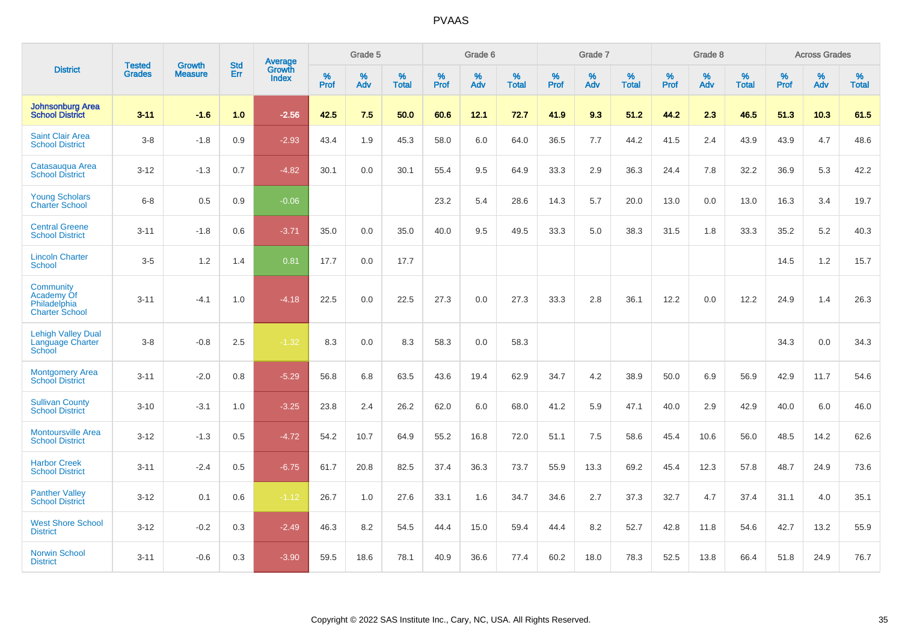|                                                                  |                                |                                 | <b>Std</b> | Average                       |           | Grade 5  |                   |           | Grade 6  |                   |           | Grade 7  |                   |           | Grade 8  |                   |           | <b>Across Grades</b> |                   |
|------------------------------------------------------------------|--------------------------------|---------------------------------|------------|-------------------------------|-----------|----------|-------------------|-----------|----------|-------------------|-----------|----------|-------------------|-----------|----------|-------------------|-----------|----------------------|-------------------|
| <b>District</b>                                                  | <b>Tested</b><br><b>Grades</b> | <b>Growth</b><br><b>Measure</b> | Err        | <b>Growth</b><br><b>Index</b> | %<br>Prof | %<br>Adv | %<br><b>Total</b> | %<br>Prof | %<br>Adv | %<br><b>Total</b> | %<br>Prof | %<br>Adv | %<br><b>Total</b> | %<br>Prof | %<br>Adv | %<br><b>Total</b> | %<br>Prof | $\%$<br>Adv          | %<br><b>Total</b> |
| <b>Johnsonburg Area</b><br><b>School District</b>                | $3 - 11$                       | $-1.6$                          | 1.0        | $-2.56$                       | 42.5      | 7.5      | 50.0              | 60.6      | 12.1     | 72.7              | 41.9      | 9.3      | 51.2              | 44.2      | 2.3      | 46.5              | 51.3      | 10.3                 | 61.5              |
| <b>Saint Clair Area</b><br><b>School District</b>                | $3 - 8$                        | $-1.8$                          | 0.9        | $-2.93$                       | 43.4      | 1.9      | 45.3              | 58.0      | 6.0      | 64.0              | 36.5      | 7.7      | 44.2              | 41.5      | 2.4      | 43.9              | 43.9      | 4.7                  | 48.6              |
| Catasauqua Area<br><b>School District</b>                        | $3 - 12$                       | $-1.3$                          | 0.7        | $-4.82$                       | 30.1      | 0.0      | 30.1              | 55.4      | 9.5      | 64.9              | 33.3      | 2.9      | 36.3              | 24.4      | 7.8      | 32.2              | 36.9      | 5.3                  | 42.2              |
| <b>Young Scholars</b><br><b>Charter School</b>                   | $6 - 8$                        | 0.5                             | 0.9        | $-0.06$                       |           |          |                   | 23.2      | 5.4      | 28.6              | 14.3      | 5.7      | 20.0              | 13.0      | 0.0      | 13.0              | 16.3      | 3.4                  | 19.7              |
| <b>Central Greene</b><br><b>School District</b>                  | $3 - 11$                       | $-1.8$                          | 0.6        | $-3.71$                       | 35.0      | 0.0      | 35.0              | 40.0      | 9.5      | 49.5              | 33.3      | 5.0      | 38.3              | 31.5      | 1.8      | 33.3              | 35.2      | 5.2                  | 40.3              |
| <b>Lincoln Charter</b><br>School                                 | $3-5$                          | 1.2                             | 1.4        | 0.81                          | 17.7      | 0.0      | 17.7              |           |          |                   |           |          |                   |           |          |                   | 14.5      | 1.2                  | 15.7              |
| Community<br>Academy Of<br>Philadelphia<br><b>Charter School</b> | $3 - 11$                       | $-4.1$                          | 1.0        | $-4.18$                       | 22.5      | 0.0      | 22.5              | 27.3      | 0.0      | 27.3              | 33.3      | 2.8      | 36.1              | 12.2      | 0.0      | 12.2              | 24.9      | 1.4                  | 26.3              |
| <b>Lehigh Valley Dual</b><br><b>Language Charter</b><br>School   | $3 - 8$                        | $-0.8$                          | 2.5        | $-1.32$                       | 8.3       | 0.0      | 8.3               | 58.3      | 0.0      | 58.3              |           |          |                   |           |          |                   | 34.3      | 0.0                  | 34.3              |
| <b>Montgomery Area</b><br><b>School District</b>                 | $3 - 11$                       | $-2.0$                          | 0.8        | $-5.29$                       | 56.8      | 6.8      | 63.5              | 43.6      | 19.4     | 62.9              | 34.7      | 4.2      | 38.9              | 50.0      | 6.9      | 56.9              | 42.9      | 11.7                 | 54.6              |
| <b>Sullivan County</b><br><b>School District</b>                 | $3 - 10$                       | $-3.1$                          | 1.0        | $-3.25$                       | 23.8      | 2.4      | 26.2              | 62.0      | 6.0      | 68.0              | 41.2      | 5.9      | 47.1              | 40.0      | 2.9      | 42.9              | 40.0      | 6.0                  | 46.0              |
| <b>Montoursville Area</b><br><b>School District</b>              | $3 - 12$                       | $-1.3$                          | 0.5        | $-4.72$                       | 54.2      | 10.7     | 64.9              | 55.2      | 16.8     | 72.0              | 51.1      | 7.5      | 58.6              | 45.4      | 10.6     | 56.0              | 48.5      | 14.2                 | 62.6              |
| <b>Harbor Creek</b><br><b>School District</b>                    | $3 - 11$                       | $-2.4$                          | 0.5        | $-6.75$                       | 61.7      | 20.8     | 82.5              | 37.4      | 36.3     | 73.7              | 55.9      | 13.3     | 69.2              | 45.4      | 12.3     | 57.8              | 48.7      | 24.9                 | 73.6              |
| <b>Panther Valley</b><br><b>School District</b>                  | $3 - 12$                       | 0.1                             | 0.6        | $-1.12$                       | 26.7      | 1.0      | 27.6              | 33.1      | 1.6      | 34.7              | 34.6      | 2.7      | 37.3              | 32.7      | 4.7      | 37.4              | 31.1      | 4.0                  | 35.1              |
| <b>West Shore School</b><br><b>District</b>                      | $3 - 12$                       | $-0.2$                          | 0.3        | $-2.49$                       | 46.3      | 8.2      | 54.5              | 44.4      | 15.0     | 59.4              | 44.4      | 8.2      | 52.7              | 42.8      | 11.8     | 54.6              | 42.7      | 13.2                 | 55.9              |
| <b>Norwin School</b><br><b>District</b>                          | $3 - 11$                       | $-0.6$                          | 0.3        | $-3.90$                       | 59.5      | 18.6     | 78.1              | 40.9      | 36.6     | 77.4              | 60.2      | 18.0     | 78.3              | 52.5      | 13.8     | 66.4              | 51.8      | 24.9                 | 76.7              |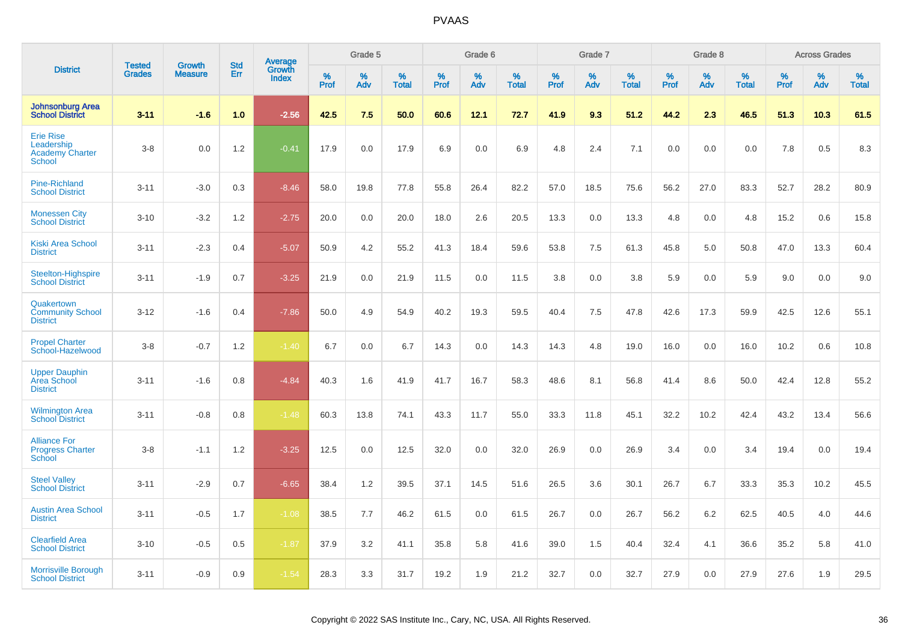|                                                                    |                                |                                 | <b>Std</b> |                                   |           | Grade 5  |                   |           | Grade 6  |                   |           | Grade 7  |                   |           | Grade 8  |                   |              | <b>Across Grades</b> |                   |
|--------------------------------------------------------------------|--------------------------------|---------------------------------|------------|-----------------------------------|-----------|----------|-------------------|-----------|----------|-------------------|-----------|----------|-------------------|-----------|----------|-------------------|--------------|----------------------|-------------------|
| <b>District</b>                                                    | <b>Tested</b><br><b>Grades</b> | <b>Growth</b><br><b>Measure</b> | Err        | Average<br>Growth<br><b>Index</b> | %<br>Prof | %<br>Adv | %<br><b>Total</b> | %<br>Prof | %<br>Adv | %<br><b>Total</b> | %<br>Prof | %<br>Adv | %<br><b>Total</b> | %<br>Prof | %<br>Adv | %<br><b>Total</b> | $\%$<br>Prof | %<br>Adv             | %<br><b>Total</b> |
| <b>Johnsonburg Area</b><br><b>School District</b>                  | $3 - 11$                       | $-1.6$                          | 1.0        | $-2.56$                           | 42.5      | 7.5      | 50.0              | 60.6      | 12.1     | 72.7              | 41.9      | 9.3      | 51.2              | 44.2      | 2.3      | 46.5              | 51.3         | 10.3                 | 61.5              |
| <b>Erie Rise</b><br>Leadership<br><b>Academy Charter</b><br>School | $3-8$                          | 0.0                             | 1.2        | $-0.41$                           | 17.9      | 0.0      | 17.9              | 6.9       | 0.0      | 6.9               | 4.8       | 2.4      | 7.1               | 0.0       | 0.0      | 0.0               | 7.8          | 0.5                  | 8.3               |
| <b>Pine-Richland</b><br><b>School District</b>                     | $3 - 11$                       | $-3.0$                          | 0.3        | $-8.46$                           | 58.0      | 19.8     | 77.8              | 55.8      | 26.4     | 82.2              | 57.0      | 18.5     | 75.6              | 56.2      | 27.0     | 83.3              | 52.7         | 28.2                 | 80.9              |
| <b>Monessen City</b><br><b>School District</b>                     | $3 - 10$                       | $-3.2$                          | 1.2        | $-2.75$                           | 20.0      | 0.0      | 20.0              | 18.0      | 2.6      | 20.5              | 13.3      | 0.0      | 13.3              | 4.8       | 0.0      | 4.8               | 15.2         | 0.6                  | 15.8              |
| Kiski Area School<br><b>District</b>                               | $3 - 11$                       | $-2.3$                          | 0.4        | $-5.07$                           | 50.9      | 4.2      | 55.2              | 41.3      | 18.4     | 59.6              | 53.8      | 7.5      | 61.3              | 45.8      | 5.0      | 50.8              | 47.0         | 13.3                 | 60.4              |
| Steelton-Highspire<br><b>School District</b>                       | $3 - 11$                       | $-1.9$                          | 0.7        | $-3.25$                           | 21.9      | 0.0      | 21.9              | 11.5      | 0.0      | 11.5              | 3.8       | 0.0      | 3.8               | 5.9       | 0.0      | 5.9               | 9.0          | 0.0                  | 9.0               |
| Quakertown<br><b>Community School</b><br><b>District</b>           | $3 - 12$                       | $-1.6$                          | 0.4        | $-7.86$                           | 50.0      | 4.9      | 54.9              | 40.2      | 19.3     | 59.5              | 40.4      | 7.5      | 47.8              | 42.6      | 17.3     | 59.9              | 42.5         | 12.6                 | 55.1              |
| <b>Propel Charter</b><br>School-Hazelwood                          | $3-8$                          | $-0.7$                          | 1.2        | $-1.40$                           | 6.7       | 0.0      | 6.7               | 14.3      | 0.0      | 14.3              | 14.3      | 4.8      | 19.0              | 16.0      | 0.0      | 16.0              | 10.2         | 0.6                  | 10.8              |
| <b>Upper Dauphin</b><br><b>Area School</b><br><b>District</b>      | $3 - 11$                       | $-1.6$                          | 0.8        | $-4.84$                           | 40.3      | 1.6      | 41.9              | 41.7      | 16.7     | 58.3              | 48.6      | 8.1      | 56.8              | 41.4      | 8.6      | 50.0              | 42.4         | 12.8                 | 55.2              |
| <b>Wilmington Area</b><br><b>School District</b>                   | $3 - 11$                       | $-0.8$                          | 0.8        | $-1.48$                           | 60.3      | 13.8     | 74.1              | 43.3      | 11.7     | 55.0              | 33.3      | 11.8     | 45.1              | 32.2      | 10.2     | 42.4              | 43.2         | 13.4                 | 56.6              |
| <b>Alliance For</b><br><b>Progress Charter</b><br>School           | $3-8$                          | $-1.1$                          | 1.2        | $-3.25$                           | 12.5      | 0.0      | 12.5              | 32.0      | 0.0      | 32.0              | 26.9      | 0.0      | 26.9              | 3.4       | 0.0      | 3.4               | 19.4         | 0.0                  | 19.4              |
| <b>Steel Valley</b><br><b>School District</b>                      | $3 - 11$                       | $-2.9$                          | 0.7        | $-6.65$                           | 38.4      | 1.2      | 39.5              | 37.1      | 14.5     | 51.6              | 26.5      | 3.6      | 30.1              | 26.7      | 6.7      | 33.3              | 35.3         | 10.2                 | 45.5              |
| <b>Austin Area School</b><br><b>District</b>                       | $3 - 11$                       | $-0.5$                          | 1.7        | $-1.08$                           | 38.5      | 7.7      | 46.2              | 61.5      | 0.0      | 61.5              | 26.7      | 0.0      | 26.7              | 56.2      | 6.2      | 62.5              | 40.5         | 4.0                  | 44.6              |
| <b>Clearfield Area</b><br><b>School District</b>                   | $3 - 10$                       | $-0.5$                          | 0.5        | $-1.87$                           | 37.9      | 3.2      | 41.1              | 35.8      | 5.8      | 41.6              | 39.0      | 1.5      | 40.4              | 32.4      | 4.1      | 36.6              | 35.2         | 5.8                  | 41.0              |
| <b>Morrisville Borough</b><br><b>School District</b>               | $3 - 11$                       | $-0.9$                          | 0.9        | $-1.54$                           | 28.3      | 3.3      | 31.7              | 19.2      | 1.9      | 21.2              | 32.7      | 0.0      | 32.7              | 27.9      | 0.0      | 27.9              | 27.6         | 1.9                  | 29.5              |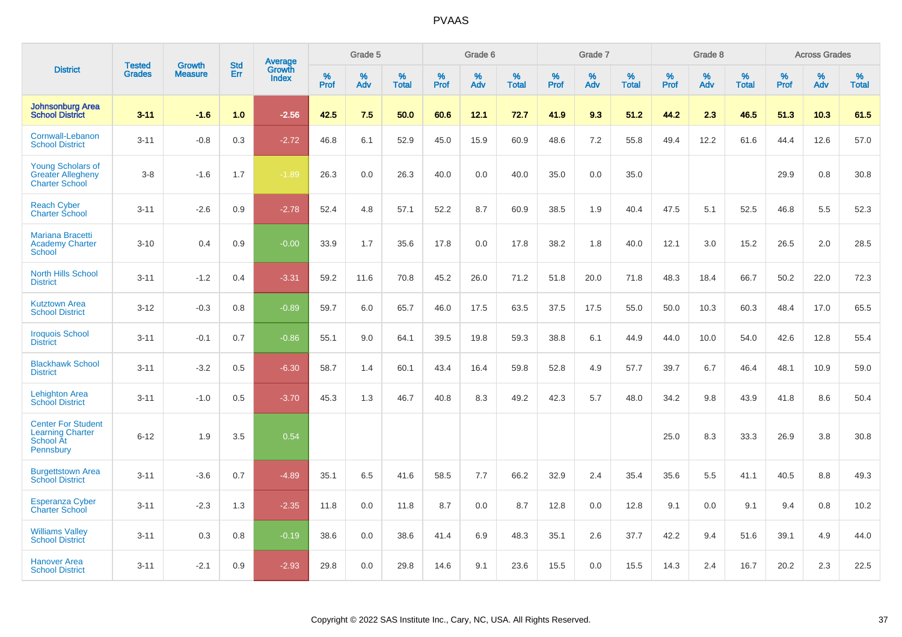|                                                                                |                                | <b>Growth</b>  | <b>Std</b> |                                   |              | Grade 5  |                   |           | Grade 6  |                   |           | Grade 7  |                   |              | Grade 8  |                   |              | <b>Across Grades</b> |                   |
|--------------------------------------------------------------------------------|--------------------------------|----------------|------------|-----------------------------------|--------------|----------|-------------------|-----------|----------|-------------------|-----------|----------|-------------------|--------------|----------|-------------------|--------------|----------------------|-------------------|
| <b>District</b>                                                                | <b>Tested</b><br><b>Grades</b> | <b>Measure</b> | <b>Err</b> | Average<br>Growth<br><b>Index</b> | $\%$<br>Prof | %<br>Adv | %<br><b>Total</b> | %<br>Prof | %<br>Adv | %<br><b>Total</b> | %<br>Prof | %<br>Adv | %<br><b>Total</b> | $\%$<br>Prof | %<br>Adv | %<br><b>Total</b> | $\%$<br>Prof | %<br>Adv             | %<br><b>Total</b> |
| <b>Johnsonburg Area</b><br><b>School District</b>                              | $3 - 11$                       | $-1.6$         | 1.0        | $-2.56$                           | 42.5         | 7.5      | 50.0              | 60.6      | 12.1     | 72.7              | 41.9      | 9.3      | 51.2              | 44.2         | 2.3      | 46.5              | 51.3         | 10.3                 | 61.5              |
| Cornwall-Lebanon<br><b>School District</b>                                     | $3 - 11$                       | $-0.8$         | 0.3        | $-2.72$                           | 46.8         | 6.1      | 52.9              | 45.0      | 15.9     | 60.9              | 48.6      | 7.2      | 55.8              | 49.4         | 12.2     | 61.6              | 44.4         | 12.6                 | 57.0              |
| <b>Young Scholars of</b><br><b>Greater Allegheny</b><br><b>Charter School</b>  | $3 - 8$                        | $-1.6$         | 1.7        | $-1.89$                           | 26.3         | 0.0      | 26.3              | 40.0      | 0.0      | 40.0              | 35.0      | 0.0      | 35.0              |              |          |                   | 29.9         | 0.8                  | 30.8              |
| <b>Reach Cyber</b><br><b>Charter School</b>                                    | $3 - 11$                       | $-2.6$         | 0.9        | $-2.78$                           | 52.4         | 4.8      | 57.1              | 52.2      | 8.7      | 60.9              | 38.5      | 1.9      | 40.4              | 47.5         | 5.1      | 52.5              | 46.8         | 5.5                  | 52.3              |
| <b>Mariana Bracetti</b><br><b>Academy Charter</b><br>School                    | $3 - 10$                       | 0.4            | 0.9        | $-0.00$                           | 33.9         | 1.7      | 35.6              | 17.8      | 0.0      | 17.8              | 38.2      | 1.8      | 40.0              | 12.1         | 3.0      | 15.2              | 26.5         | 2.0                  | 28.5              |
| <b>North Hills School</b><br><b>District</b>                                   | $3 - 11$                       | $-1.2$         | 0.4        | $-3.31$                           | 59.2         | 11.6     | 70.8              | 45.2      | 26.0     | 71.2              | 51.8      | 20.0     | 71.8              | 48.3         | 18.4     | 66.7              | 50.2         | 22.0                 | 72.3              |
| <b>Kutztown Area</b><br><b>School District</b>                                 | $3 - 12$                       | $-0.3$         | 0.8        | $-0.89$                           | 59.7         | 6.0      | 65.7              | 46.0      | 17.5     | 63.5              | 37.5      | 17.5     | 55.0              | 50.0         | 10.3     | 60.3              | 48.4         | 17.0                 | 65.5              |
| <b>Iroquois School</b><br><b>District</b>                                      | $3 - 11$                       | $-0.1$         | 0.7        | $-0.86$                           | 55.1         | 9.0      | 64.1              | 39.5      | 19.8     | 59.3              | 38.8      | 6.1      | 44.9              | 44.0         | 10.0     | 54.0              | 42.6         | 12.8                 | 55.4              |
| <b>Blackhawk School</b><br><b>District</b>                                     | $3 - 11$                       | $-3.2$         | 0.5        | $-6.30$                           | 58.7         | 1.4      | 60.1              | 43.4      | 16.4     | 59.8              | 52.8      | 4.9      | 57.7              | 39.7         | 6.7      | 46.4              | 48.1         | 10.9                 | 59.0              |
| <b>Lehighton Area</b><br><b>School District</b>                                | $3 - 11$                       | $-1.0$         | 0.5        | $-3.70$                           | 45.3         | 1.3      | 46.7              | 40.8      | 8.3      | 49.2              | 42.3      | 5.7      | 48.0              | 34.2         | 9.8      | 43.9              | 41.8         | 8.6                  | 50.4              |
| <b>Center For Student</b><br><b>Learning Charter</b><br>School At<br>Pennsbury | $6 - 12$                       | 1.9            | 3.5        | 0.54                              |              |          |                   |           |          |                   |           |          |                   | 25.0         | 8.3      | 33.3              | 26.9         | 3.8                  | 30.8              |
| <b>Burgettstown Area</b><br><b>School District</b>                             | $3 - 11$                       | $-3.6$         | 0.7        | $-4.89$                           | 35.1         | 6.5      | 41.6              | 58.5      | 7.7      | 66.2              | 32.9      | 2.4      | 35.4              | 35.6         | 5.5      | 41.1              | 40.5         | 8.8                  | 49.3              |
| <b>Esperanza Cyber</b><br><b>Charter School</b>                                | $3 - 11$                       | $-2.3$         | 1.3        | $-2.35$                           | 11.8         | 0.0      | 11.8              | 8.7       | 0.0      | 8.7               | 12.8      | 0.0      | 12.8              | 9.1          | 0.0      | 9.1               | 9.4          | 0.8                  | 10.2              |
| <b>Williams Valley</b><br><b>School District</b>                               | $3 - 11$                       | 0.3            | 0.8        | $-0.19$                           | 38.6         | 0.0      | 38.6              | 41.4      | 6.9      | 48.3              | 35.1      | 2.6      | 37.7              | 42.2         | 9.4      | 51.6              | 39.1         | 4.9                  | 44.0              |
| Hanover Area<br><b>School District</b>                                         | $3 - 11$                       | $-2.1$         | 0.9        | $-2.93$                           | 29.8         | 0.0      | 29.8              | 14.6      | 9.1      | 23.6              | 15.5      | 0.0      | 15.5              | 14.3         | 2.4      | 16.7              | 20.2         | 2.3                  | 22.5              |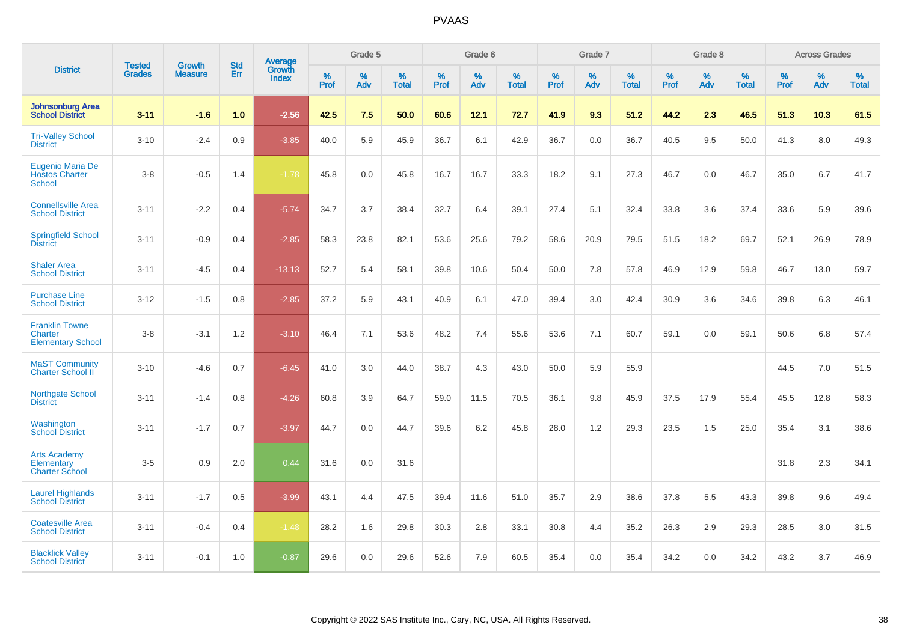|                                                              | <b>Tested</b> | <b>Growth</b>  | <b>Std</b> | Average                |           | Grade 5  |                   |           | Grade 6  |                   |           | Grade 7  |                   |              | Grade 8  |                   |           | <b>Across Grades</b> |                   |
|--------------------------------------------------------------|---------------|----------------|------------|------------------------|-----------|----------|-------------------|-----------|----------|-------------------|-----------|----------|-------------------|--------------|----------|-------------------|-----------|----------------------|-------------------|
| <b>District</b>                                              | <b>Grades</b> | <b>Measure</b> | Err        | Growth<br><b>Index</b> | %<br>Prof | %<br>Adv | %<br><b>Total</b> | %<br>Prof | %<br>Adv | %<br><b>Total</b> | %<br>Prof | %<br>Adv | %<br><b>Total</b> | $\%$<br>Prof | %<br>Adv | %<br><b>Total</b> | %<br>Prof | %<br>Adv             | %<br><b>Total</b> |
| <b>Johnsonburg Area</b><br><b>School District</b>            | $3 - 11$      | $-1.6$         | 1.0        | $-2.56$                | 42.5      | 7.5      | 50.0              | 60.6      | 12.1     | 72.7              | 41.9      | 9.3      | 51.2              | 44.2         | 2.3      | 46.5              | 51.3      | 10.3                 | 61.5              |
| <b>Tri-Valley School</b><br><b>District</b>                  | $3 - 10$      | $-2.4$         | 0.9        | $-3.85$                | 40.0      | 5.9      | 45.9              | 36.7      | 6.1      | 42.9              | 36.7      | 0.0      | 36.7              | 40.5         | 9.5      | 50.0              | 41.3      | 8.0                  | 49.3              |
| Eugenio Maria De<br><b>Hostos Charter</b><br><b>School</b>   | $3 - 8$       | $-0.5$         | 1.4        | $-1.78$                | 45.8      | 0.0      | 45.8              | 16.7      | 16.7     | 33.3              | 18.2      | 9.1      | 27.3              | 46.7         | 0.0      | 46.7              | 35.0      | 6.7                  | 41.7              |
| <b>Connellsville Area</b><br><b>School District</b>          | $3 - 11$      | $-2.2$         | 0.4        | $-5.74$                | 34.7      | 3.7      | 38.4              | 32.7      | 6.4      | 39.1              | 27.4      | 5.1      | 32.4              | 33.8         | 3.6      | 37.4              | 33.6      | 5.9                  | 39.6              |
| <b>Springfield School</b><br><b>District</b>                 | $3 - 11$      | $-0.9$         | 0.4        | $-2.85$                | 58.3      | 23.8     | 82.1              | 53.6      | 25.6     | 79.2              | 58.6      | 20.9     | 79.5              | 51.5         | 18.2     | 69.7              | 52.1      | 26.9                 | 78.9              |
| <b>Shaler Area</b><br><b>School District</b>                 | $3 - 11$      | $-4.5$         | 0.4        | $-13.13$               | 52.7      | 5.4      | 58.1              | 39.8      | 10.6     | 50.4              | 50.0      | 7.8      | 57.8              | 46.9         | 12.9     | 59.8              | 46.7      | 13.0                 | 59.7              |
| <b>Purchase Line</b><br><b>School District</b>               | $3 - 12$      | $-1.5$         | 0.8        | $-2.85$                | 37.2      | 5.9      | 43.1              | 40.9      | 6.1      | 47.0              | 39.4      | 3.0      | 42.4              | 30.9         | 3.6      | 34.6              | 39.8      | 6.3                  | 46.1              |
| <b>Franklin Towne</b><br>Charter<br><b>Elementary School</b> | $3 - 8$       | $-3.1$         | 1.2        | $-3.10$                | 46.4      | 7.1      | 53.6              | 48.2      | 7.4      | 55.6              | 53.6      | 7.1      | 60.7              | 59.1         | 0.0      | 59.1              | 50.6      | 6.8                  | 57.4              |
| <b>MaST Community</b><br>Charter School II                   | $3 - 10$      | $-4.6$         | 0.7        | $-6.45$                | 41.0      | 3.0      | 44.0              | 38.7      | 4.3      | 43.0              | 50.0      | 5.9      | 55.9              |              |          |                   | 44.5      | 7.0                  | 51.5              |
| Northgate School<br><b>District</b>                          | $3 - 11$      | $-1.4$         | 0.8        | $-4.26$                | 60.8      | 3.9      | 64.7              | 59.0      | 11.5     | 70.5              | 36.1      | 9.8      | 45.9              | 37.5         | 17.9     | 55.4              | 45.5      | 12.8                 | 58.3              |
| Washington<br><b>School District</b>                         | $3 - 11$      | $-1.7$         | 0.7        | $-3.97$                | 44.7      | 0.0      | 44.7              | 39.6      | 6.2      | 45.8              | 28.0      | 1.2      | 29.3              | 23.5         | 1.5      | 25.0              | 35.4      | 3.1                  | 38.6              |
| <b>Arts Academy</b><br>Elementary<br><b>Charter School</b>   | $3-5$         | 0.9            | 2.0        | 0.44                   | 31.6      | 0.0      | 31.6              |           |          |                   |           |          |                   |              |          |                   | 31.8      | 2.3                  | 34.1              |
| <b>Laurel Highlands</b><br><b>School District</b>            | $3 - 11$      | $-1.7$         | 0.5        | $-3.99$                | 43.1      | 4.4      | 47.5              | 39.4      | 11.6     | 51.0              | 35.7      | 2.9      | 38.6              | 37.8         | 5.5      | 43.3              | 39.8      | 9.6                  | 49.4              |
| <b>Coatesville Area</b><br><b>School District</b>            | $3 - 11$      | $-0.4$         | 0.4        | $-1.48$                | 28.2      | 1.6      | 29.8              | 30.3      | 2.8      | 33.1              | 30.8      | 4.4      | 35.2              | 26.3         | 2.9      | 29.3              | 28.5      | 3.0                  | 31.5              |
| <b>Blacklick Valley</b><br><b>School District</b>            | $3 - 11$      | $-0.1$         | 1.0        | $-0.87$                | 29.6      | 0.0      | 29.6              | 52.6      | 7.9      | 60.5              | 35.4      | 0.0      | 35.4              | 34.2         | 0.0      | 34.2              | 43.2      | 3.7                  | 46.9              |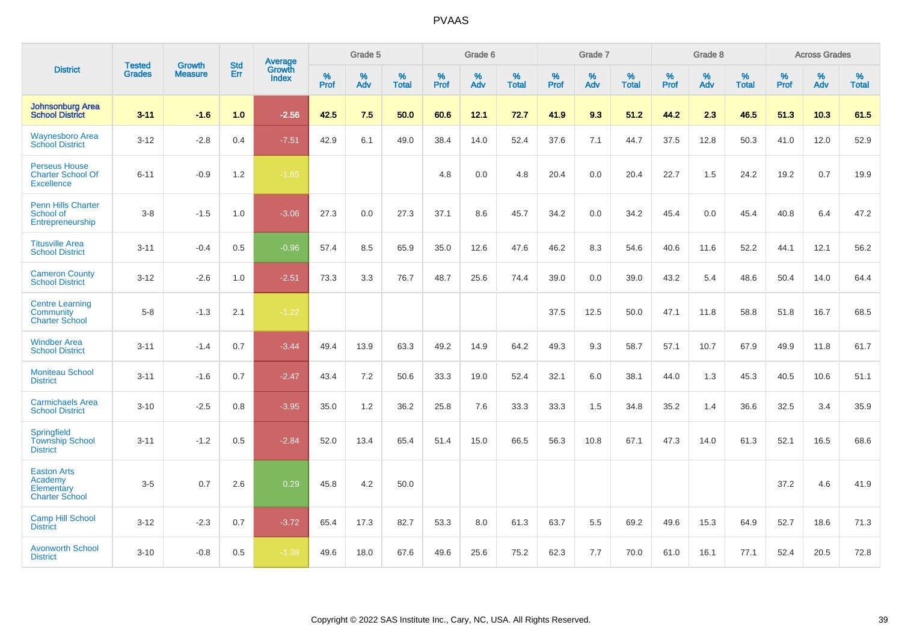|                                                                       |                                |                                 | <b>Std</b> | Average                |           | Grade 5  |                   |           | Grade 6  |                   |           | Grade 7  |                   |           | Grade 8  |                   |           | <b>Across Grades</b> |                   |
|-----------------------------------------------------------------------|--------------------------------|---------------------------------|------------|------------------------|-----------|----------|-------------------|-----------|----------|-------------------|-----------|----------|-------------------|-----------|----------|-------------------|-----------|----------------------|-------------------|
| <b>District</b>                                                       | <b>Tested</b><br><b>Grades</b> | <b>Growth</b><br><b>Measure</b> | Err        | Growth<br><b>Index</b> | %<br>Prof | %<br>Adv | %<br><b>Total</b> | %<br>Prof | %<br>Adv | %<br><b>Total</b> | %<br>Prof | %<br>Adv | %<br><b>Total</b> | %<br>Prof | %<br>Adv | %<br><b>Total</b> | %<br>Prof | %<br>Adv             | %<br><b>Total</b> |
| <b>Johnsonburg Area</b><br><b>School District</b>                     | $3 - 11$                       | $-1.6$                          | 1.0        | $-2.56$                | 42.5      | 7.5      | 50.0              | 60.6      | 12.1     | 72.7              | 41.9      | 9.3      | 51.2              | 44.2      | 2.3      | 46.5              | 51.3      | 10.3                 | 61.5              |
| <b>Waynesboro Area</b><br><b>School District</b>                      | $3 - 12$                       | $-2.8$                          | 0.4        | $-7.51$                | 42.9      | 6.1      | 49.0              | 38.4      | 14.0     | 52.4              | 37.6      | 7.1      | 44.7              | 37.5      | 12.8     | 50.3              | 41.0      | 12.0                 | 52.9              |
| <b>Perseus House</b><br><b>Charter School Of</b><br><b>Excellence</b> | $6 - 11$                       | $-0.9$                          | 1.2        | $-1.85$                |           |          |                   | 4.8       | 0.0      | 4.8               | 20.4      | 0.0      | 20.4              | 22.7      | 1.5      | 24.2              | 19.2      | 0.7                  | 19.9              |
| <b>Penn Hills Charter</b><br>School of<br>Entrepreneurship            | $3-8$                          | $-1.5$                          | 1.0        | $-3.06$                | 27.3      | 0.0      | 27.3              | 37.1      | 8.6      | 45.7              | 34.2      | 0.0      | 34.2              | 45.4      | 0.0      | 45.4              | 40.8      | 6.4                  | 47.2              |
| <b>Titusville Area</b><br><b>School District</b>                      | $3 - 11$                       | $-0.4$                          | 0.5        | $-0.96$                | 57.4      | 8.5      | 65.9              | 35.0      | 12.6     | 47.6              | 46.2      | 8.3      | 54.6              | 40.6      | 11.6     | 52.2              | 44.1      | 12.1                 | 56.2              |
| <b>Cameron County</b><br><b>School District</b>                       | $3 - 12$                       | $-2.6$                          | 1.0        | $-2.51$                | 73.3      | 3.3      | 76.7              | 48.7      | 25.6     | 74.4              | 39.0      | 0.0      | 39.0              | 43.2      | 5.4      | 48.6              | 50.4      | 14.0                 | 64.4              |
| <b>Centre Learning</b><br>Community<br><b>Charter School</b>          | $5-8$                          | $-1.3$                          | 2.1        | $-1.22$                |           |          |                   |           |          |                   | 37.5      | 12.5     | 50.0              | 47.1      | 11.8     | 58.8              | 51.8      | 16.7                 | 68.5              |
| <b>Windber Area</b><br><b>School District</b>                         | $3 - 11$                       | $-1.4$                          | 0.7        | $-3.44$                | 49.4      | 13.9     | 63.3              | 49.2      | 14.9     | 64.2              | 49.3      | 9.3      | 58.7              | 57.1      | 10.7     | 67.9              | 49.9      | 11.8                 | 61.7              |
| <b>Moniteau School</b><br><b>District</b>                             | $3 - 11$                       | $-1.6$                          | 0.7        | $-2.47$                | 43.4      | 7.2      | 50.6              | 33.3      | 19.0     | 52.4              | 32.1      | 6.0      | 38.1              | 44.0      | 1.3      | 45.3              | 40.5      | 10.6                 | 51.1              |
| <b>Carmichaels Area</b><br><b>School District</b>                     | $3 - 10$                       | $-2.5$                          | 0.8        | $-3.95$                | 35.0      | 1.2      | 36.2              | 25.8      | 7.6      | 33.3              | 33.3      | 1.5      | 34.8              | 35.2      | 1.4      | 36.6              | 32.5      | 3.4                  | 35.9              |
| Springfield<br><b>Township School</b><br><b>District</b>              | $3 - 11$                       | $-1.2$                          | 0.5        | $-2.84$                | 52.0      | 13.4     | 65.4              | 51.4      | 15.0     | 66.5              | 56.3      | 10.8     | 67.1              | 47.3      | 14.0     | 61.3              | 52.1      | 16.5                 | 68.6              |
| <b>Easton Arts</b><br>Academy<br>Elementary<br><b>Charter School</b>  | $3-5$                          | 0.7                             | 2.6        | 0.29                   | 45.8      | 4.2      | 50.0              |           |          |                   |           |          |                   |           |          |                   | 37.2      | 4.6                  | 41.9              |
| <b>Camp Hill School</b><br><b>District</b>                            | $3 - 12$                       | $-2.3$                          | 0.7        | $-3.72$                | 65.4      | 17.3     | 82.7              | 53.3      | 8.0      | 61.3              | 63.7      | 5.5      | 69.2              | 49.6      | 15.3     | 64.9              | 52.7      | 18.6                 | 71.3              |
| <b>Avonworth School</b><br><b>District</b>                            | $3 - 10$                       | $-0.8$                          | 0.5        | $-1.38$                | 49.6      | 18.0     | 67.6              | 49.6      | 25.6     | 75.2              | 62.3      | 7.7      | 70.0              | 61.0      | 16.1     | 77.1              | 52.4      | 20.5                 | 72.8              |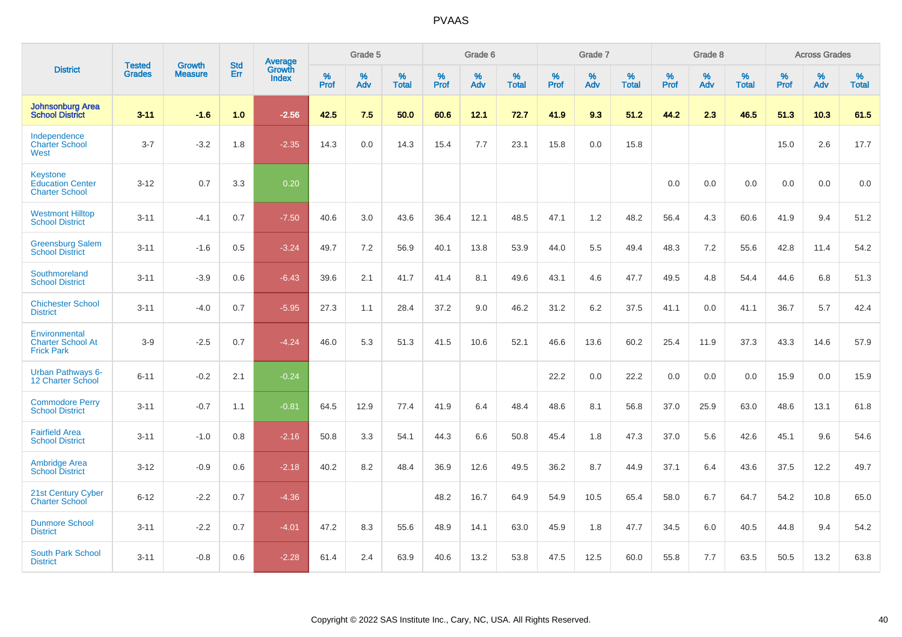|                                                                     | <b>Tested</b> | <b>Growth</b>  | <b>Std</b> | <b>Average</b>                |                  | Grade 5  |                   | Grade 6<br>%<br>%<br>%<br><b>Prof</b><br><b>Total</b><br>Adv<br>60.6<br>12.1<br>72.7<br>15.4<br>7.7<br>23.1<br>36.4<br>12.1<br>48.5<br>40.1<br>13.8<br>53.9<br>41.4<br>8.1<br>49.6<br>37.2<br>9.0<br>46.2<br>41.5<br>10.6<br>52.1<br>41.9<br>6.4<br>48.4<br>44.3<br>6.6<br>50.8<br>36.9<br>12.6<br>49.5<br>48.2<br>16.7<br>64.9 |      |      | Grade 7          |          |                   | Grade 8          |          |                   | <b>Across Grades</b> |          |                   |
|---------------------------------------------------------------------|---------------|----------------|------------|-------------------------------|------------------|----------|-------------------|---------------------------------------------------------------------------------------------------------------------------------------------------------------------------------------------------------------------------------------------------------------------------------------------------------------------------------|------|------|------------------|----------|-------------------|------------------|----------|-------------------|----------------------|----------|-------------------|
| <b>District</b>                                                     | <b>Grades</b> | <b>Measure</b> | <b>Err</b> | <b>Growth</b><br><b>Index</b> | %<br><b>Prof</b> | %<br>Adv | %<br><b>Total</b> |                                                                                                                                                                                                                                                                                                                                 |      |      | %<br><b>Prof</b> | %<br>Adv | %<br><b>Total</b> | %<br><b>Prof</b> | %<br>Adv | %<br><b>Total</b> | %<br><b>Prof</b>     | %<br>Adv | %<br><b>Total</b> |
| <b>Johnsonburg Area</b><br><b>School District</b>                   | $3 - 11$      | $-1.6$         | 1.0        | $-2.56$                       | 42.5             | 7.5      | 50.0              |                                                                                                                                                                                                                                                                                                                                 |      |      | 41.9             | 9.3      | 51.2              | 44.2             | 2.3      | 46.5              | 51.3                 | 10.3     | 61.5              |
| Independence<br><b>Charter School</b><br>West                       | $3 - 7$       | $-3.2$         | 1.8        | $-2.35$                       | 14.3             | 0.0      | 14.3              |                                                                                                                                                                                                                                                                                                                                 |      |      | 15.8             | 0.0      | 15.8              |                  |          |                   | 15.0                 | 2.6      | 17.7              |
| <b>Keystone</b><br><b>Education Center</b><br><b>Charter School</b> | $3 - 12$      | 0.7            | 3.3        | 0.20                          |                  |          |                   |                                                                                                                                                                                                                                                                                                                                 |      |      |                  |          |                   | 0.0              | 0.0      | 0.0               | 0.0                  | 0.0      | $0.0\,$           |
| <b>Westmont Hilltop</b><br><b>School District</b>                   | $3 - 11$      | $-4.1$         | 0.7        | $-7.50$                       | 40.6             | 3.0      | 43.6              |                                                                                                                                                                                                                                                                                                                                 |      |      | 47.1             | 1.2      | 48.2              | 56.4             | 4.3      | 60.6              | 41.9                 | 9.4      | 51.2              |
| <b>Greensburg Salem</b><br><b>School District</b>                   | $3 - 11$      | $-1.6$         | 0.5        | $-3.24$                       | 49.7             | 7.2      | 56.9              |                                                                                                                                                                                                                                                                                                                                 |      |      | 44.0             | 5.5      | 49.4              | 48.3             | 7.2      | 55.6              | 42.8                 | 11.4     | 54.2              |
| Southmoreland<br><b>School District</b>                             | $3 - 11$      | $-3.9$         | 0.6        | $-6.43$                       | 39.6             | 2.1      | 41.7              |                                                                                                                                                                                                                                                                                                                                 |      |      | 43.1             | 4.6      | 47.7              | 49.5             | 4.8      | 54.4              | 44.6                 | 6.8      | 51.3              |
| <b>Chichester School</b><br><b>District</b>                         | $3 - 11$      | $-4.0$         | 0.7        | $-5.95$                       | 27.3             | 1.1      | 28.4              |                                                                                                                                                                                                                                                                                                                                 |      |      | 31.2             | 6.2      | 37.5              | 41.1             | 0.0      | 41.1              | 36.7                 | 5.7      | 42.4              |
| Environmental<br><b>Charter School At</b><br><b>Frick Park</b>      | $3-9$         | $-2.5$         | 0.7        | $-4.24$                       | 46.0             | 5.3      | 51.3              |                                                                                                                                                                                                                                                                                                                                 |      |      | 46.6             | 13.6     | 60.2              | 25.4             | 11.9     | 37.3              | 43.3                 | 14.6     | 57.9              |
| <b>Urban Pathways 6-</b><br>12 Charter School                       | $6 - 11$      | $-0.2$         | 2.1        | $-0.24$                       |                  |          |                   |                                                                                                                                                                                                                                                                                                                                 |      |      | 22.2             | 0.0      | 22.2              | 0.0              | 0.0      | 0.0               | 15.9                 | 0.0      | 15.9              |
| <b>Commodore Perry</b><br><b>School District</b>                    | $3 - 11$      | $-0.7$         | 1.1        | $-0.81$                       | 64.5             | 12.9     | 77.4              |                                                                                                                                                                                                                                                                                                                                 |      |      | 48.6             | 8.1      | 56.8              | 37.0             | 25.9     | 63.0              | 48.6                 | 13.1     | 61.8              |
| <b>Fairfield Area</b><br><b>School District</b>                     | $3 - 11$      | $-1.0$         | 0.8        | $-2.16$                       | 50.8             | 3.3      | 54.1              |                                                                                                                                                                                                                                                                                                                                 |      |      | 45.4             | 1.8      | 47.3              | 37.0             | 5.6      | 42.6              | 45.1                 | 9.6      | 54.6              |
| <b>Ambridge Area</b><br><b>School District</b>                      | $3 - 12$      | $-0.9$         | 0.6        | $-2.18$                       | 40.2             | 8.2      | 48.4              |                                                                                                                                                                                                                                                                                                                                 |      |      | 36.2             | 8.7      | 44.9              | 37.1             | 6.4      | 43.6              | 37.5                 | 12.2     | 49.7              |
| 21st Century Cyber<br><b>Charter School</b>                         | $6 - 12$      | $-2.2$         | 0.7        | $-4.36$                       |                  |          |                   |                                                                                                                                                                                                                                                                                                                                 |      |      | 54.9             | 10.5     | 65.4              | 58.0             | 6.7      | 64.7              | 54.2                 | 10.8     | 65.0              |
| <b>Dunmore School</b><br><b>District</b>                            | $3 - 11$      | $-2.2$         | 0.7        | $-4.01$                       | 47.2             | 8.3      | 55.6              | 48.9                                                                                                                                                                                                                                                                                                                            | 14.1 | 63.0 | 45.9             | 1.8      | 47.7              | 34.5             | 6.0      | 40.5              | 44.8                 | 9.4      | 54.2              |
| <b>South Park School</b><br><b>District</b>                         | $3 - 11$      | $-0.8$         | 0.6        | $-2.28$                       | 61.4             | 2.4      | 63.9              | 40.6                                                                                                                                                                                                                                                                                                                            | 13.2 | 53.8 | 47.5             | 12.5     | 60.0              | 55.8             | 7.7      | 63.5              | 50.5                 | 13.2     | 63.8              |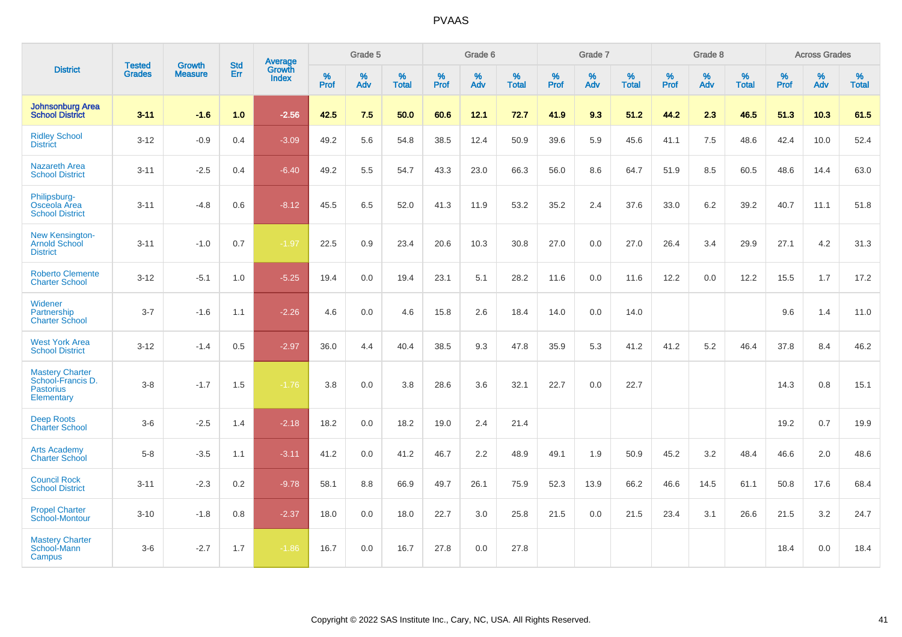|                                                                               | <b>Tested</b> | <b>Growth</b>  | <b>Std</b> | Average                |           | Grade 5  |                   |           | Grade 6  |                   |           | Grade 7  |                   |           | Grade 8  |                   |           | <b>Across Grades</b> |                   |
|-------------------------------------------------------------------------------|---------------|----------------|------------|------------------------|-----------|----------|-------------------|-----------|----------|-------------------|-----------|----------|-------------------|-----------|----------|-------------------|-----------|----------------------|-------------------|
| <b>District</b>                                                               | <b>Grades</b> | <b>Measure</b> | Err        | Growth<br><b>Index</b> | %<br>Prof | %<br>Adv | %<br><b>Total</b> | %<br>Prof | %<br>Adv | %<br><b>Total</b> | %<br>Prof | %<br>Adv | %<br><b>Total</b> | %<br>Prof | %<br>Adv | %<br><b>Total</b> | %<br>Prof | %<br>Adv             | %<br><b>Total</b> |
| <b>Johnsonburg Area</b><br><b>School District</b>                             | $3 - 11$      | $-1.6$         | 1.0        | $-2.56$                | 42.5      | 7.5      | 50.0              | 60.6      | 12.1     | 72.7              | 41.9      | 9.3      | 51.2              | 44.2      | 2.3      | 46.5              | 51.3      | 10.3                 | 61.5              |
| <b>Ridley School</b><br><b>District</b>                                       | $3 - 12$      | $-0.9$         | 0.4        | $-3.09$                | 49.2      | 5.6      | 54.8              | 38.5      | 12.4     | 50.9              | 39.6      | 5.9      | 45.6              | 41.1      | 7.5      | 48.6              | 42.4      | 10.0                 | 52.4              |
| <b>Nazareth Area</b><br><b>School District</b>                                | $3 - 11$      | $-2.5$         | 0.4        | $-6.40$                | 49.2      | 5.5      | 54.7              | 43.3      | 23.0     | 66.3              | 56.0      | 8.6      | 64.7              | 51.9      | 8.5      | 60.5              | 48.6      | 14.4                 | 63.0              |
| Philipsburg-<br>Osceola Area<br><b>School District</b>                        | $3 - 11$      | $-4.8$         | 0.6        | $-8.12$                | 45.5      | 6.5      | 52.0              | 41.3      | 11.9     | 53.2              | 35.2      | 2.4      | 37.6              | 33.0      | 6.2      | 39.2              | 40.7      | 11.1                 | 51.8              |
| New Kensington-<br><b>Arnold School</b><br><b>District</b>                    | $3 - 11$      | $-1.0$         | 0.7        | $-1.97$                | 22.5      | 0.9      | 23.4              | 20.6      | 10.3     | 30.8              | 27.0      | 0.0      | 27.0              | 26.4      | 3.4      | 29.9              | 27.1      | 4.2                  | 31.3              |
| <b>Roberto Clemente</b><br><b>Charter School</b>                              | $3 - 12$      | $-5.1$         | 1.0        | $-5.25$                | 19.4      | 0.0      | 19.4              | 23.1      | 5.1      | 28.2              | 11.6      | 0.0      | 11.6              | 12.2      | 0.0      | 12.2              | 15.5      | 1.7                  | 17.2              |
| Widener<br>Partnership<br><b>Charter School</b>                               | $3 - 7$       | $-1.6$         | 1.1        | $-2.26$                | 4.6       | 0.0      | 4.6               | 15.8      | 2.6      | 18.4              | 14.0      | 0.0      | 14.0              |           |          |                   | 9.6       | 1.4                  | 11.0              |
| <b>West York Area</b><br><b>School District</b>                               | $3 - 12$      | $-1.4$         | 0.5        | $-2.97$                | 36.0      | 4.4      | 40.4              | 38.5      | 9.3      | 47.8              | 35.9      | 5.3      | 41.2              | 41.2      | 5.2      | 46.4              | 37.8      | 8.4                  | 46.2              |
| <b>Mastery Charter</b><br>School-Francis D.<br><b>Pastorius</b><br>Elementary | $3 - 8$       | $-1.7$         | 1.5        | $-1.76$                | 3.8       | 0.0      | 3.8               | 28.6      | 3.6      | 32.1              | 22.7      | 0.0      | 22.7              |           |          |                   | 14.3      | 0.8                  | 15.1              |
| <b>Deep Roots</b><br><b>Charter School</b>                                    | $3-6$         | $-2.5$         | 1.4        | $-2.18$                | 18.2      | 0.0      | 18.2              | 19.0      | 2.4      | 21.4              |           |          |                   |           |          |                   | 19.2      | 0.7                  | 19.9              |
| <b>Arts Academy</b><br><b>Charter School</b>                                  | $5 - 8$       | $-3.5$         | 1.1        | $-3.11$                | 41.2      | 0.0      | 41.2              | 46.7      | 2.2      | 48.9              | 49.1      | 1.9      | 50.9              | 45.2      | 3.2      | 48.4              | 46.6      | 2.0                  | 48.6              |
| <b>Council Rock</b><br><b>School District</b>                                 | $3 - 11$      | $-2.3$         | 0.2        | $-9.78$                | 58.1      | 8.8      | 66.9              | 49.7      | 26.1     | 75.9              | 52.3      | 13.9     | 66.2              | 46.6      | 14.5     | 61.1              | 50.8      | 17.6                 | 68.4              |
| <b>Propel Charter</b><br><b>School-Montour</b>                                | $3 - 10$      | $-1.8$         | 0.8        | $-2.37$                | 18.0      | 0.0      | 18.0              | 22.7      | 3.0      | 25.8              | 21.5      | 0.0      | 21.5              | 23.4      | 3.1      | 26.6              | 21.5      | 3.2                  | 24.7              |
| <b>Mastery Charter</b><br>School-Mann<br>Campus                               | $3-6$         | $-2.7$         | 1.7        | $-1.86$                | 16.7      | 0.0      | 16.7              | 27.8      | 0.0      | 27.8              |           |          |                   |           |          |                   | 18.4      | 0.0                  | 18.4              |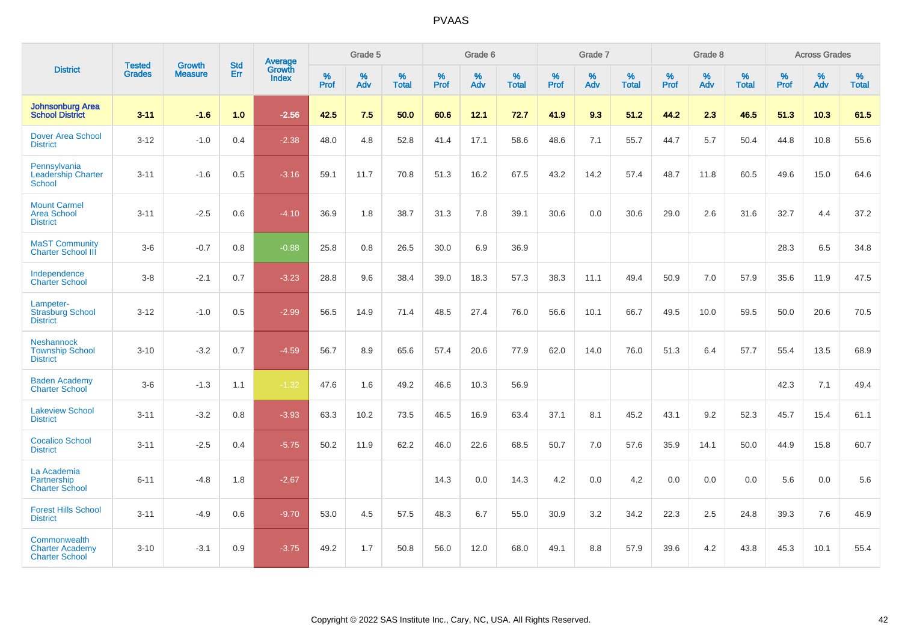|                                                                 |                                |                                 | <b>Std</b> | Average                |              | Grade 5  |                   |              | Grade 6  |                   |              | Grade 7  |                   |                     | Grade 8  |                   |           | <b>Across Grades</b> |                   |
|-----------------------------------------------------------------|--------------------------------|---------------------------------|------------|------------------------|--------------|----------|-------------------|--------------|----------|-------------------|--------------|----------|-------------------|---------------------|----------|-------------------|-----------|----------------------|-------------------|
| <b>District</b>                                                 | <b>Tested</b><br><b>Grades</b> | <b>Growth</b><br><b>Measure</b> | Err        | Growth<br><b>Index</b> | $\%$<br>Prof | %<br>Adv | %<br><b>Total</b> | $\%$<br>Prof | %<br>Adv | %<br><b>Total</b> | $\%$<br>Prof | %<br>Adv | %<br><b>Total</b> | $\%$<br><b>Prof</b> | %<br>Adv | %<br><b>Total</b> | %<br>Prof | %<br>Adv             | %<br><b>Total</b> |
| <b>Johnsonburg Area</b><br><b>School District</b>               | $3 - 11$                       | $-1.6$                          | 1.0        | $-2.56$                | 42.5         | 7.5      | 50.0              | 60.6         | 12.1     | 72.7              | 41.9         | 9.3      | 51.2              | 44.2                | 2.3      | 46.5              | 51.3      | 10.3                 | 61.5              |
| <b>Dover Area School</b><br><b>District</b>                     | $3 - 12$                       | $-1.0$                          | 0.4        | $-2.38$                | 48.0         | 4.8      | 52.8              | 41.4         | 17.1     | 58.6              | 48.6         | 7.1      | 55.7              | 44.7                | 5.7      | 50.4              | 44.8      | 10.8                 | 55.6              |
| Pennsylvania<br><b>Leadership Charter</b><br><b>School</b>      | $3 - 11$                       | $-1.6$                          | 0.5        | $-3.16$                | 59.1         | 11.7     | 70.8              | 51.3         | 16.2     | 67.5              | 43.2         | 14.2     | 57.4              | 48.7                | 11.8     | 60.5              | 49.6      | 15.0                 | 64.6              |
| <b>Mount Carmel</b><br><b>Area School</b><br><b>District</b>    | $3 - 11$                       | $-2.5$                          | 0.6        | $-4.10$                | 36.9         | 1.8      | 38.7              | 31.3         | 7.8      | 39.1              | 30.6         | 0.0      | 30.6              | 29.0                | 2.6      | 31.6              | 32.7      | 4.4                  | 37.2              |
| <b>MaST Community</b><br><b>Charter School III</b>              | $3-6$                          | $-0.7$                          | 0.8        | $-0.88$                | 25.8         | 0.8      | 26.5              | 30.0         | 6.9      | 36.9              |              |          |                   |                     |          |                   | 28.3      | 6.5                  | 34.8              |
| Independence<br><b>Charter School</b>                           | $3 - 8$                        | $-2.1$                          | 0.7        | $-3.23$                | 28.8         | 9.6      | 38.4              | 39.0         | 18.3     | 57.3              | 38.3         | 11.1     | 49.4              | 50.9                | 7.0      | 57.9              | 35.6      | 11.9                 | 47.5              |
| Lampeter-<br><b>Strasburg School</b><br><b>District</b>         | $3 - 12$                       | $-1.0$                          | 0.5        | $-2.99$                | 56.5         | 14.9     | 71.4              | 48.5         | 27.4     | 76.0              | 56.6         | 10.1     | 66.7              | 49.5                | 10.0     | 59.5              | 50.0      | 20.6                 | 70.5              |
| <b>Neshannock</b><br><b>Township School</b><br><b>District</b>  | $3 - 10$                       | $-3.2$                          | 0.7        | $-4.59$                | 56.7         | 8.9      | 65.6              | 57.4         | 20.6     | 77.9              | 62.0         | 14.0     | 76.0              | 51.3                | 6.4      | 57.7              | 55.4      | 13.5                 | 68.9              |
| <b>Baden Academy</b><br><b>Charter School</b>                   | $3-6$                          | $-1.3$                          | 1.1        | $-1.32$                | 47.6         | 1.6      | 49.2              | 46.6         | 10.3     | 56.9              |              |          |                   |                     |          |                   | 42.3      | 7.1                  | 49.4              |
| <b>Lakeview School</b><br><b>District</b>                       | $3 - 11$                       | $-3.2$                          | 0.8        | $-3.93$                | 63.3         | 10.2     | 73.5              | 46.5         | 16.9     | 63.4              | 37.1         | 8.1      | 45.2              | 43.1                | 9.2      | 52.3              | 45.7      | 15.4                 | 61.1              |
| <b>Cocalico School</b><br><b>District</b>                       | $3 - 11$                       | $-2.5$                          | 0.4        | $-5.75$                | 50.2         | 11.9     | 62.2              | 46.0         | 22.6     | 68.5              | 50.7         | 7.0      | 57.6              | 35.9                | 14.1     | 50.0              | 44.9      | 15.8                 | 60.7              |
| La Academia<br>Partnership<br><b>Charter School</b>             | $6 - 11$                       | -4.8                            | 1.8        | $-2.67$                |              |          |                   | 14.3         | 0.0      | 14.3              | 4.2          | 0.0      | 4.2               | 0.0                 | 0.0      | 0.0               | 5.6       | 0.0                  | 5.6               |
| <b>Forest Hills School</b><br><b>District</b>                   | $3 - 11$                       | $-4.9$                          | 0.6        | $-9.70$                | 53.0         | 4.5      | 57.5              | 48.3         | 6.7      | 55.0              | 30.9         | 3.2      | 34.2              | 22.3                | 2.5      | 24.8              | 39.3      | 7.6                  | 46.9              |
| Commonwealth<br><b>Charter Academy</b><br><b>Charter School</b> | $3 - 10$                       | $-3.1$                          | 0.9        | $-3.75$                | 49.2         | 1.7      | 50.8              | 56.0         | 12.0     | 68.0              | 49.1         | 8.8      | 57.9              | 39.6                | 4.2      | 43.8              | 45.3      | 10.1                 | 55.4              |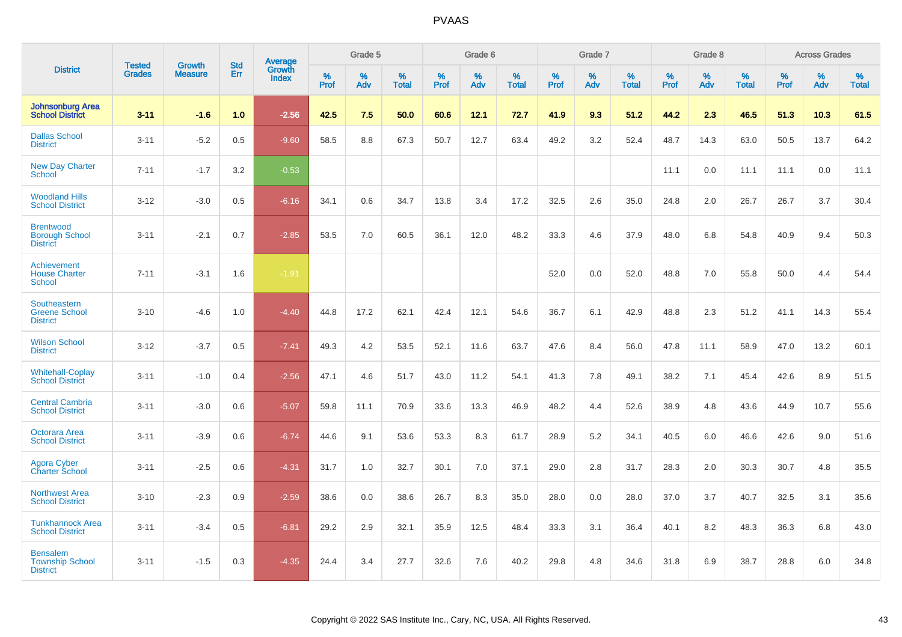|                                                              |                                |                                 | <b>Std</b> | <b>Average</b>         |           | Grade 5  |                   |           | Grade 6  |                   |           | Grade 7  |                   |           | Grade 8  |                   |           | <b>Across Grades</b> |                   |
|--------------------------------------------------------------|--------------------------------|---------------------------------|------------|------------------------|-----------|----------|-------------------|-----------|----------|-------------------|-----------|----------|-------------------|-----------|----------|-------------------|-----------|----------------------|-------------------|
| <b>District</b>                                              | <b>Tested</b><br><b>Grades</b> | <b>Growth</b><br><b>Measure</b> | Err        | Growth<br><b>Index</b> | %<br>Prof | %<br>Adv | %<br><b>Total</b> | %<br>Prof | %<br>Adv | %<br><b>Total</b> | %<br>Prof | %<br>Adv | %<br><b>Total</b> | %<br>Prof | %<br>Adv | %<br><b>Total</b> | %<br>Prof | %<br>Adv             | %<br><b>Total</b> |
| <b>Johnsonburg Area</b><br><b>School District</b>            | $3 - 11$                       | $-1.6$                          | 1.0        | $-2.56$                | 42.5      | 7.5      | 50.0              | 60.6      | 12.1     | 72.7              | 41.9      | 9.3      | 51.2              | 44.2      | 2.3      | 46.5              | 51.3      | 10.3                 | 61.5              |
| <b>Dallas School</b><br><b>District</b>                      | $3 - 11$                       | $-5.2$                          | 0.5        | $-9.60$                | 58.5      | 8.8      | 67.3              | 50.7      | 12.7     | 63.4              | 49.2      | 3.2      | 52.4              | 48.7      | 14.3     | 63.0              | 50.5      | 13.7                 | 64.2              |
| <b>New Day Charter</b><br>School                             | $7 - 11$                       | $-1.7$                          | 3.2        | $-0.53$                |           |          |                   |           |          |                   |           |          |                   | 11.1      | 0.0      | 11.1              | 11.1      | 0.0                  | 11.1              |
| <b>Woodland Hills</b><br><b>School District</b>              | $3 - 12$                       | $-3.0$                          | 0.5        | $-6.16$                | 34.1      | 0.6      | 34.7              | 13.8      | 3.4      | 17.2              | 32.5      | 2.6      | 35.0              | 24.8      | 2.0      | 26.7              | 26.7      | 3.7                  | 30.4              |
| <b>Brentwood</b><br><b>Borough School</b><br><b>District</b> | $3 - 11$                       | $-2.1$                          | 0.7        | $-2.85$                | 53.5      | 7.0      | 60.5              | 36.1      | 12.0     | 48.2              | 33.3      | 4.6      | 37.9              | 48.0      | 6.8      | 54.8              | 40.9      | 9.4                  | 50.3              |
| <b>Achievement</b><br><b>House Charter</b><br><b>School</b>  | $7 - 11$                       | $-3.1$                          | 1.6        | $-1.91$                |           |          |                   |           |          |                   | 52.0      | 0.0      | 52.0              | 48.8      | 7.0      | 55.8              | 50.0      | 4.4                  | 54.4              |
| Southeastern<br><b>Greene School</b><br><b>District</b>      | $3 - 10$                       | $-4.6$                          | 1.0        | $-4.40$                | 44.8      | 17.2     | 62.1              | 42.4      | 12.1     | 54.6              | 36.7      | 6.1      | 42.9              | 48.8      | 2.3      | 51.2              | 41.1      | 14.3                 | 55.4              |
| <b>Wilson School</b><br><b>District</b>                      | $3 - 12$                       | $-3.7$                          | 0.5        | $-7.41$                | 49.3      | 4.2      | 53.5              | 52.1      | 11.6     | 63.7              | 47.6      | 8.4      | 56.0              | 47.8      | 11.1     | 58.9              | 47.0      | 13.2                 | 60.1              |
| <b>Whitehall-Coplay</b><br><b>School District</b>            | $3 - 11$                       | $-1.0$                          | 0.4        | $-2.56$                | 47.1      | 4.6      | 51.7              | 43.0      | 11.2     | 54.1              | 41.3      | 7.8      | 49.1              | 38.2      | 7.1      | 45.4              | 42.6      | 8.9                  | 51.5              |
| <b>Central Cambria</b><br><b>School District</b>             | $3 - 11$                       | $-3.0$                          | 0.6        | $-5.07$                | 59.8      | 11.1     | 70.9              | 33.6      | 13.3     | 46.9              | 48.2      | 4.4      | 52.6              | 38.9      | 4.8      | 43.6              | 44.9      | 10.7                 | 55.6              |
| Octorara Area<br><b>School District</b>                      | $3 - 11$                       | $-3.9$                          | 0.6        | $-6.74$                | 44.6      | 9.1      | 53.6              | 53.3      | 8.3      | 61.7              | 28.9      | 5.2      | 34.1              | 40.5      | 6.0      | 46.6              | 42.6      | 9.0                  | 51.6              |
| Agora Cyber<br>Charter School                                | $3 - 11$                       | $-2.5$                          | 0.6        | $-4.31$                | 31.7      | 1.0      | 32.7              | 30.1      | 7.0      | 37.1              | 29.0      | 2.8      | 31.7              | 28.3      | 2.0      | 30.3              | 30.7      | 4.8                  | 35.5              |
| <b>Northwest Area</b><br><b>School District</b>              | $3 - 10$                       | $-2.3$                          | 0.9        | $-2.59$                | 38.6      | 0.0      | 38.6              | 26.7      | 8.3      | 35.0              | 28.0      | 0.0      | 28.0              | 37.0      | 3.7      | 40.7              | 32.5      | 3.1                  | 35.6              |
| <b>Tunkhannock Area</b><br><b>School District</b>            | $3 - 11$                       | $-3.4$                          | 0.5        | $-6.81$                | 29.2      | 2.9      | 32.1              | 35.9      | 12.5     | 48.4              | 33.3      | 3.1      | 36.4              | 40.1      | 8.2      | 48.3              | 36.3      | 6.8                  | 43.0              |
| <b>Bensalem</b><br><b>Township School</b><br><b>District</b> | $3 - 11$                       | $-1.5$                          | 0.3        | $-4.35$                | 24.4      | 3.4      | 27.7              | 32.6      | 7.6      | 40.2              | 29.8      | 4.8      | 34.6              | 31.8      | 6.9      | 38.7              | 28.8      | 6.0                  | 34.8              |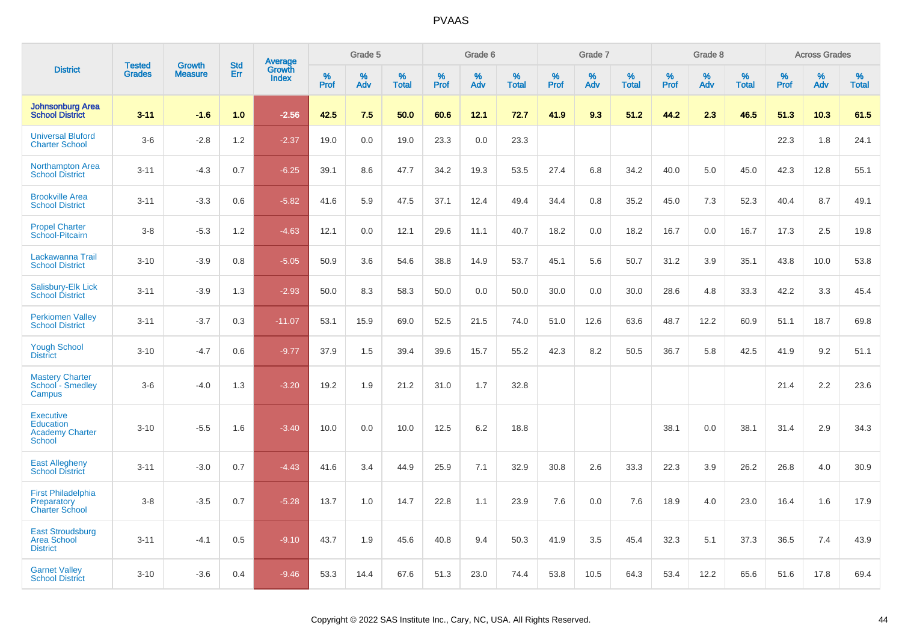|                                                                          | <b>Tested</b> | <b>Growth</b>  | <b>Std</b> | Average<br>Growth |           | Grade 5  |                   |           | Grade 6  |                   |           | Grade 7  |                   |           | Grade 8  |                   |              | <b>Across Grades</b> |                   |
|--------------------------------------------------------------------------|---------------|----------------|------------|-------------------|-----------|----------|-------------------|-----------|----------|-------------------|-----------|----------|-------------------|-----------|----------|-------------------|--------------|----------------------|-------------------|
| <b>District</b>                                                          | <b>Grades</b> | <b>Measure</b> | <b>Err</b> | <b>Index</b>      | %<br>Prof | %<br>Adv | %<br><b>Total</b> | %<br>Prof | %<br>Adv | %<br><b>Total</b> | %<br>Prof | %<br>Adv | %<br><b>Total</b> | %<br>Prof | %<br>Adv | %<br><b>Total</b> | $\%$<br>Prof | %<br>Adv             | %<br><b>Total</b> |
| <b>Johnsonburg Area</b><br><b>School District</b>                        | $3 - 11$      | $-1.6$         | 1.0        | $-2.56$           | 42.5      | 7.5      | 50.0              | 60.6      | 12.1     | 72.7              | 41.9      | 9.3      | 51.2              | 44.2      | 2.3      | 46.5              | 51.3         | 10.3                 | 61.5              |
| <b>Universal Bluford</b><br><b>Charter School</b>                        | $3-6$         | $-2.8$         | 1.2        | $-2.37$           | 19.0      | 0.0      | 19.0              | 23.3      | 0.0      | 23.3              |           |          |                   |           |          |                   | 22.3         | 1.8                  | 24.1              |
| <b>Northampton Area</b><br><b>School District</b>                        | $3 - 11$      | $-4.3$         | 0.7        | $-6.25$           | 39.1      | 8.6      | 47.7              | 34.2      | 19.3     | 53.5              | 27.4      | 6.8      | 34.2              | 40.0      | 5.0      | 45.0              | 42.3         | 12.8                 | 55.1              |
| <b>Brookville Area</b><br><b>School District</b>                         | $3 - 11$      | $-3.3$         | 0.6        | $-5.82$           | 41.6      | 5.9      | 47.5              | 37.1      | 12.4     | 49.4              | 34.4      | 0.8      | 35.2              | 45.0      | 7.3      | 52.3              | 40.4         | 8.7                  | 49.1              |
| <b>Propel Charter</b><br>School-Pitcairn                                 | $3 - 8$       | $-5.3$         | 1.2        | $-4.63$           | 12.1      | 0.0      | 12.1              | 29.6      | 11.1     | 40.7              | 18.2      | 0.0      | 18.2              | 16.7      | 0.0      | 16.7              | 17.3         | 2.5                  | 19.8              |
| Lackawanna Trail<br><b>School District</b>                               | $3 - 10$      | $-3.9$         | 0.8        | $-5.05$           | 50.9      | 3.6      | 54.6              | 38.8      | 14.9     | 53.7              | 45.1      | 5.6      | 50.7              | 31.2      | 3.9      | 35.1              | 43.8         | 10.0                 | 53.8              |
| Salisbury-Elk Lick<br><b>School District</b>                             | $3 - 11$      | $-3.9$         | 1.3        | $-2.93$           | 50.0      | 8.3      | 58.3              | 50.0      | 0.0      | 50.0              | 30.0      | 0.0      | 30.0              | 28.6      | 4.8      | 33.3              | 42.2         | 3.3                  | 45.4              |
| <b>Perkiomen Valley</b><br><b>School District</b>                        | $3 - 11$      | $-3.7$         | 0.3        | $-11.07$          | 53.1      | 15.9     | 69.0              | 52.5      | 21.5     | 74.0              | 51.0      | 12.6     | 63.6              | 48.7      | 12.2     | 60.9              | 51.1         | 18.7                 | 69.8              |
| <b>Yough School</b><br><b>District</b>                                   | $3 - 10$      | $-4.7$         | 0.6        | $-9.77$           | 37.9      | 1.5      | 39.4              | 39.6      | 15.7     | 55.2              | 42.3      | 8.2      | 50.5              | 36.7      | 5.8      | 42.5              | 41.9         | 9.2                  | 51.1              |
| <b>Mastery Charter</b><br>School - Smedley<br>Campus                     | $3-6$         | $-4.0$         | 1.3        | $-3.20$           | 19.2      | 1.9      | 21.2              | 31.0      | 1.7      | 32.8              |           |          |                   |           |          |                   | 21.4         | 2.2                  | 23.6              |
| <b>Executive</b><br><b>Education</b><br><b>Academy Charter</b><br>School | $3 - 10$      | $-5.5$         | 1.6        | $-3.40$           | 10.0      | 0.0      | 10.0              | 12.5      | 6.2      | 18.8              |           |          |                   | 38.1      | 0.0      | 38.1              | 31.4         | 2.9                  | 34.3              |
| <b>East Allegheny</b><br><b>School District</b>                          | $3 - 11$      | $-3.0$         | 0.7        | $-4.43$           | 41.6      | 3.4      | 44.9              | 25.9      | 7.1      | 32.9              | 30.8      | 2.6      | 33.3              | 22.3      | 3.9      | 26.2              | 26.8         | 4.0                  | 30.9              |
| <b>First Philadelphia</b><br>Preparatory<br><b>Charter School</b>        | $3 - 8$       | $-3.5$         | 0.7        | $-5.28$           | 13.7      | 1.0      | 14.7              | 22.8      | 1.1      | 23.9              | 7.6       | 0.0      | 7.6               | 18.9      | 4.0      | 23.0              | 16.4         | 1.6                  | 17.9              |
| <b>East Stroudsburg</b><br><b>Area School</b><br><b>District</b>         | $3 - 11$      | $-4.1$         | 0.5        | $-9.10$           | 43.7      | 1.9      | 45.6              | 40.8      | 9.4      | 50.3              | 41.9      | 3.5      | 45.4              | 32.3      | 5.1      | 37.3              | 36.5         | 7.4                  | 43.9              |
| <b>Garnet Valley</b><br><b>School District</b>                           | $3 - 10$      | $-3.6$         | 0.4        | $-9.46$           | 53.3      | 14.4     | 67.6              | 51.3      | 23.0     | 74.4              | 53.8      | 10.5     | 64.3              | 53.4      | 12.2     | 65.6              | 51.6         | 17.8                 | 69.4              |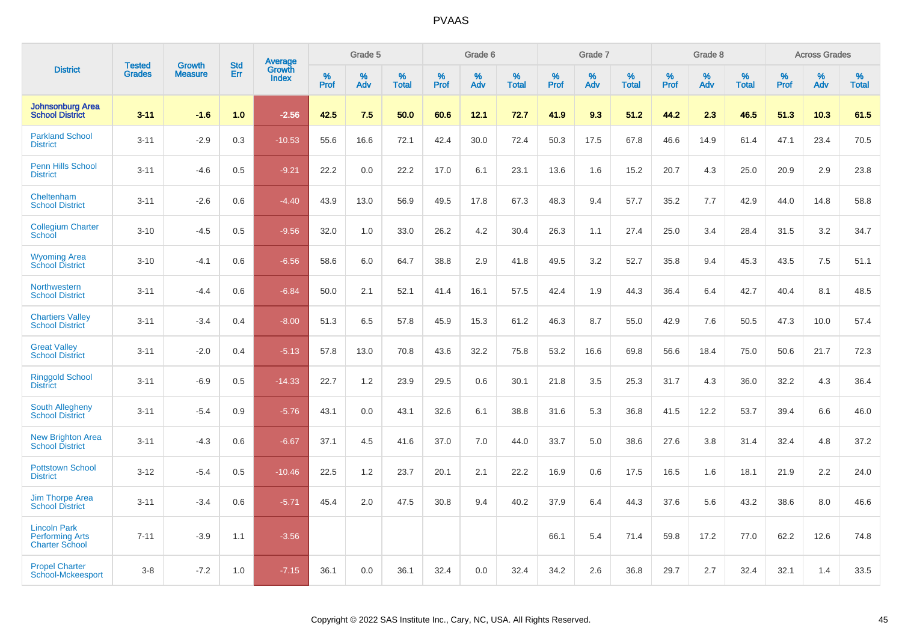|                                                                        |                                | <b>Growth</b>  | <b>Std</b> | Average                |              | Grade 5     |                      |                     | Grade 6     |                      |              | Grade 7     |                      |              | Grade 8     |                   |                     | <b>Across Grades</b> |                      |
|------------------------------------------------------------------------|--------------------------------|----------------|------------|------------------------|--------------|-------------|----------------------|---------------------|-------------|----------------------|--------------|-------------|----------------------|--------------|-------------|-------------------|---------------------|----------------------|----------------------|
| <b>District</b>                                                        | <b>Tested</b><br><b>Grades</b> | <b>Measure</b> | Err        | Growth<br><b>Index</b> | $\%$<br>Prof | $\%$<br>Adv | $\%$<br><b>Total</b> | $\%$<br><b>Prof</b> | $\%$<br>Adv | $\%$<br><b>Total</b> | $\%$<br>Prof | $\%$<br>Adv | $\%$<br><b>Total</b> | $\%$<br>Prof | $\%$<br>Adv | %<br><b>Total</b> | $\%$<br><b>Prof</b> | $\%$<br>Adv          | $\%$<br><b>Total</b> |
| <b>Johnsonburg Area</b><br><b>School District</b>                      | $3 - 11$                       | $-1.6$         | 1.0        | $-2.56$                | 42.5         | 7.5         | 50.0                 | 60.6                | 12.1        | 72.7                 | 41.9         | 9.3         | 51.2                 | 44.2         | 2.3         | 46.5              | 51.3                | 10.3                 | 61.5                 |
| <b>Parkland School</b><br><b>District</b>                              | $3 - 11$                       | $-2.9$         | 0.3        | $-10.53$               | 55.6         | 16.6        | 72.1                 | 42.4                | 30.0        | 72.4                 | 50.3         | 17.5        | 67.8                 | 46.6         | 14.9        | 61.4              | 47.1                | 23.4                 | 70.5                 |
| <b>Penn Hills School</b><br><b>District</b>                            | $3 - 11$                       | $-4.6$         | 0.5        | $-9.21$                | 22.2         | 0.0         | 22.2                 | 17.0                | 6.1         | 23.1                 | 13.6         | 1.6         | 15.2                 | 20.7         | 4.3         | 25.0              | 20.9                | 2.9                  | 23.8                 |
| Cheltenham<br><b>School District</b>                                   | $3 - 11$                       | $-2.6$         | 0.6        | $-4.40$                | 43.9         | 13.0        | 56.9                 | 49.5                | 17.8        | 67.3                 | 48.3         | 9.4         | 57.7                 | 35.2         | 7.7         | 42.9              | 44.0                | 14.8                 | 58.8                 |
| <b>Collegium Charter</b><br>School                                     | $3 - 10$                       | $-4.5$         | 0.5        | $-9.56$                | 32.0         | 1.0         | 33.0                 | 26.2                | 4.2         | 30.4                 | 26.3         | 1.1         | 27.4                 | 25.0         | 3.4         | 28.4              | 31.5                | 3.2                  | 34.7                 |
| <b>Wyoming Area</b><br><b>School District</b>                          | $3 - 10$                       | $-4.1$         | 0.6        | $-6.56$                | 58.6         | 6.0         | 64.7                 | 38.8                | 2.9         | 41.8                 | 49.5         | 3.2         | 52.7                 | 35.8         | 9.4         | 45.3              | 43.5                | 7.5                  | 51.1                 |
| Northwestern<br><b>School District</b>                                 | $3 - 11$                       | $-4.4$         | 0.6        | $-6.84$                | 50.0         | 2.1         | 52.1                 | 41.4                | 16.1        | 57.5                 | 42.4         | 1.9         | 44.3                 | 36.4         | 6.4         | 42.7              | 40.4                | 8.1                  | 48.5                 |
| <b>Chartiers Valley</b><br><b>School District</b>                      | $3 - 11$                       | $-3.4$         | 0.4        | $-8.00$                | 51.3         | 6.5         | 57.8                 | 45.9                | 15.3        | 61.2                 | 46.3         | 8.7         | 55.0                 | 42.9         | 7.6         | 50.5              | 47.3                | 10.0                 | 57.4                 |
| <b>Great Valley</b><br><b>School District</b>                          | $3 - 11$                       | $-2.0$         | 0.4        | $-5.13$                | 57.8         | 13.0        | 70.8                 | 43.6                | 32.2        | 75.8                 | 53.2         | 16.6        | 69.8                 | 56.6         | 18.4        | 75.0              | 50.6                | 21.7                 | 72.3                 |
| <b>Ringgold School</b><br><b>District</b>                              | $3 - 11$                       | $-6.9$         | 0.5        | $-14.33$               | 22.7         | 1.2         | 23.9                 | 29.5                | 0.6         | 30.1                 | 21.8         | 3.5         | 25.3                 | 31.7         | 4.3         | 36.0              | 32.2                | 4.3                  | 36.4                 |
| South Allegheny<br><b>School District</b>                              | $3 - 11$                       | $-5.4$         | 0.9        | $-5.76$                | 43.1         | 0.0         | 43.1                 | 32.6                | 6.1         | 38.8                 | 31.6         | 5.3         | 36.8                 | 41.5         | 12.2        | 53.7              | 39.4                | 6.6                  | 46.0                 |
| <b>New Brighton Area</b><br><b>School District</b>                     | $3 - 11$                       | $-4.3$         | 0.6        | $-6.67$                | 37.1         | 4.5         | 41.6                 | 37.0                | 7.0         | 44.0                 | 33.7         | 5.0         | 38.6                 | 27.6         | 3.8         | 31.4              | 32.4                | 4.8                  | 37.2                 |
| <b>Pottstown School</b><br><b>District</b>                             | $3 - 12$                       | $-5.4$         | 0.5        | $-10.46$               | 22.5         | 1.2         | 23.7                 | 20.1                | 2.1         | 22.2                 | 16.9         | 0.6         | 17.5                 | 16.5         | 1.6         | 18.1              | 21.9                | 2.2                  | 24.0                 |
| <b>Jim Thorpe Area</b><br><b>School District</b>                       | $3 - 11$                       | $-3.4$         | 0.6        | $-5.71$                | 45.4         | 2.0         | 47.5                 | 30.8                | 9.4         | 40.2                 | 37.9         | 6.4         | 44.3                 | 37.6         | 5.6         | 43.2              | 38.6                | 8.0                  | 46.6                 |
| <b>Lincoln Park</b><br><b>Performing Arts</b><br><b>Charter School</b> | $7 - 11$                       | $-3.9$         | 1.1        | $-3.56$                |              |             |                      |                     |             |                      | 66.1         | 5.4         | 71.4                 | 59.8         | 17.2        | 77.0              | 62.2                | 12.6                 | 74.8                 |
| <b>Propel Charter</b><br>School-Mckeesport                             | $3 - 8$                        | $-7.2$         | 1.0        | $-7.15$                | 36.1         | 0.0         | 36.1                 | 32.4                | 0.0         | 32.4                 | 34.2         | 2.6         | 36.8                 | 29.7         | 2.7         | 32.4              | 32.1                | 1.4                  | 33.5                 |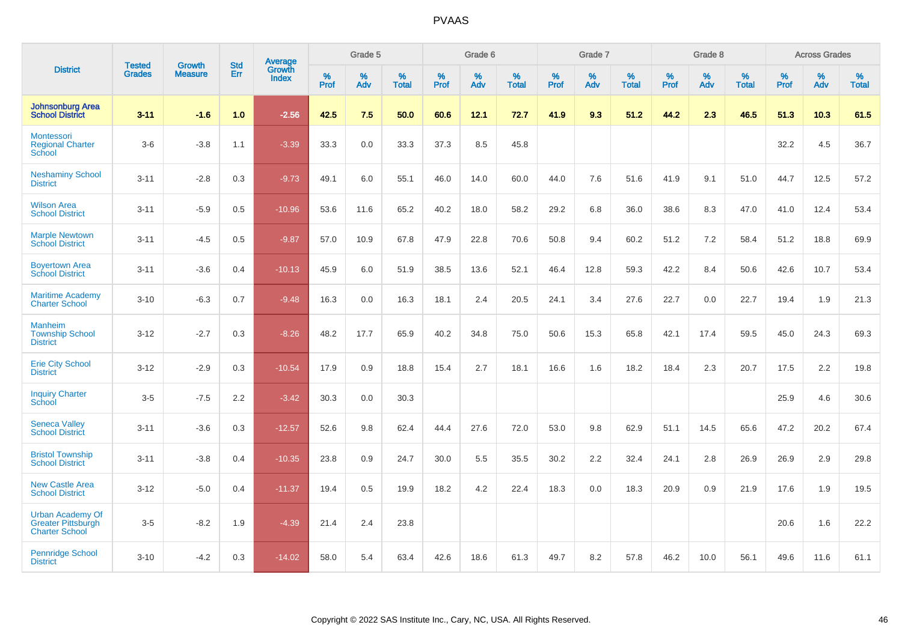|                                                                               | <b>Tested</b> | <b>Growth</b>  | <b>Std</b> | Average                       |           | Grade 5  |                   |           | Grade 6  |                   |           | Grade 7  |                   |           | Grade 8  |                   |           | <b>Across Grades</b> |                   |
|-------------------------------------------------------------------------------|---------------|----------------|------------|-------------------------------|-----------|----------|-------------------|-----------|----------|-------------------|-----------|----------|-------------------|-----------|----------|-------------------|-----------|----------------------|-------------------|
| <b>District</b>                                                               | <b>Grades</b> | <b>Measure</b> | Err        | <b>Growth</b><br><b>Index</b> | %<br>Prof | %<br>Adv | %<br><b>Total</b> | %<br>Prof | %<br>Adv | %<br><b>Total</b> | %<br>Prof | %<br>Adv | %<br><b>Total</b> | %<br>Prof | %<br>Adv | %<br><b>Total</b> | %<br>Prof | %<br>Adv             | %<br><b>Total</b> |
| <b>Johnsonburg Area</b><br><b>School District</b>                             | $3 - 11$      | $-1.6$         | 1.0        | $-2.56$                       | 42.5      | 7.5      | 50.0              | 60.6      | 12.1     | 72.7              | 41.9      | 9.3      | 51.2              | 44.2      | 2.3      | 46.5              | 51.3      | 10.3                 | 61.5              |
| Montessori<br><b>Regional Charter</b><br>School                               | $3-6$         | $-3.8$         | 1.1        | $-3.39$                       | 33.3      | $0.0\,$  | 33.3              | 37.3      | 8.5      | 45.8              |           |          |                   |           |          |                   | 32.2      | 4.5                  | 36.7              |
| <b>Neshaminy School</b><br><b>District</b>                                    | $3 - 11$      | $-2.8$         | 0.3        | $-9.73$                       | 49.1      | 6.0      | 55.1              | 46.0      | 14.0     | 60.0              | 44.0      | 7.6      | 51.6              | 41.9      | 9.1      | 51.0              | 44.7      | 12.5                 | 57.2              |
| <b>Wilson Area</b><br><b>School District</b>                                  | $3 - 11$      | $-5.9$         | 0.5        | $-10.96$                      | 53.6      | 11.6     | 65.2              | 40.2      | 18.0     | 58.2              | 29.2      | 6.8      | 36.0              | 38.6      | 8.3      | 47.0              | 41.0      | 12.4                 | 53.4              |
| <b>Marple Newtown</b><br><b>School District</b>                               | $3 - 11$      | $-4.5$         | 0.5        | $-9.87$                       | 57.0      | 10.9     | 67.8              | 47.9      | 22.8     | 70.6              | 50.8      | 9.4      | 60.2              | 51.2      | 7.2      | 58.4              | 51.2      | 18.8                 | 69.9              |
| <b>Boyertown Area</b><br><b>School District</b>                               | $3 - 11$      | $-3.6$         | 0.4        | $-10.13$                      | 45.9      | 6.0      | 51.9              | 38.5      | 13.6     | 52.1              | 46.4      | 12.8     | 59.3              | 42.2      | 8.4      | 50.6              | 42.6      | 10.7                 | 53.4              |
| <b>Maritime Academy</b><br><b>Charter School</b>                              | $3 - 10$      | $-6.3$         | 0.7        | $-9.48$                       | 16.3      | 0.0      | 16.3              | 18.1      | 2.4      | 20.5              | 24.1      | 3.4      | 27.6              | 22.7      | 0.0      | 22.7              | 19.4      | 1.9                  | 21.3              |
| <b>Manheim</b><br><b>Township School</b><br><b>District</b>                   | $3 - 12$      | $-2.7$         | 0.3        | $-8.26$                       | 48.2      | 17.7     | 65.9              | 40.2      | 34.8     | 75.0              | 50.6      | 15.3     | 65.8              | 42.1      | 17.4     | 59.5              | 45.0      | 24.3                 | 69.3              |
| <b>Erie City School</b><br><b>District</b>                                    | $3 - 12$      | $-2.9$         | 0.3        | $-10.54$                      | 17.9      | 0.9      | 18.8              | 15.4      | 2.7      | 18.1              | 16.6      | 1.6      | 18.2              | 18.4      | 2.3      | 20.7              | 17.5      | 2.2                  | 19.8              |
| <b>Inquiry Charter</b><br>School                                              | $3-5$         | $-7.5$         | 2.2        | $-3.42$                       | 30.3      | 0.0      | 30.3              |           |          |                   |           |          |                   |           |          |                   | 25.9      | 4.6                  | 30.6              |
| <b>Seneca Valley</b><br><b>School District</b>                                | $3 - 11$      | $-3.6$         | 0.3        | $-12.57$                      | 52.6      | 9.8      | 62.4              | 44.4      | 27.6     | 72.0              | 53.0      | 9.8      | 62.9              | 51.1      | 14.5     | 65.6              | 47.2      | 20.2                 | 67.4              |
| <b>Bristol Township</b><br><b>School District</b>                             | $3 - 11$      | $-3.8$         | 0.4        | $-10.35$                      | 23.8      | 0.9      | 24.7              | 30.0      | 5.5      | 35.5              | 30.2      | 2.2      | 32.4              | 24.1      | 2.8      | 26.9              | 26.9      | 2.9                  | 29.8              |
| <b>New Castle Area</b><br><b>School District</b>                              | $3 - 12$      | $-5.0$         | 0.4        | $-11.37$                      | 19.4      | 0.5      | 19.9              | 18.2      | 4.2      | 22.4              | 18.3      | 0.0      | 18.3              | 20.9      | 0.9      | 21.9              | 17.6      | 1.9                  | 19.5              |
| <b>Urban Academy Of</b><br><b>Greater Pittsburgh</b><br><b>Charter School</b> | $3-5$         | $-8.2$         | 1.9        | $-4.39$                       | 21.4      | 2.4      | 23.8              |           |          |                   |           |          |                   |           |          |                   | 20.6      | 1.6                  | 22.2              |
| <b>Pennridge School</b><br><b>District</b>                                    | $3 - 10$      | $-4.2$         | 0.3        | $-14.02$                      | 58.0      | 5.4      | 63.4              | 42.6      | 18.6     | 61.3              | 49.7      | 8.2      | 57.8              | 46.2      | 10.0     | 56.1              | 49.6      | 11.6                 | 61.1              |